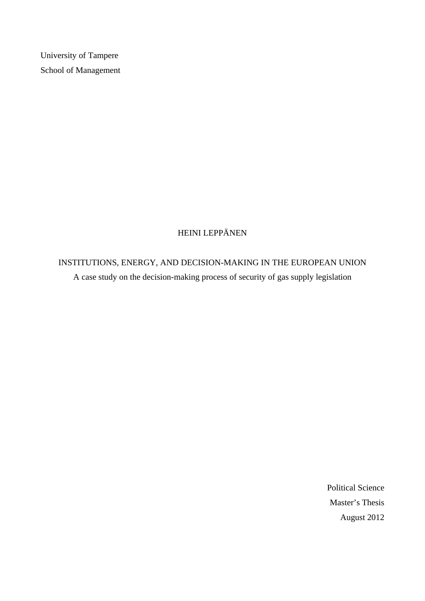University of Tampere School of Management

# HEINI LEPPÄNEN

# INSTITUTIONS, ENERGY, AND DECISION-MAKING IN THE EUROPEAN UNION A case study on the decision-making process of security of gas supply legislation

Political Science Master's Thesis August 2012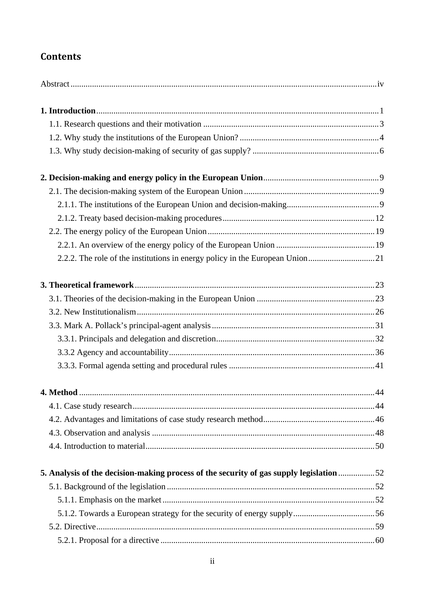# **Contents**

| 5. Analysis of the decision-making process of the security of gas supply legislation 52 |  |
|-----------------------------------------------------------------------------------------|--|
|                                                                                         |  |
|                                                                                         |  |
|                                                                                         |  |
|                                                                                         |  |
|                                                                                         |  |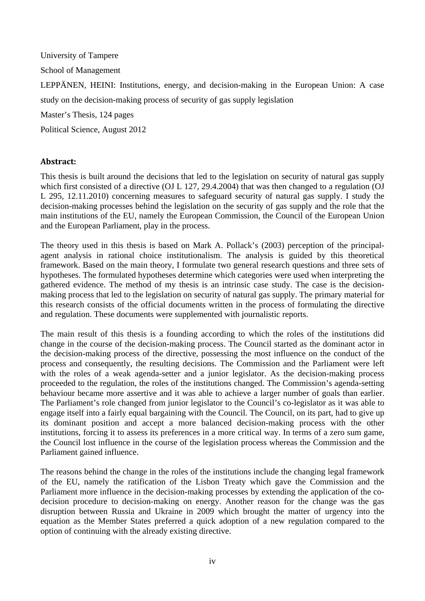University of Tampere School of Management LEPPÄNEN, HEINI: Institutions, energy, and decision-making in the European Union: A case study on the decision-making process of security of gas supply legislation Master's Thesis, 124 pages Political Science, August 2012

# **Abstract:**

This thesis is built around the decisions that led to the legislation on security of natural gas supply which first consisted of a directive (OJ L 127, 29.4.2004) that was then changed to a regulation (OJ L 295, 12.11.2010) concerning measures to safeguard security of natural gas supply. I study the decision-making processes behind the legislation on the security of gas supply and the role that the main institutions of the EU, namely the European Commission, the Council of the European Union and the European Parliament, play in the process.

The theory used in this thesis is based on Mark A. Pollack's (2003) perception of the principalagent analysis in rational choice institutionalism. The analysis is guided by this theoretical framework. Based on the main theory, I formulate two general research questions and three sets of hypotheses. The formulated hypotheses determine which categories were used when interpreting the gathered evidence. The method of my thesis is an intrinsic case study. The case is the decisionmaking process that led to the legislation on security of natural gas supply. The primary material for this research consists of the official documents written in the process of formulating the directive and regulation. These documents were supplemented with journalistic reports.

The main result of this thesis is a founding according to which the roles of the institutions did change in the course of the decision-making process. The Council started as the dominant actor in the decision-making process of the directive, possessing the most influence on the conduct of the process and consequently, the resulting decisions. The Commission and the Parliament were left with the roles of a weak agenda-setter and a junior legislator. As the decision-making process proceeded to the regulation, the roles of the institutions changed. The Commission's agenda-setting behaviour became more assertive and it was able to achieve a larger number of goals than earlier. The Parliament's role changed from junior legislator to the Council's co-legislator as it was able to engage itself into a fairly equal bargaining with the Council. The Council, on its part, had to give up its dominant position and accept a more balanced decision-making process with the other institutions, forcing it to assess its preferences in a more critical way. In terms of a zero sum game, the Council lost influence in the course of the legislation process whereas the Commission and the Parliament gained influence.

The reasons behind the change in the roles of the institutions include the changing legal framework of the EU, namely the ratification of the Lisbon Treaty which gave the Commission and the Parliament more influence in the decision-making processes by extending the application of the codecision procedure to decision-making on energy. Another reason for the change was the gas disruption between Russia and Ukraine in 2009 which brought the matter of urgency into the equation as the Member States preferred a quick adoption of a new regulation compared to the option of continuing with the already existing directive.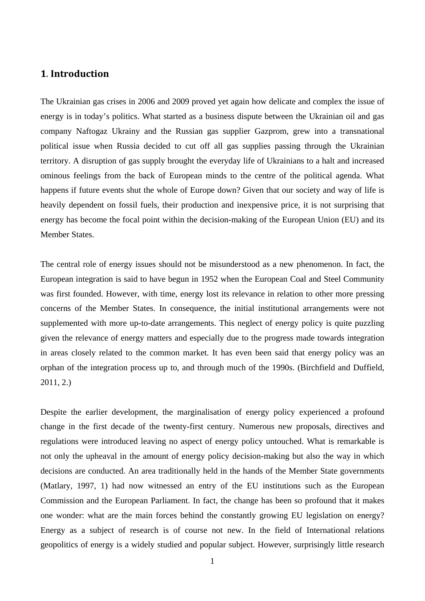# **1**. **Introduction**

The Ukrainian gas crises in 2006 and 2009 proved yet again how delicate and complex the issue of energy is in today's politics. What started as a business dispute between the Ukrainian oil and gas company Naftogaz Ukrainy and the Russian gas supplier Gazprom, grew into a transnational political issue when Russia decided to cut off all gas supplies passing through the Ukrainian territory. A disruption of gas supply brought the everyday life of Ukrainians to a halt and increased ominous feelings from the back of European minds to the centre of the political agenda. What happens if future events shut the whole of Europe down? Given that our society and way of life is heavily dependent on fossil fuels, their production and inexpensive price, it is not surprising that energy has become the focal point within the decision-making of the European Union (EU) and its Member States.

The central role of energy issues should not be misunderstood as a new phenomenon. In fact, the European integration is said to have begun in 1952 when the European Coal and Steel Community was first founded. However, with time, energy lost its relevance in relation to other more pressing concerns of the Member States. In consequence, the initial institutional arrangements were not supplemented with more up-to-date arrangements. This neglect of energy policy is quite puzzling given the relevance of energy matters and especially due to the progress made towards integration in areas closely related to the common market. It has even been said that energy policy was an orphan of the integration process up to, and through much of the 1990s. (Birchfield and Duffield, 2011, 2.)

Despite the earlier development, the marginalisation of energy policy experienced a profound change in the first decade of the twenty-first century. Numerous new proposals, directives and regulations were introduced leaving no aspect of energy policy untouched. What is remarkable is not only the upheaval in the amount of energy policy decision-making but also the way in which decisions are conducted. An area traditionally held in the hands of the Member State governments (Matlary, 1997, 1) had now witnessed an entry of the EU institutions such as the European Commission and the European Parliament. In fact, the change has been so profound that it makes one wonder: what are the main forces behind the constantly growing EU legislation on energy? Energy as a subject of research is of course not new. In the field of International relations geopolitics of energy is a widely studied and popular subject. However, surprisingly little research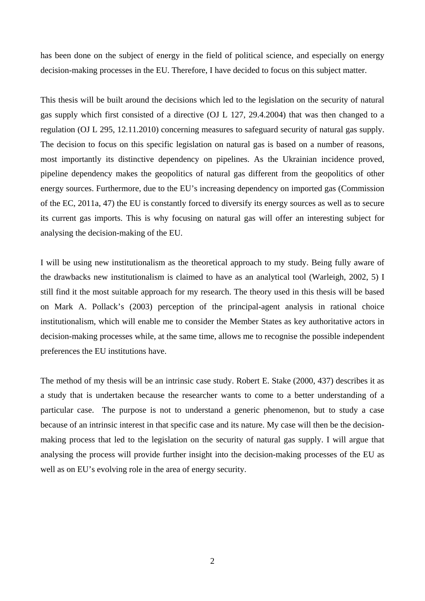has been done on the subject of energy in the field of political science, and especially on energy decision-making processes in the EU. Therefore, I have decided to focus on this subject matter.

This thesis will be built around the decisions which led to the legislation on the security of natural gas supply which first consisted of a directive (OJ L 127, 29.4.2004) that was then changed to a regulation (OJ L 295, 12.11.2010) concerning measures to safeguard security of natural gas supply. The decision to focus on this specific legislation on natural gas is based on a number of reasons, most importantly its distinctive dependency on pipelines. As the Ukrainian incidence proved, pipeline dependency makes the geopolitics of natural gas different from the geopolitics of other energy sources. Furthermore, due to the EU's increasing dependency on imported gas (Commission of the EC, 2011a, 47) the EU is constantly forced to diversify its energy sources as well as to secure its current gas imports. This is why focusing on natural gas will offer an interesting subject for analysing the decision-making of the EU.

I will be using new institutionalism as the theoretical approach to my study. Being fully aware of the drawbacks new institutionalism is claimed to have as an analytical tool (Warleigh, 2002, 5) I still find it the most suitable approach for my research. The theory used in this thesis will be based on Mark A. Pollack's (2003) perception of the principal-agent analysis in rational choice institutionalism, which will enable me to consider the Member States as key authoritative actors in decision-making processes while, at the same time, allows me to recognise the possible independent preferences the EU institutions have.

The method of my thesis will be an intrinsic case study. Robert E. Stake (2000, 437) describes it as a study that is undertaken because the researcher wants to come to a better understanding of a particular case. The purpose is not to understand a generic phenomenon, but to study a case because of an intrinsic interest in that specific case and its nature. My case will then be the decisionmaking process that led to the legislation on the security of natural gas supply. I will argue that analysing the process will provide further insight into the decision-making processes of the EU as well as on EU's evolving role in the area of energy security.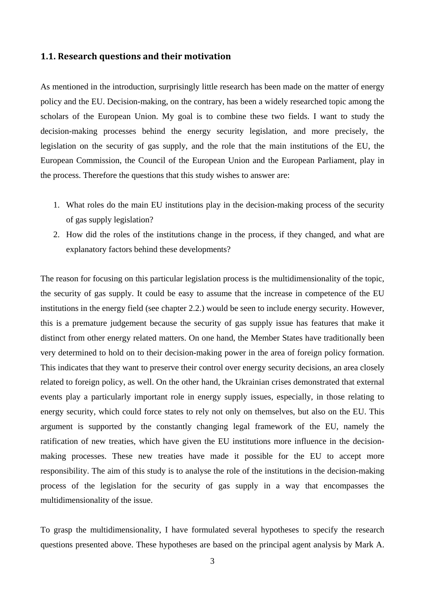## **1.1. Research questions and their motivation**

As mentioned in the introduction, surprisingly little research has been made on the matter of energy policy and the EU. Decision-making, on the contrary, has been a widely researched topic among the scholars of the European Union. My goal is to combine these two fields. I want to study the decision-making processes behind the energy security legislation, and more precisely, the legislation on the security of gas supply, and the role that the main institutions of the EU, the European Commission, the Council of the European Union and the European Parliament, play in the process. Therefore the questions that this study wishes to answer are:

- 1. What roles do the main EU institutions play in the decision-making process of the security of gas supply legislation?
- 2. How did the roles of the institutions change in the process, if they changed, and what are explanatory factors behind these developments?

The reason for focusing on this particular legislation process is the multidimensionality of the topic, the security of gas supply. It could be easy to assume that the increase in competence of the EU institutions in the energy field (see chapter 2.2.) would be seen to include energy security. However, this is a premature judgement because the security of gas supply issue has features that make it distinct from other energy related matters. On one hand, the Member States have traditionally been very determined to hold on to their decision-making power in the area of foreign policy formation. This indicates that they want to preserve their control over energy security decisions, an area closely related to foreign policy, as well. On the other hand, the Ukrainian crises demonstrated that external events play a particularly important role in energy supply issues, especially, in those relating to energy security, which could force states to rely not only on themselves, but also on the EU. This argument is supported by the constantly changing legal framework of the EU, namely the ratification of new treaties, which have given the EU institutions more influence in the decisionmaking processes. These new treaties have made it possible for the EU to accept more responsibility. The aim of this study is to analyse the role of the institutions in the decision-making process of the legislation for the security of gas supply in a way that encompasses the multidimensionality of the issue.

To grasp the multidimensionality, I have formulated several hypotheses to specify the research questions presented above. These hypotheses are based on the principal agent analysis by Mark A.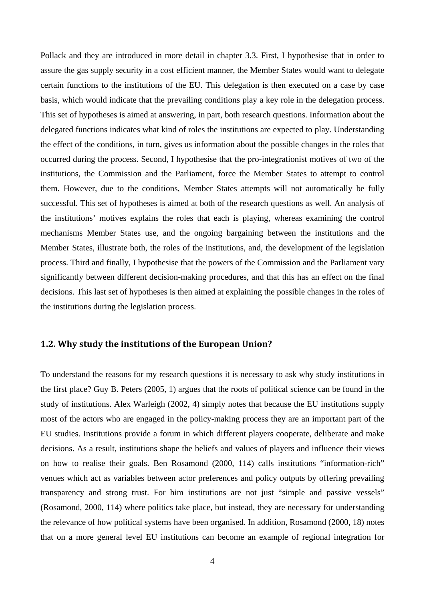Pollack and they are introduced in more detail in chapter 3.3. First, I hypothesise that in order to assure the gas supply security in a cost efficient manner, the Member States would want to delegate certain functions to the institutions of the EU. This delegation is then executed on a case by case basis, which would indicate that the prevailing conditions play a key role in the delegation process. This set of hypotheses is aimed at answering, in part, both research questions. Information about the delegated functions indicates what kind of roles the institutions are expected to play. Understanding the effect of the conditions, in turn, gives us information about the possible changes in the roles that occurred during the process. Second, I hypothesise that the pro-integrationist motives of two of the institutions, the Commission and the Parliament, force the Member States to attempt to control them. However, due to the conditions, Member States attempts will not automatically be fully successful. This set of hypotheses is aimed at both of the research questions as well. An analysis of the institutions' motives explains the roles that each is playing, whereas examining the control mechanisms Member States use, and the ongoing bargaining between the institutions and the Member States, illustrate both, the roles of the institutions, and, the development of the legislation process. Third and finally, I hypothesise that the powers of the Commission and the Parliament vary significantly between different decision-making procedures, and that this has an effect on the final decisions. This last set of hypotheses is then aimed at explaining the possible changes in the roles of the institutions during the legislation process.

# **1.2. Why study the institutions of the European Union?**

To understand the reasons for my research questions it is necessary to ask why study institutions in the first place? Guy B. Peters (2005, 1) argues that the roots of political science can be found in the study of institutions. Alex Warleigh (2002, 4) simply notes that because the EU institutions supply most of the actors who are engaged in the policy-making process they are an important part of the EU studies. Institutions provide a forum in which different players cooperate, deliberate and make decisions. As a result, institutions shape the beliefs and values of players and influence their views on how to realise their goals. Ben Rosamond (2000, 114) calls institutions "information-rich" venues which act as variables between actor preferences and policy outputs by offering prevailing transparency and strong trust. For him institutions are not just "simple and passive vessels" (Rosamond, 2000, 114) where politics take place, but instead, they are necessary for understanding the relevance of how political systems have been organised. In addition, Rosamond (2000, 18) notes that on a more general level EU institutions can become an example of regional integration for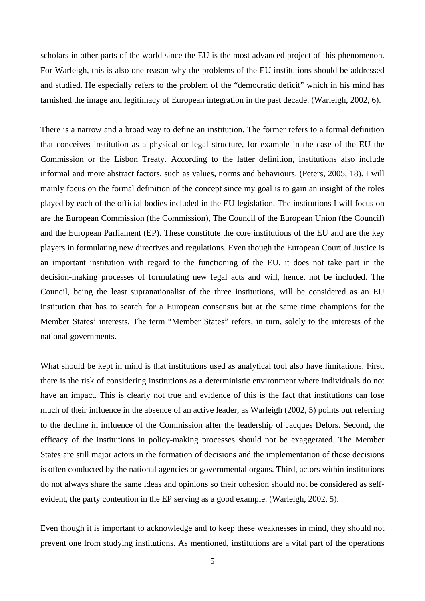scholars in other parts of the world since the EU is the most advanced project of this phenomenon. For Warleigh, this is also one reason why the problems of the EU institutions should be addressed and studied. He especially refers to the problem of the "democratic deficit" which in his mind has tarnished the image and legitimacy of European integration in the past decade. (Warleigh, 2002, 6).

There is a narrow and a broad way to define an institution. The former refers to a formal definition that conceives institution as a physical or legal structure, for example in the case of the EU the Commission or the Lisbon Treaty. According to the latter definition, institutions also include informal and more abstract factors, such as values, norms and behaviours. (Peters, 2005, 18). I will mainly focus on the formal definition of the concept since my goal is to gain an insight of the roles played by each of the official bodies included in the EU legislation. The institutions I will focus on are the European Commission (the Commission), The Council of the European Union (the Council) and the European Parliament (EP). These constitute the core institutions of the EU and are the key players in formulating new directives and regulations. Even though the European Court of Justice is an important institution with regard to the functioning of the EU, it does not take part in the decision-making processes of formulating new legal acts and will, hence, not be included. The Council, being the least supranationalist of the three institutions, will be considered as an EU institution that has to search for a European consensus but at the same time champions for the Member States' interests. The term "Member States" refers, in turn, solely to the interests of the national governments.

What should be kept in mind is that institutions used as analytical tool also have limitations. First, there is the risk of considering institutions as a deterministic environment where individuals do not have an impact. This is clearly not true and evidence of this is the fact that institutions can lose much of their influence in the absence of an active leader, as Warleigh (2002, 5) points out referring to the decline in influence of the Commission after the leadership of Jacques Delors. Second, the efficacy of the institutions in policy-making processes should not be exaggerated. The Member States are still major actors in the formation of decisions and the implementation of those decisions is often conducted by the national agencies or governmental organs. Third, actors within institutions do not always share the same ideas and opinions so their cohesion should not be considered as selfevident, the party contention in the EP serving as a good example. (Warleigh, 2002, 5).

Even though it is important to acknowledge and to keep these weaknesses in mind, they should not prevent one from studying institutions. As mentioned, institutions are a vital part of the operations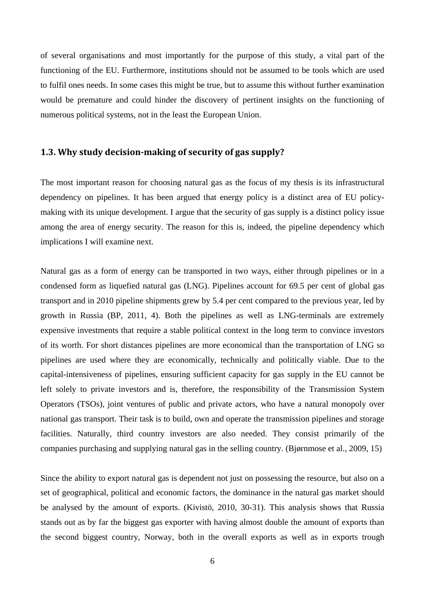of several organisations and most importantly for the purpose of this study, a vital part of the functioning of the EU. Furthermore, institutions should not be assumed to be tools which are used to fulfil ones needs. In some cases this might be true, but to assume this without further examination would be premature and could hinder the discovery of pertinent insights on the functioning of numerous political systems, not in the least the European Union.

## **1.3. Why study decisionmaking of security of gas supply?**

The most important reason for choosing natural gas as the focus of my thesis is its infrastructural dependency on pipelines. It has been argued that energy policy is a distinct area of EU policymaking with its unique development. I argue that the security of gas supply is a distinct policy issue among the area of energy security. The reason for this is, indeed, the pipeline dependency which implications I will examine next.

Natural gas as a form of energy can be transported in two ways, either through pipelines or in a condensed form as liquefied natural gas (LNG). Pipelines account for 69.5 per cent of global gas transport and in 2010 pipeline shipments grew by 5.4 per cent compared to the previous year, led by growth in Russia (BP, 2011, 4). Both the pipelines as well as LNG-terminals are extremely expensive investments that require a stable political context in the long term to convince investors of its worth. For short distances pipelines are more economical than the transportation of LNG so pipelines are used where they are economically, technically and politically viable. Due to the capital-intensiveness of pipelines, ensuring sufficient capacity for gas supply in the EU cannot be left solely to private investors and is, therefore, the responsibility of the Transmission System Operators (TSOs), joint ventures of public and private actors, who have a natural monopoly over national gas transport. Their task is to build, own and operate the transmission pipelines and storage facilities. Naturally, third country investors are also needed. They consist primarily of the companies purchasing and supplying natural gas in the selling country. (Bjørnmose et al., 2009, 15)

Since the ability to export natural gas is dependent not just on possessing the resource, but also on a set of geographical, political and economic factors, the dominance in the natural gas market should be analysed by the amount of exports. (Kivistö, 2010, 30-31). This analysis shows that Russia stands out as by far the biggest gas exporter with having almost double the amount of exports than the second biggest country, Norway, both in the overall exports as well as in exports trough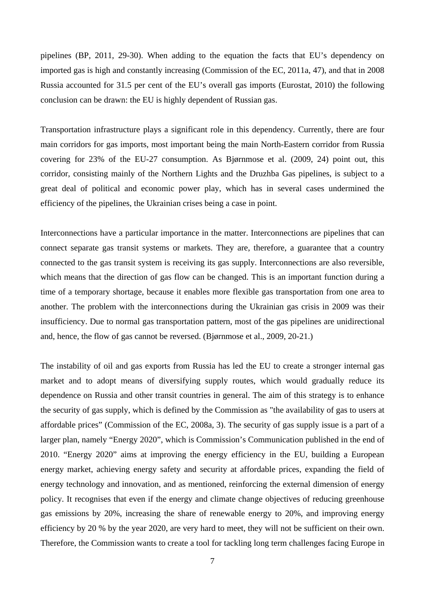pipelines (BP, 2011, 29-30). When adding to the equation the facts that EU's dependency on imported gas is high and constantly increasing (Commission of the EC, 2011a, 47), and that in 2008 Russia accounted for 31.5 per cent of the EU's overall gas imports (Eurostat, 2010) the following conclusion can be drawn: the EU is highly dependent of Russian gas.

Transportation infrastructure plays a significant role in this dependency. Currently, there are four main corridors for gas imports, most important being the main North-Eastern corridor from Russia covering for 23% of the EU-27 consumption. As Bjørnmose et al. (2009, 24) point out, this corridor, consisting mainly of the Northern Lights and the Druzhba Gas pipelines, is subject to a great deal of political and economic power play, which has in several cases undermined the efficiency of the pipelines, the Ukrainian crises being a case in point.

Interconnections have a particular importance in the matter. Interconnections are pipelines that can connect separate gas transit systems or markets. They are, therefore, a guarantee that a country connected to the gas transit system is receiving its gas supply. Interconnections are also reversible, which means that the direction of gas flow can be changed. This is an important function during a time of a temporary shortage, because it enables more flexible gas transportation from one area to another. The problem with the interconnections during the Ukrainian gas crisis in 2009 was their insufficiency. Due to normal gas transportation pattern, most of the gas pipelines are unidirectional and, hence, the flow of gas cannot be reversed. (Bjørnmose et al., 2009, 20-21.)

The instability of oil and gas exports from Russia has led the EU to create a stronger internal gas market and to adopt means of diversifying supply routes, which would gradually reduce its dependence on Russia and other transit countries in general. The aim of this strategy is to enhance the security of gas supply, which is defined by the Commission as "the availability of gas to users at affordable prices" (Commission of the EC, 2008a, 3). The security of gas supply issue is a part of a larger plan, namely "Energy 2020", which is Commission's Communication published in the end of 2010. "Energy 2020" aims at improving the energy efficiency in the EU, building a European energy market, achieving energy safety and security at affordable prices, expanding the field of energy technology and innovation, and as mentioned, reinforcing the external dimension of energy policy. It recognises that even if the energy and climate change objectives of reducing greenhouse gas emissions by 20%, increasing the share of renewable energy to 20%, and improving energy efficiency by 20 % by the year 2020, are very hard to meet, they will not be sufficient on their own. Therefore, the Commission wants to create a tool for tackling long term challenges facing Europe in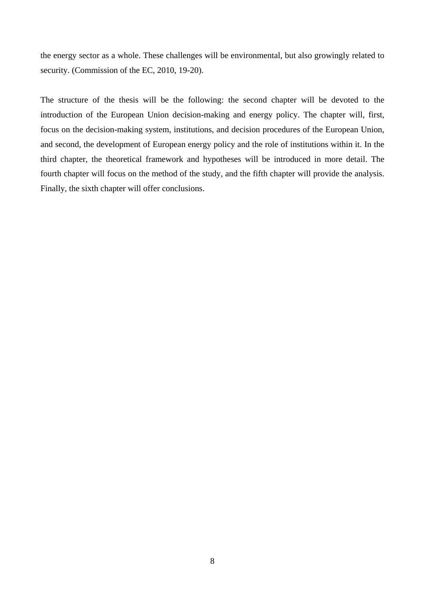the energy sector as a whole. These challenges will be environmental, but also growingly related to security. (Commission of the EC, 2010, 19-20).

The structure of the thesis will be the following: the second chapter will be devoted to the introduction of the European Union decision-making and energy policy. The chapter will, first, focus on the decision-making system, institutions, and decision procedures of the European Union, and second, the development of European energy policy and the role of institutions within it. In the third chapter, the theoretical framework and hypotheses will be introduced in more detail. The fourth chapter will focus on the method of the study, and the fifth chapter will provide the analysis. Finally, the sixth chapter will offer conclusions.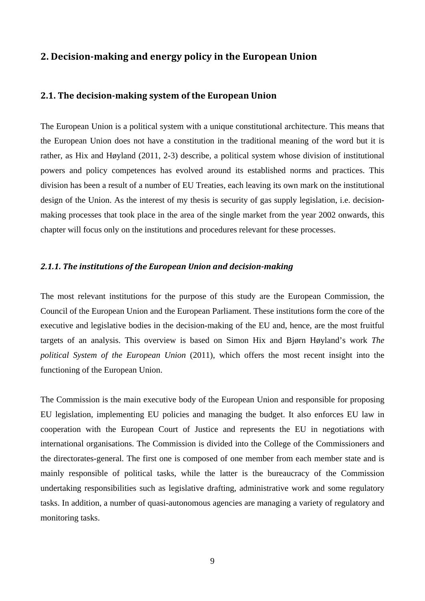# **2. Decisionmaking and energy policy in the European Union**

# **2.1. The decisionmaking system of the European Union**

The European Union is a political system with a unique constitutional architecture. This means that the European Union does not have a constitution in the traditional meaning of the word but it is rather, as Hix and Høyland (2011, 2-3) describe, a political system whose division of institutional powers and policy competences has evolved around its established norms and practices. This division has been a result of a number of EU Treaties, each leaving its own mark on the institutional design of the Union. As the interest of my thesis is security of gas supply legislation, i.e. decisionmaking processes that took place in the area of the single market from the year 2002 onwards, this chapter will focus only on the institutions and procedures relevant for these processes.

#### *2.1.1. The institutions of the European Union and decisionmaking*

The most relevant institutions for the purpose of this study are the European Commission, the Council of the European Union and the European Parliament. These institutions form the core of the executive and legislative bodies in the decision-making of the EU and, hence, are the most fruitful targets of an analysis. This overview is based on Simon Hix and Bjørn Høyland's work *The political System of the European Union* (2011), which offers the most recent insight into the functioning of the European Union.

The Commission is the main executive body of the European Union and responsible for proposing EU legislation, implementing EU policies and managing the budget. It also enforces EU law in cooperation with the European Court of Justice and represents the EU in negotiations with international organisations. The Commission is divided into the College of the Commissioners and the directorates-general. The first one is composed of one member from each member state and is mainly responsible of political tasks, while the latter is the bureaucracy of the Commission undertaking responsibilities such as legislative drafting, administrative work and some regulatory tasks. In addition, a number of quasi-autonomous agencies are managing a variety of regulatory and monitoring tasks.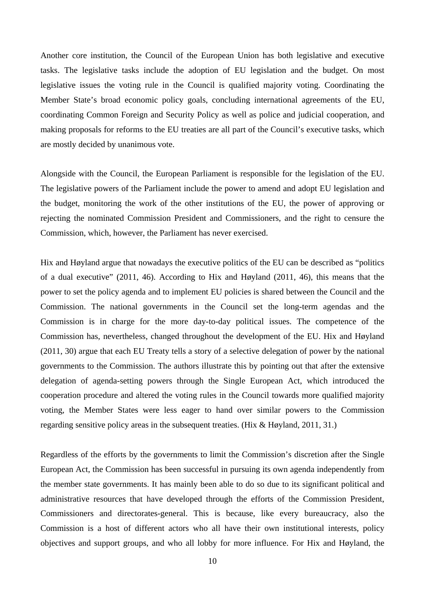Another core institution, the Council of the European Union has both legislative and executive tasks. The legislative tasks include the adoption of EU legislation and the budget. On most legislative issues the voting rule in the Council is qualified majority voting. Coordinating the Member State's broad economic policy goals, concluding international agreements of the EU, coordinating Common Foreign and Security Policy as well as police and judicial cooperation, and making proposals for reforms to the EU treaties are all part of the Council's executive tasks, which are mostly decided by unanimous vote.

Alongside with the Council, the European Parliament is responsible for the legislation of the EU. The legislative powers of the Parliament include the power to amend and adopt EU legislation and the budget, monitoring the work of the other institutions of the EU, the power of approving or rejecting the nominated Commission President and Commissioners, and the right to censure the Commission, which, however, the Parliament has never exercised.

Hix and Høyland argue that nowadays the executive politics of the EU can be described as "politics of a dual executive" (2011, 46). According to Hix and Høyland (2011, 46), this means that the power to set the policy agenda and to implement EU policies is shared between the Council and the Commission. The national governments in the Council set the long-term agendas and the Commission is in charge for the more day-to-day political issues. The competence of the Commission has, nevertheless, changed throughout the development of the EU. Hix and Høyland (2011, 30) argue that each EU Treaty tells a story of a selective delegation of power by the national governments to the Commission. The authors illustrate this by pointing out that after the extensive delegation of agenda-setting powers through the Single European Act, which introduced the cooperation procedure and altered the voting rules in the Council towards more qualified majority voting, the Member States were less eager to hand over similar powers to the Commission regarding sensitive policy areas in the subsequent treaties. (Hix & Høyland, 2011, 31.)

Regardless of the efforts by the governments to limit the Commission's discretion after the Single European Act, the Commission has been successful in pursuing its own agenda independently from the member state governments. It has mainly been able to do so due to its significant political and administrative resources that have developed through the efforts of the Commission President, Commissioners and directorates-general. This is because, like every bureaucracy, also the Commission is a host of different actors who all have their own institutional interests, policy objectives and support groups, and who all lobby for more influence. For Hix and Høyland, the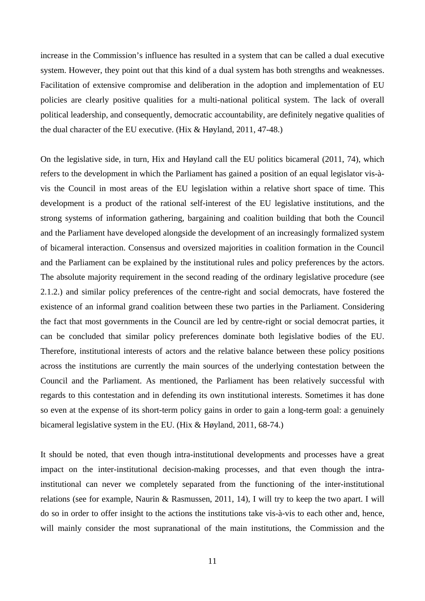increase in the Commission's influence has resulted in a system that can be called a dual executive system. However, they point out that this kind of a dual system has both strengths and weaknesses. Facilitation of extensive compromise and deliberation in the adoption and implementation of EU policies are clearly positive qualities for a multi-national political system. The lack of overall political leadership, and consequently, democratic accountability, are definitely negative qualities of the dual character of the EU executive. (Hix & Høyland, 2011, 47-48.)

On the legislative side, in turn, Hix and Høyland call the EU politics bicameral (2011, 74), which refers to the development in which the Parliament has gained a position of an equal legislator vis-àvis the Council in most areas of the EU legislation within a relative short space of time. This development is a product of the rational self-interest of the EU legislative institutions, and the strong systems of information gathering, bargaining and coalition building that both the Council and the Parliament have developed alongside the development of an increasingly formalized system of bicameral interaction. Consensus and oversized majorities in coalition formation in the Council and the Parliament can be explained by the institutional rules and policy preferences by the actors. The absolute majority requirement in the second reading of the ordinary legislative procedure (see 2.1.2.) and similar policy preferences of the centre-right and social democrats, have fostered the existence of an informal grand coalition between these two parties in the Parliament. Considering the fact that most governments in the Council are led by centre-right or social democrat parties, it can be concluded that similar policy preferences dominate both legislative bodies of the EU. Therefore, institutional interests of actors and the relative balance between these policy positions across the institutions are currently the main sources of the underlying contestation between the Council and the Parliament. As mentioned, the Parliament has been relatively successful with regards to this contestation and in defending its own institutional interests. Sometimes it has done so even at the expense of its short-term policy gains in order to gain a long-term goal: a genuinely bicameral legislative system in the EU. (Hix & Høyland, 2011, 68-74.)

It should be noted, that even though intra-institutional developments and processes have a great impact on the inter-institutional decision-making processes, and that even though the intrainstitutional can never we completely separated from the functioning of the inter-institutional relations (see for example, Naurin & Rasmussen, 2011, 14), I will try to keep the two apart. I will do so in order to offer insight to the actions the institutions take vis-à-vis to each other and, hence, will mainly consider the most supranational of the main institutions, the Commission and the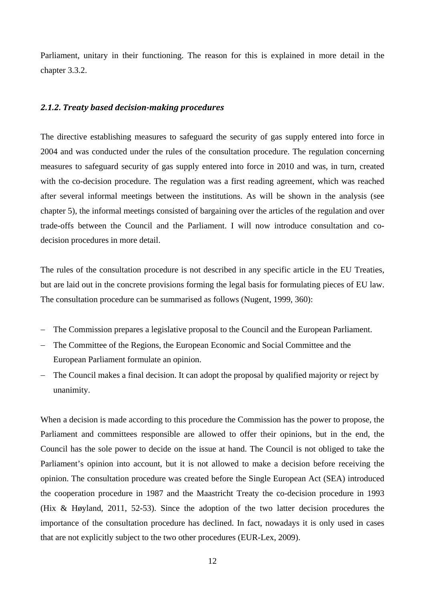Parliament, unitary in their functioning. The reason for this is explained in more detail in the chapter 3.3.2.

## *2.1.2. Treaty based decisionmaking procedures*

The directive establishing measures to safeguard the security of gas supply entered into force in 2004 and was conducted under the rules of the consultation procedure. The regulation concerning measures to safeguard security of gas supply entered into force in 2010 and was, in turn, created with the co-decision procedure. The regulation was a first reading agreement, which was reached after several informal meetings between the institutions. As will be shown in the analysis (see chapter 5), the informal meetings consisted of bargaining over the articles of the regulation and over trade-offs between the Council and the Parliament. I will now introduce consultation and codecision procedures in more detail.

The rules of the consultation procedure is not described in any specific article in the EU Treaties, but are laid out in the concrete provisions forming the legal basis for formulating pieces of EU law. The consultation procedure can be summarised as follows (Nugent, 1999, 360):

- − The Commission prepares a legislative proposal to the Council and the European Parliament.
- − The Committee of the Regions, the European Economic and Social Committee and the European Parliament formulate an opinion.
- − The Council makes a final decision. It can adopt the proposal by qualified majority or reject by unanimity.

When a decision is made according to this procedure the Commission has the power to propose, the Parliament and committees responsible are allowed to offer their opinions, but in the end, the Council has the sole power to decide on the issue at hand. The Council is not obliged to take the Parliament's opinion into account, but it is not allowed to make a decision before receiving the opinion. The consultation procedure was created before the Single European Act (SEA) introduced the cooperation procedure in 1987 and the Maastricht Treaty the co-decision procedure in 1993 (Hix & Høyland, 2011, 52-53). Since the adoption of the two latter decision procedures the importance of the consultation procedure has declined. In fact, nowadays it is only used in cases that are not explicitly subject to the two other procedures (EUR-Lex, 2009).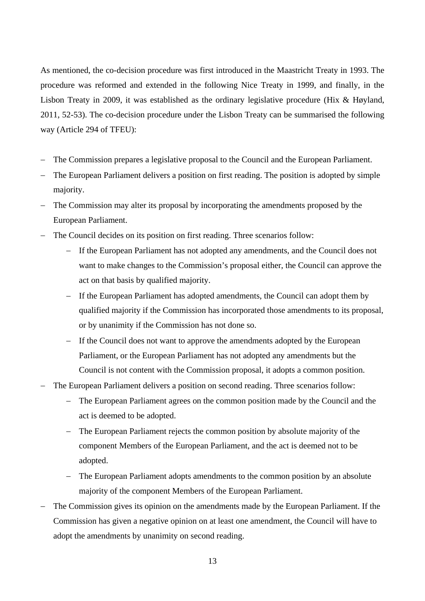As mentioned, the co-decision procedure was first introduced in the Maastricht Treaty in 1993. The procedure was reformed and extended in the following Nice Treaty in 1999, and finally, in the Lisbon Treaty in 2009, it was established as the ordinary legislative procedure (Hix & Høyland, 2011, 52-53). The co-decision procedure under the Lisbon Treaty can be summarised the following way (Article 294 of TFEU):

- − The Commission prepares a legislative proposal to the Council and the European Parliament.
- − The European Parliament delivers a position on first reading. The position is adopted by simple majority.
- − The Commission may alter its proposal by incorporating the amendments proposed by the European Parliament.
- − The Council decides on its position on first reading. Three scenarios follow:
	- If the European Parliament has not adopted any amendments, and the Council does not want to make changes to the Commission's proposal either, the Council can approve the act on that basis by qualified majority.
	- If the European Parliament has adopted amendments, the Council can adopt them by qualified majority if the Commission has incorporated those amendments to its proposal, or by unanimity if the Commission has not done so.
	- − If the Council does not want to approve the amendments adopted by the European Parliament, or the European Parliament has not adopted any amendments but the Council is not content with the Commission proposal, it adopts a common position.
- The European Parliament delivers a position on second reading. Three scenarios follow:
	- The European Parliament agrees on the common position made by the Council and the act is deemed to be adopted.
	- The European Parliament rejects the common position by absolute majority of the component Members of the European Parliament, and the act is deemed not to be adopted.
	- − The European Parliament adopts amendments to the common position by an absolute majority of the component Members of the European Parliament.
- − The Commission gives its opinion on the amendments made by the European Parliament. If the Commission has given a negative opinion on at least one amendment, the Council will have to adopt the amendments by unanimity on second reading.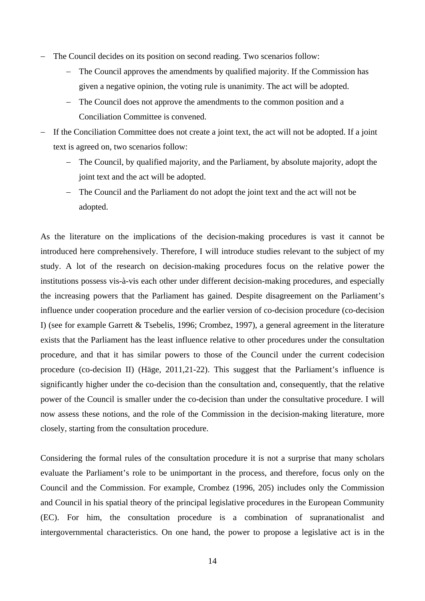- − The Council decides on its position on second reading. Two scenarios follow:
	- The Council approves the amendments by qualified majority. If the Commission has given a negative opinion, the voting rule is unanimity. The act will be adopted.
	- − The Council does not approve the amendments to the common position and a Conciliation Committee is convened.
- − If the Conciliation Committee does not create a joint text, the act will not be adopted. If a joint text is agreed on, two scenarios follow:
	- − The Council, by qualified majority, and the Parliament, by absolute majority, adopt the joint text and the act will be adopted.
	- − The Council and the Parliament do not adopt the joint text and the act will not be adopted.

As the literature on the implications of the decision-making procedures is vast it cannot be introduced here comprehensively. Therefore, I will introduce studies relevant to the subject of my study. A lot of the research on decision-making procedures focus on the relative power the institutions possess vis-à-vis each other under different decision-making procedures, and especially the increasing powers that the Parliament has gained. Despite disagreement on the Parliament's influence under cooperation procedure and the earlier version of co-decision procedure (co-decision I) (see for example Garrett & Tsebelis, 1996; Crombez, 1997), a general agreement in the literature exists that the Parliament has the least influence relative to other procedures under the consultation procedure, and that it has similar powers to those of the Council under the current codecision procedure (co-decision II) (Häge, 2011,21-22). This suggest that the Parliament's influence is significantly higher under the co-decision than the consultation and, consequently, that the relative power of the Council is smaller under the co-decision than under the consultative procedure. I will now assess these notions, and the role of the Commission in the decision-making literature, more closely, starting from the consultation procedure.

Considering the formal rules of the consultation procedure it is not a surprise that many scholars evaluate the Parliament's role to be unimportant in the process, and therefore, focus only on the Council and the Commission. For example, Crombez (1996, 205) includes only the Commission and Council in his spatial theory of the principal legislative procedures in the European Community (EC). For him, the consultation procedure is a combination of supranationalist and intergovernmental characteristics. On one hand, the power to propose a legislative act is in the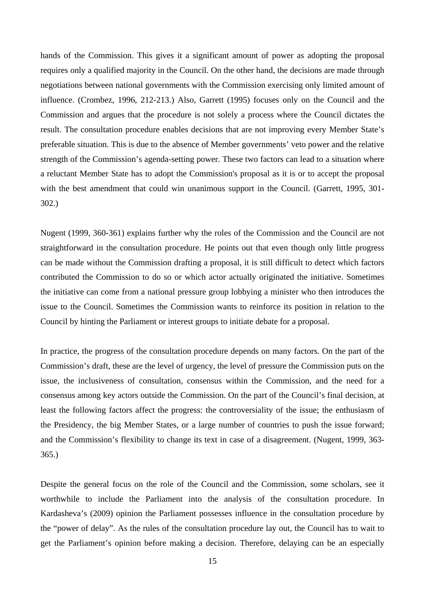hands of the Commission. This gives it a significant amount of power as adopting the proposal requires only a qualified majority in the Council. On the other hand, the decisions are made through negotiations between national governments with the Commission exercising only limited amount of influence. (Crombez, 1996, 212-213.) Also, Garrett (1995) focuses only on the Council and the Commission and argues that the procedure is not solely a process where the Council dictates the result. The consultation procedure enables decisions that are not improving every Member State's preferable situation. This is due to the absence of Member governments' veto power and the relative strength of the Commission's agenda-setting power. These two factors can lead to a situation where a reluctant Member State has to adopt the Commission's proposal as it is or to accept the proposal with the best amendment that could win unanimous support in the Council. (Garrett, 1995, 301- 302.)

Nugent (1999, 360-361) explains further why the roles of the Commission and the Council are not straightforward in the consultation procedure. He points out that even though only little progress can be made without the Commission drafting a proposal, it is still difficult to detect which factors contributed the Commission to do so or which actor actually originated the initiative. Sometimes the initiative can come from a national pressure group lobbying a minister who then introduces the issue to the Council. Sometimes the Commission wants to reinforce its position in relation to the Council by hinting the Parliament or interest groups to initiate debate for a proposal.

In practice, the progress of the consultation procedure depends on many factors. On the part of the Commission's draft, these are the level of urgency, the level of pressure the Commission puts on the issue, the inclusiveness of consultation, consensus within the Commission, and the need for a consensus among key actors outside the Commission. On the part of the Council's final decision, at least the following factors affect the progress: the controversiality of the issue; the enthusiasm of the Presidency, the big Member States, or a large number of countries to push the issue forward; and the Commission's flexibility to change its text in case of a disagreement. (Nugent, 1999, 363- 365.)

Despite the general focus on the role of the Council and the Commission, some scholars, see it worthwhile to include the Parliament into the analysis of the consultation procedure. In Kardasheva's (2009) opinion the Parliament possesses influence in the consultation procedure by the "power of delay". As the rules of the consultation procedure lay out, the Council has to wait to get the Parliament's opinion before making a decision. Therefore, delaying can be an especially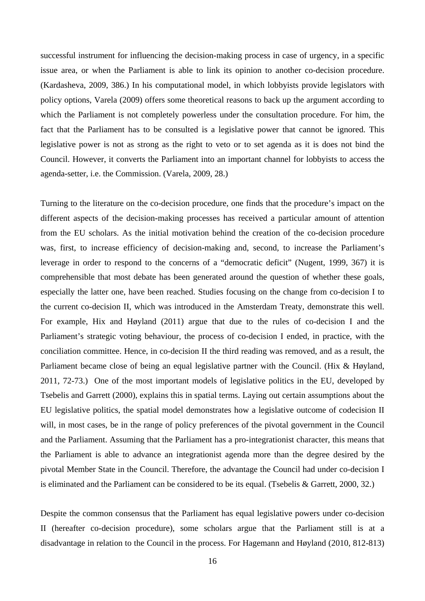successful instrument for influencing the decision-making process in case of urgency, in a specific issue area, or when the Parliament is able to link its opinion to another co-decision procedure. (Kardasheva, 2009, 386.) In his computational model, in which lobbyists provide legislators with policy options, Varela (2009) offers some theoretical reasons to back up the argument according to which the Parliament is not completely powerless under the consultation procedure. For him, the fact that the Parliament has to be consulted is a legislative power that cannot be ignored. This legislative power is not as strong as the right to veto or to set agenda as it is does not bind the Council. However, it converts the Parliament into an important channel for lobbyists to access the agenda-setter, i.e. the Commission. (Varela, 2009, 28.)

Turning to the literature on the co-decision procedure, one finds that the procedure's impact on the different aspects of the decision-making processes has received a particular amount of attention from the EU scholars. As the initial motivation behind the creation of the co-decision procedure was, first, to increase efficiency of decision-making and, second, to increase the Parliament's leverage in order to respond to the concerns of a "democratic deficit" (Nugent, 1999, 367) it is comprehensible that most debate has been generated around the question of whether these goals, especially the latter one, have been reached. Studies focusing on the change from co-decision I to the current co-decision II, which was introduced in the Amsterdam Treaty, demonstrate this well. For example, Hix and Høyland (2011) argue that due to the rules of co-decision I and the Parliament's strategic voting behaviour, the process of co-decision I ended, in practice, with the conciliation committee. Hence, in co-decision II the third reading was removed, and as a result, the Parliament became close of being an equal legislative partner with the Council. (Hix & Høyland, 2011, 72-73.) One of the most important models of legislative politics in the EU, developed by Tsebelis and Garrett (2000), explains this in spatial terms. Laying out certain assumptions about the EU legislative politics, the spatial model demonstrates how a legislative outcome of codecision II will, in most cases, be in the range of policy preferences of the pivotal government in the Council and the Parliament. Assuming that the Parliament has a pro-integrationist character, this means that the Parliament is able to advance an integrationist agenda more than the degree desired by the pivotal Member State in the Council. Therefore, the advantage the Council had under co-decision I is eliminated and the Parliament can be considered to be its equal. (Tsebelis & Garrett, 2000, 32.)

Despite the common consensus that the Parliament has equal legislative powers under co-decision II (hereafter co-decision procedure), some scholars argue that the Parliament still is at a disadvantage in relation to the Council in the process. For Hagemann and Høyland (2010, 812-813)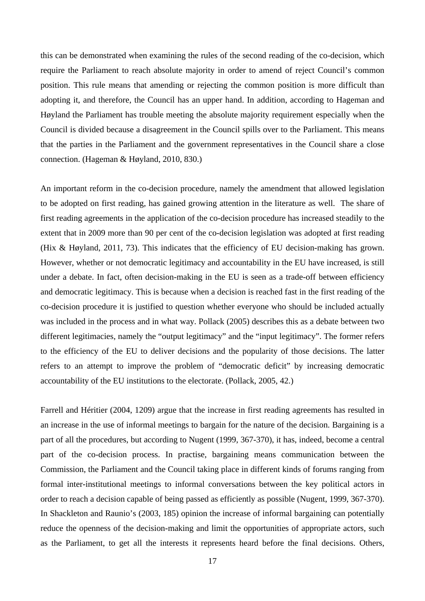this can be demonstrated when examining the rules of the second reading of the co-decision, which require the Parliament to reach absolute majority in order to amend of reject Council's common position. This rule means that amending or rejecting the common position is more difficult than adopting it, and therefore, the Council has an upper hand. In addition, according to Hageman and Høyland the Parliament has trouble meeting the absolute majority requirement especially when the Council is divided because a disagreement in the Council spills over to the Parliament. This means that the parties in the Parliament and the government representatives in the Council share a close connection. (Hageman & Høyland, 2010, 830.)

An important reform in the co-decision procedure, namely the amendment that allowed legislation to be adopted on first reading, has gained growing attention in the literature as well. The share of first reading agreements in the application of the co-decision procedure has increased steadily to the extent that in 2009 more than 90 per cent of the co-decision legislation was adopted at first reading (Hix & Høyland, 2011, 73). This indicates that the efficiency of EU decision-making has grown. However, whether or not democratic legitimacy and accountability in the EU have increased, is still under a debate. In fact, often decision-making in the EU is seen as a trade-off between efficiency and democratic legitimacy. This is because when a decision is reached fast in the first reading of the co-decision procedure it is justified to question whether everyone who should be included actually was included in the process and in what way. Pollack (2005) describes this as a debate between two different legitimacies, namely the "output legitimacy" and the "input legitimacy". The former refers to the efficiency of the EU to deliver decisions and the popularity of those decisions. The latter refers to an attempt to improve the problem of "democratic deficit" by increasing democratic accountability of the EU institutions to the electorate. (Pollack, 2005, 42.)

Farrell and Héritier (2004, 1209) argue that the increase in first reading agreements has resulted in an increase in the use of informal meetings to bargain for the nature of the decision. Bargaining is a part of all the procedures, but according to Nugent (1999, 367-370), it has, indeed, become a central part of the co-decision process. In practise, bargaining means communication between the Commission, the Parliament and the Council taking place in different kinds of forums ranging from formal inter-institutional meetings to informal conversations between the key political actors in order to reach a decision capable of being passed as efficiently as possible (Nugent, 1999, 367-370). In Shackleton and Raunio's (2003, 185) opinion the increase of informal bargaining can potentially reduce the openness of the decision-making and limit the opportunities of appropriate actors, such as the Parliament, to get all the interests it represents heard before the final decisions. Others,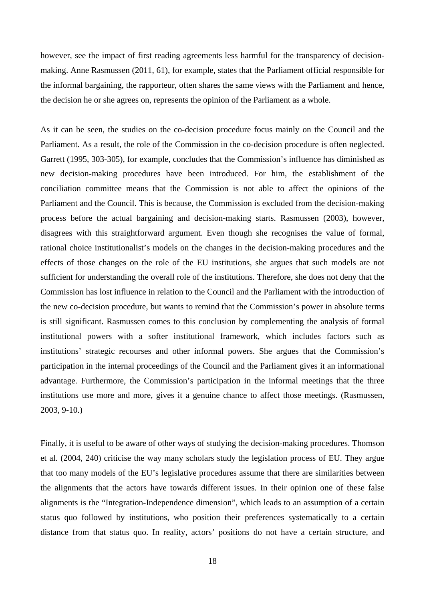however, see the impact of first reading agreements less harmful for the transparency of decisionmaking. Anne Rasmussen (2011, 61), for example, states that the Parliament official responsible for the informal bargaining, the rapporteur, often shares the same views with the Parliament and hence, the decision he or she agrees on, represents the opinion of the Parliament as a whole.

As it can be seen, the studies on the co-decision procedure focus mainly on the Council and the Parliament. As a result, the role of the Commission in the co-decision procedure is often neglected. Garrett (1995, 303-305), for example, concludes that the Commission's influence has diminished as new decision-making procedures have been introduced. For him, the establishment of the conciliation committee means that the Commission is not able to affect the opinions of the Parliament and the Council. This is because, the Commission is excluded from the decision-making process before the actual bargaining and decision-making starts. Rasmussen (2003), however, disagrees with this straightforward argument. Even though she recognises the value of formal, rational choice institutionalist's models on the changes in the decision-making procedures and the effects of those changes on the role of the EU institutions, she argues that such models are not sufficient for understanding the overall role of the institutions. Therefore, she does not deny that the Commission has lost influence in relation to the Council and the Parliament with the introduction of the new co-decision procedure, but wants to remind that the Commission's power in absolute terms is still significant. Rasmussen comes to this conclusion by complementing the analysis of formal institutional powers with a softer institutional framework, which includes factors such as institutions' strategic recourses and other informal powers. She argues that the Commission's participation in the internal proceedings of the Council and the Parliament gives it an informational advantage. Furthermore, the Commission's participation in the informal meetings that the three institutions use more and more, gives it a genuine chance to affect those meetings. (Rasmussen, 2003, 9-10.)

Finally, it is useful to be aware of other ways of studying the decision-making procedures. Thomson et al. (2004, 240) criticise the way many scholars study the legislation process of EU. They argue that too many models of the EU's legislative procedures assume that there are similarities between the alignments that the actors have towards different issues. In their opinion one of these false alignments is the "Integration-Independence dimension", which leads to an assumption of a certain status quo followed by institutions, who position their preferences systematically to a certain distance from that status quo. In reality, actors' positions do not have a certain structure, and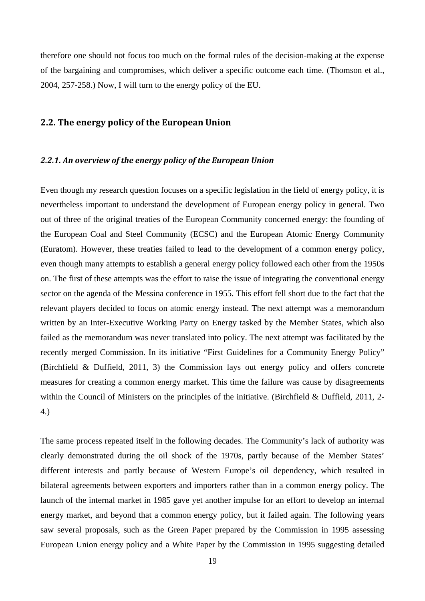therefore one should not focus too much on the formal rules of the decision-making at the expense of the bargaining and compromises, which deliver a specific outcome each time. (Thomson et al., 2004, 257-258.) Now, I will turn to the energy policy of the EU.

# **2.2. The energy policy of the European Union**

## *2.2.1. An overview of the energy policy of the European Union*

Even though my research question focuses on a specific legislation in the field of energy policy, it is nevertheless important to understand the development of European energy policy in general. Two out of three of the original treaties of the European Community concerned energy: the founding of the European Coal and Steel Community (ECSC) and the European Atomic Energy Community (Euratom). However, these treaties failed to lead to the development of a common energy policy, even though many attempts to establish a general energy policy followed each other from the 1950s on. The first of these attempts was the effort to raise the issue of integrating the conventional energy sector on the agenda of the Messina conference in 1955. This effort fell short due to the fact that the relevant players decided to focus on atomic energy instead. The next attempt was a memorandum written by an Inter-Executive Working Party on Energy tasked by the Member States, which also failed as the memorandum was never translated into policy. The next attempt was facilitated by the recently merged Commission. In its initiative "First Guidelines for a Community Energy Policy" (Birchfield & Duffield, 2011, 3) the Commission lays out energy policy and offers concrete measures for creating a common energy market. This time the failure was cause by disagreements within the Council of Ministers on the principles of the initiative. (Birchfield & Duffield, 2011, 2-4.)

The same process repeated itself in the following decades. The Community's lack of authority was clearly demonstrated during the oil shock of the 1970s, partly because of the Member States' different interests and partly because of Western Europe's oil dependency, which resulted in bilateral agreements between exporters and importers rather than in a common energy policy. The launch of the internal market in 1985 gave yet another impulse for an effort to develop an internal energy market, and beyond that a common energy policy, but it failed again. The following years saw several proposals, such as the Green Paper prepared by the Commission in 1995 assessing European Union energy policy and a White Paper by the Commission in 1995 suggesting detailed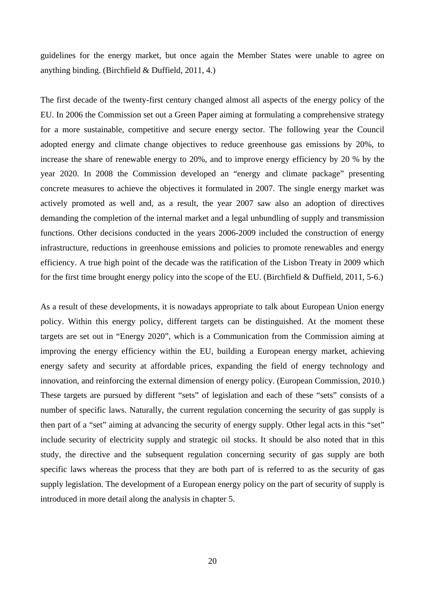guidelines for the energy market, but once again the Member States were unable to agree on anything binding. (Birchfield & Duffield, 2011, 4.)

The first decade of the twenty-first century changed almost all aspects of the energy policy of the EU. In 2006 the Commission set out a Green Paper aiming at formulating a comprehensive strategy for a more sustainable, competitive and secure energy sector. The following year the Council adopted energy and climate change objectives to reduce greenhouse gas emissions by 20%, to increase the share of renewable energy to 20%, and to improve energy efficiency by 20 % by the year 2020. In 2008 the Commission developed an "energy and climate package" presenting concrete measures to achieve the objectives it formulated in 2007. The single energy market was actively promoted as well and, as a result, the year 2007 saw also an adoption of directives demanding the completion of the internal market and a legal unbundling of supply and transmission functions. Other decisions conducted in the years 2006-2009 included the construction of energy infrastructure, reductions in greenhouse emissions and policies to promote renewables and energy efficiency. A true high point of the decade was the ratification of the Lisbon Treaty in 2009 which for the first time brought energy policy into the scope of the EU. (Birchfield & Duffield, 2011, 5-6.)

As a result of these developments, it is nowadays appropriate to talk about European Union energy policy. Within this energy policy, different targets can be distinguished. At the moment these targets are set out in "Energy 2020", which is a Communication from the Commission aiming at improving the energy efficiency within the EU, building a European energy market, achieving energy safety and security at affordable prices, expanding the field of energy technology and innovation, and reinforcing the external dimension of energy policy. (European Commission, 2010.) These targets are pursued by different "sets" of legislation and each of these "sets" consists of a number of specific laws. Naturally, the current regulation concerning the security of gas supply is then part of a "set" aiming at advancing the security of energy supply. Other legal acts in this "set" include security of electricity supply and strategic oil stocks. It should be also noted that in this study, the directive and the subsequent regulation concerning security of gas supply are both specific laws whereas the process that they are both part of is referred to as the security of gas supply legislation. The development of a European energy policy on the part of security of supply is introduced in more detail along the analysis in chapter 5.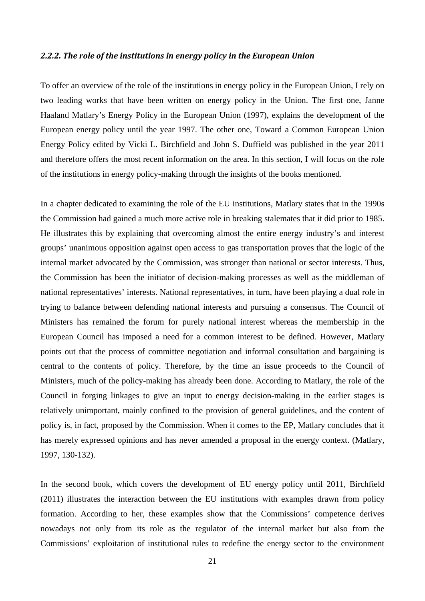#### *2.2.2. The role of the institutions in energy policy in the European Union*

To offer an overview of the role of the institutions in energy policy in the European Union, I rely on two leading works that have been written on energy policy in the Union. The first one, Janne Haaland Matlary's Energy Policy in the European Union (1997), explains the development of the European energy policy until the year 1997. The other one, Toward a Common European Union Energy Policy edited by Vicki L. Birchfield and John S. Duffield was published in the year 2011 and therefore offers the most recent information on the area. In this section, I will focus on the role of the institutions in energy policy-making through the insights of the books mentioned.

In a chapter dedicated to examining the role of the EU institutions, Matlary states that in the 1990s the Commission had gained a much more active role in breaking stalemates that it did prior to 1985. He illustrates this by explaining that overcoming almost the entire energy industry's and interest groups' unanimous opposition against open access to gas transportation proves that the logic of the internal market advocated by the Commission, was stronger than national or sector interests. Thus, the Commission has been the initiator of decision-making processes as well as the middleman of national representatives' interests. National representatives, in turn, have been playing a dual role in trying to balance between defending national interests and pursuing a consensus. The Council of Ministers has remained the forum for purely national interest whereas the membership in the European Council has imposed a need for a common interest to be defined. However, Matlary points out that the process of committee negotiation and informal consultation and bargaining is central to the contents of policy. Therefore, by the time an issue proceeds to the Council of Ministers, much of the policy-making has already been done. According to Matlary, the role of the Council in forging linkages to give an input to energy decision-making in the earlier stages is relatively unimportant, mainly confined to the provision of general guidelines, and the content of policy is, in fact, proposed by the Commission. When it comes to the EP, Matlary concludes that it has merely expressed opinions and has never amended a proposal in the energy context. (Matlary, 1997, 130-132).

In the second book, which covers the development of EU energy policy until 2011, Birchfield (2011) illustrates the interaction between the EU institutions with examples drawn from policy formation. According to her, these examples show that the Commissions' competence derives nowadays not only from its role as the regulator of the internal market but also from the Commissions' exploitation of institutional rules to redefine the energy sector to the environment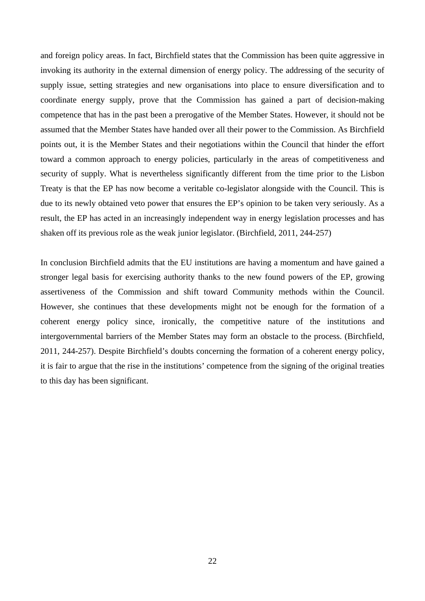and foreign policy areas. In fact, Birchfield states that the Commission has been quite aggressive in invoking its authority in the external dimension of energy policy. The addressing of the security of supply issue, setting strategies and new organisations into place to ensure diversification and to coordinate energy supply, prove that the Commission has gained a part of decision-making competence that has in the past been a prerogative of the Member States. However, it should not be assumed that the Member States have handed over all their power to the Commission. As Birchfield points out, it is the Member States and their negotiations within the Council that hinder the effort toward a common approach to energy policies, particularly in the areas of competitiveness and security of supply. What is nevertheless significantly different from the time prior to the Lisbon Treaty is that the EP has now become a veritable co-legislator alongside with the Council. This is due to its newly obtained veto power that ensures the EP's opinion to be taken very seriously. As a result, the EP has acted in an increasingly independent way in energy legislation processes and has shaken off its previous role as the weak junior legislator. (Birchfield, 2011, 244-257)

In conclusion Birchfield admits that the EU institutions are having a momentum and have gained a stronger legal basis for exercising authority thanks to the new found powers of the EP, growing assertiveness of the Commission and shift toward Community methods within the Council. However, she continues that these developments might not be enough for the formation of a coherent energy policy since, ironically, the competitive nature of the institutions and intergovernmental barriers of the Member States may form an obstacle to the process. (Birchfield, 2011, 244-257). Despite Birchfield's doubts concerning the formation of a coherent energy policy, it is fair to argue that the rise in the institutions' competence from the signing of the original treaties to this day has been significant.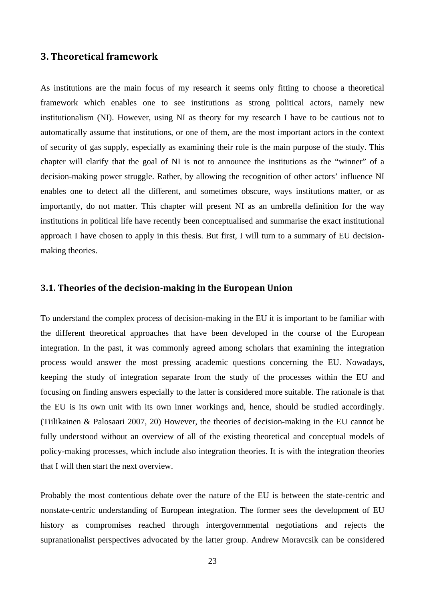# **3. Theoretical framework**

As institutions are the main focus of my research it seems only fitting to choose a theoretical framework which enables one to see institutions as strong political actors, namely new institutionalism (NI). However, using NI as theory for my research I have to be cautious not to automatically assume that institutions, or one of them, are the most important actors in the context of security of gas supply, especially as examining their role is the main purpose of the study. This chapter will clarify that the goal of NI is not to announce the institutions as the "winner" of a decision-making power struggle. Rather, by allowing the recognition of other actors' influence NI enables one to detect all the different, and sometimes obscure, ways institutions matter, or as importantly, do not matter. This chapter will present NI as an umbrella definition for the way institutions in political life have recently been conceptualised and summarise the exact institutional approach I have chosen to apply in this thesis. But first, I will turn to a summary of EU decisionmaking theories.

## **3.1. Theories of the decisionmaking in the European Union**

To understand the complex process of decision-making in the EU it is important to be familiar with the different theoretical approaches that have been developed in the course of the European integration. In the past, it was commonly agreed among scholars that examining the integration process would answer the most pressing academic questions concerning the EU. Nowadays, keeping the study of integration separate from the study of the processes within the EU and focusing on finding answers especially to the latter is considered more suitable. The rationale is that the EU is its own unit with its own inner workings and, hence, should be studied accordingly. (Tiilikainen & Palosaari 2007, 20) However, the theories of decision-making in the EU cannot be fully understood without an overview of all of the existing theoretical and conceptual models of policy-making processes, which include also integration theories. It is with the integration theories that I will then start the next overview.

Probably the most contentious debate over the nature of the EU is between the state-centric and nonstate-centric understanding of European integration. The former sees the development of EU history as compromises reached through intergovernmental negotiations and rejects the supranationalist perspectives advocated by the latter group. Andrew Moravcsik can be considered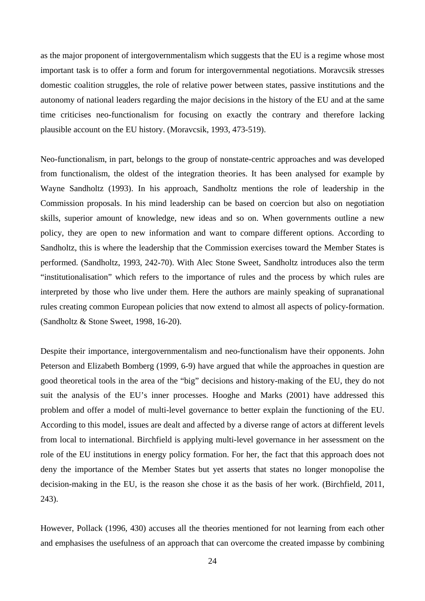as the major proponent of intergovernmentalism which suggests that the EU is a regime whose most important task is to offer a form and forum for intergovernmental negotiations. Moravcsik stresses domestic coalition struggles, the role of relative power between states, passive institutions and the autonomy of national leaders regarding the major decisions in the history of the EU and at the same time criticises neo-functionalism for focusing on exactly the contrary and therefore lacking plausible account on the EU history. (Moravcsik, 1993, 473-519).

Neo-functionalism, in part, belongs to the group of nonstate-centric approaches and was developed from functionalism, the oldest of the integration theories. It has been analysed for example by Wayne Sandholtz (1993). In his approach, Sandholtz mentions the role of leadership in the Commission proposals. In his mind leadership can be based on coercion but also on negotiation skills, superior amount of knowledge, new ideas and so on. When governments outline a new policy, they are open to new information and want to compare different options. According to Sandholtz, this is where the leadership that the Commission exercises toward the Member States is performed. (Sandholtz, 1993, 242-70). With Alec Stone Sweet, Sandholtz introduces also the term "institutionalisation" which refers to the importance of rules and the process by which rules are interpreted by those who live under them. Here the authors are mainly speaking of supranational rules creating common European policies that now extend to almost all aspects of policy-formation. (Sandholtz & Stone Sweet, 1998, 16-20).

Despite their importance, intergovernmentalism and neo-functionalism have their opponents. John Peterson and Elizabeth Bomberg (1999, 6-9) have argued that while the approaches in question are good theoretical tools in the area of the "big" decisions and history-making of the EU, they do not suit the analysis of the EU's inner processes. Hooghe and Marks (2001) have addressed this problem and offer a model of multi-level governance to better explain the functioning of the EU. According to this model, issues are dealt and affected by a diverse range of actors at different levels from local to international. Birchfield is applying multi-level governance in her assessment on the role of the EU institutions in energy policy formation. For her, the fact that this approach does not deny the importance of the Member States but yet asserts that states no longer monopolise the decision-making in the EU, is the reason she chose it as the basis of her work. (Birchfield, 2011, 243).

However, Pollack (1996, 430) accuses all the theories mentioned for not learning from each other and emphasises the usefulness of an approach that can overcome the created impasse by combining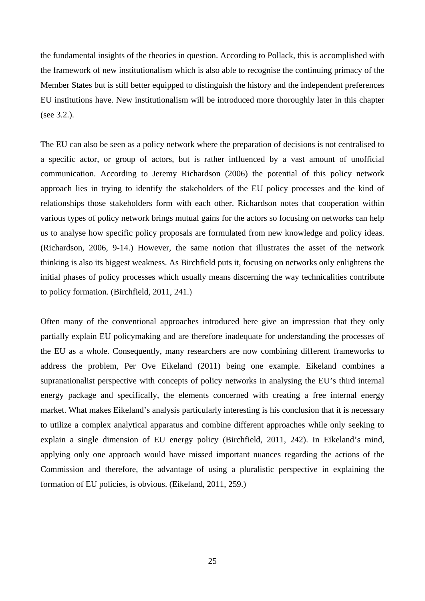the fundamental insights of the theories in question. According to Pollack, this is accomplished with the framework of new institutionalism which is also able to recognise the continuing primacy of the Member States but is still better equipped to distinguish the history and the independent preferences EU institutions have. New institutionalism will be introduced more thoroughly later in this chapter (see 3.2.).

The EU can also be seen as a policy network where the preparation of decisions is not centralised to a specific actor, or group of actors, but is rather influenced by a vast amount of unofficial communication. According to Jeremy Richardson (2006) the potential of this policy network approach lies in trying to identify the stakeholders of the EU policy processes and the kind of relationships those stakeholders form with each other. Richardson notes that cooperation within various types of policy network brings mutual gains for the actors so focusing on networks can help us to analyse how specific policy proposals are formulated from new knowledge and policy ideas. (Richardson, 2006, 9-14.) However, the same notion that illustrates the asset of the network thinking is also its biggest weakness. As Birchfield puts it, focusing on networks only enlightens the initial phases of policy processes which usually means discerning the way technicalities contribute to policy formation. (Birchfield, 2011, 241.)

Often many of the conventional approaches introduced here give an impression that they only partially explain EU policymaking and are therefore inadequate for understanding the processes of the EU as a whole. Consequently, many researchers are now combining different frameworks to address the problem, Per Ove Eikeland (2011) being one example. Eikeland combines a supranationalist perspective with concepts of policy networks in analysing the EU's third internal energy package and specifically, the elements concerned with creating a free internal energy market. What makes Eikeland's analysis particularly interesting is his conclusion that it is necessary to utilize a complex analytical apparatus and combine different approaches while only seeking to explain a single dimension of EU energy policy (Birchfield, 2011, 242). In Eikeland's mind, applying only one approach would have missed important nuances regarding the actions of the Commission and therefore, the advantage of using a pluralistic perspective in explaining the formation of EU policies, is obvious. (Eikeland, 2011, 259.)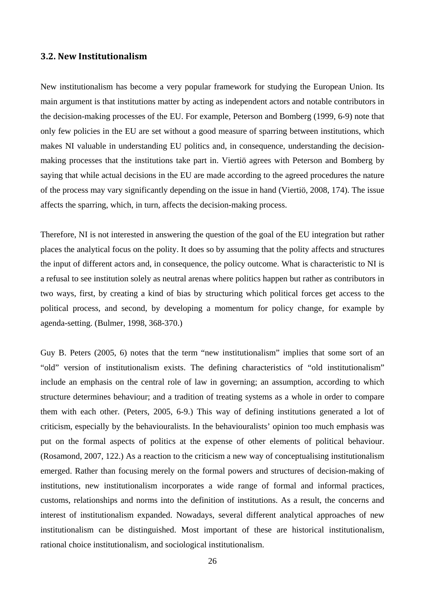## **3.2. New Institutionalism**

New institutionalism has become a very popular framework for studying the European Union. Its main argument is that institutions matter by acting as independent actors and notable contributors in the decision-making processes of the EU. For example, Peterson and Bomberg (1999, 6-9) note that only few policies in the EU are set without a good measure of sparring between institutions, which makes NI valuable in understanding EU politics and, in consequence, understanding the decisionmaking processes that the institutions take part in. Viertiö agrees with Peterson and Bomberg by saying that while actual decisions in the EU are made according to the agreed procedures the nature of the process may vary significantly depending on the issue in hand (Viertiö, 2008, 174). The issue affects the sparring, which, in turn, affects the decision-making process.

Therefore, NI is not interested in answering the question of the goal of the EU integration but rather places the analytical focus on the polity. It does so by assuming that the polity affects and structures the input of different actors and, in consequence, the policy outcome. What is characteristic to NI is a refusal to see institution solely as neutral arenas where politics happen but rather as contributors in two ways, first, by creating a kind of bias by structuring which political forces get access to the political process, and second, by developing a momentum for policy change, for example by agenda-setting. (Bulmer, 1998, 368-370.)

Guy B. Peters (2005, 6) notes that the term "new institutionalism" implies that some sort of an "old" version of institutionalism exists. The defining characteristics of "old institutionalism" include an emphasis on the central role of law in governing; an assumption, according to which structure determines behaviour; and a tradition of treating systems as a whole in order to compare them with each other. (Peters, 2005, 6-9.) This way of defining institutions generated a lot of criticism, especially by the behaviouralists. In the behaviouralists' opinion too much emphasis was put on the formal aspects of politics at the expense of other elements of political behaviour. (Rosamond, 2007, 122.) As a reaction to the criticism a new way of conceptualising institutionalism emerged. Rather than focusing merely on the formal powers and structures of decision-making of institutions, new institutionalism incorporates a wide range of formal and informal practices, customs, relationships and norms into the definition of institutions. As a result, the concerns and interest of institutionalism expanded. Nowadays, several different analytical approaches of new institutionalism can be distinguished. Most important of these are historical institutionalism, rational choice institutionalism, and sociological institutionalism.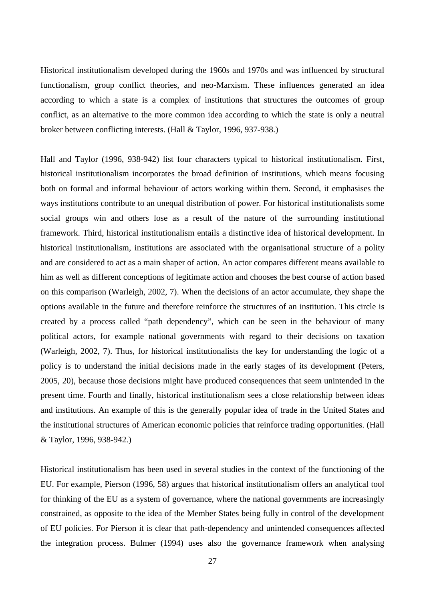Historical institutionalism developed during the 1960s and 1970s and was influenced by structural functionalism, group conflict theories, and neo-Marxism. These influences generated an idea according to which a state is a complex of institutions that structures the outcomes of group conflict, as an alternative to the more common idea according to which the state is only a neutral broker between conflicting interests. (Hall & Taylor, 1996, 937-938.)

Hall and Taylor (1996, 938-942) list four characters typical to historical institutionalism. First, historical institutionalism incorporates the broad definition of institutions, which means focusing both on formal and informal behaviour of actors working within them. Second, it emphasises the ways institutions contribute to an unequal distribution of power. For historical institutionalists some social groups win and others lose as a result of the nature of the surrounding institutional framework. Third, historical institutionalism entails a distinctive idea of historical development. In historical institutionalism, institutions are associated with the organisational structure of a polity and are considered to act as a main shaper of action. An actor compares different means available to him as well as different conceptions of legitimate action and chooses the best course of action based on this comparison (Warleigh, 2002, 7). When the decisions of an actor accumulate, they shape the options available in the future and therefore reinforce the structures of an institution. This circle is created by a process called "path dependency", which can be seen in the behaviour of many political actors, for example national governments with regard to their decisions on taxation (Warleigh, 2002, 7). Thus, for historical institutionalists the key for understanding the logic of a policy is to understand the initial decisions made in the early stages of its development (Peters, 2005, 20), because those decisions might have produced consequences that seem unintended in the present time. Fourth and finally, historical institutionalism sees a close relationship between ideas and institutions. An example of this is the generally popular idea of trade in the United States and the institutional structures of American economic policies that reinforce trading opportunities. (Hall & Taylor, 1996, 938-942.)

Historical institutionalism has been used in several studies in the context of the functioning of the EU. For example, Pierson (1996, 58) argues that historical institutionalism offers an analytical tool for thinking of the EU as a system of governance, where the national governments are increasingly constrained, as opposite to the idea of the Member States being fully in control of the development of EU policies. For Pierson it is clear that path-dependency and unintended consequences affected the integration process. Bulmer (1994) uses also the governance framework when analysing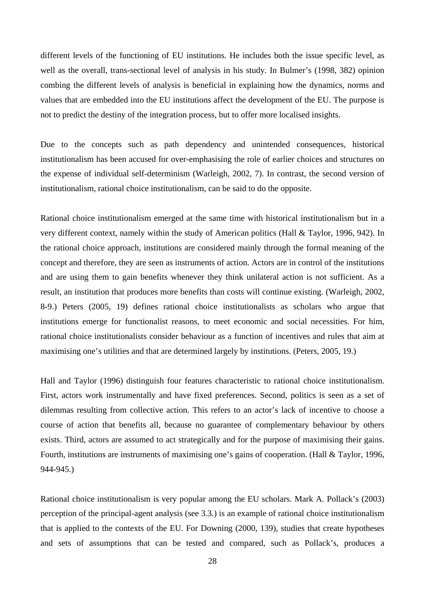different levels of the functioning of EU institutions. He includes both the issue specific level, as well as the overall, trans-sectional level of analysis in his study. In Bulmer's (1998, 382) opinion combing the different levels of analysis is beneficial in explaining how the dynamics, norms and values that are embedded into the EU institutions affect the development of the EU. The purpose is not to predict the destiny of the integration process, but to offer more localised insights.

Due to the concepts such as path dependency and unintended consequences, historical institutionalism has been accused for over-emphasising the role of earlier choices and structures on the expense of individual self-determinism (Warleigh, 2002, 7). In contrast, the second version of institutionalism, rational choice institutionalism, can be said to do the opposite.

Rational choice institutionalism emerged at the same time with historical institutionalism but in a very different context, namely within the study of American politics (Hall & Taylor, 1996, 942). In the rational choice approach, institutions are considered mainly through the formal meaning of the concept and therefore, they are seen as instruments of action. Actors are in control of the institutions and are using them to gain benefits whenever they think unilateral action is not sufficient. As a result, an institution that produces more benefits than costs will continue existing. (Warleigh, 2002, 8-9.) Peters (2005, 19) defines rational choice institutionalists as scholars who argue that institutions emerge for functionalist reasons, to meet economic and social necessities. For him, rational choice institutionalists consider behaviour as a function of incentives and rules that aim at maximising one's utilities and that are determined largely by institutions. (Peters, 2005, 19.)

Hall and Taylor (1996) distinguish four features characteristic to rational choice institutionalism. First, actors work instrumentally and have fixed preferences. Second, politics is seen as a set of dilemmas resulting from collective action. This refers to an actor's lack of incentive to choose a course of action that benefits all, because no guarantee of complementary behaviour by others exists. Third, actors are assumed to act strategically and for the purpose of maximising their gains. Fourth, institutions are instruments of maximising one's gains of cooperation. (Hall & Taylor, 1996, 944-945.)

Rational choice institutionalism is very popular among the EU scholars. Mark A. Pollack's (2003) perception of the principal-agent analysis (see 3.3.) is an example of rational choice institutionalism that is applied to the contexts of the EU. For Downing (2000, 139), studies that create hypotheses and sets of assumptions that can be tested and compared, such as Pollack's, produces a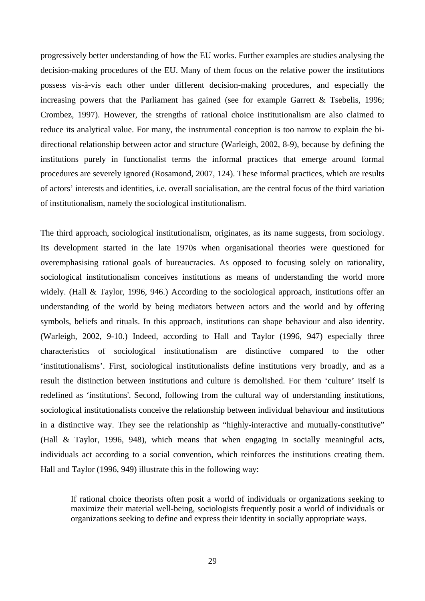progressively better understanding of how the EU works. Further examples are studies analysing the decision-making procedures of the EU. Many of them focus on the relative power the institutions possess vis-à-vis each other under different decision-making procedures, and especially the increasing powers that the Parliament has gained (see for example Garrett & Tsebelis, 1996; Crombez, 1997). However, the strengths of rational choice institutionalism are also claimed to reduce its analytical value. For many, the instrumental conception is too narrow to explain the bidirectional relationship between actor and structure (Warleigh, 2002, 8-9), because by defining the institutions purely in functionalist terms the informal practices that emerge around formal procedures are severely ignored (Rosamond, 2007, 124). These informal practices, which are results of actors' interests and identities, i.e. overall socialisation, are the central focus of the third variation of institutionalism, namely the sociological institutionalism.

The third approach, sociological institutionalism, originates, as its name suggests, from sociology. Its development started in the late 1970s when organisational theories were questioned for overemphasising rational goals of bureaucracies. As opposed to focusing solely on rationality, sociological institutionalism conceives institutions as means of understanding the world more widely. (Hall & Taylor, 1996, 946.) According to the sociological approach, institutions offer an understanding of the world by being mediators between actors and the world and by offering symbols, beliefs and rituals. In this approach, institutions can shape behaviour and also identity. (Warleigh, 2002, 9-10.) Indeed, according to Hall and Taylor (1996, 947) especially three characteristics of sociological institutionalism are distinctive compared to the other 'institutionalisms'. First, sociological institutionalists define institutions very broadly, and as a result the distinction between institutions and culture is demolished. For them 'culture' itself is redefined as 'institutions'. Second, following from the cultural way of understanding institutions, sociological institutionalists conceive the relationship between individual behaviour and institutions in a distinctive way. They see the relationship as "highly-interactive and mutually-constitutive" (Hall & Taylor, 1996, 948), which means that when engaging in socially meaningful acts, individuals act according to a social convention, which reinforces the institutions creating them. Hall and Taylor (1996, 949) illustrate this in the following way:

If rational choice theorists often posit a world of individuals or organizations seeking to maximize their material well-being, sociologists frequently posit a world of individuals or organizations seeking to define and express their identity in socially appropriate ways.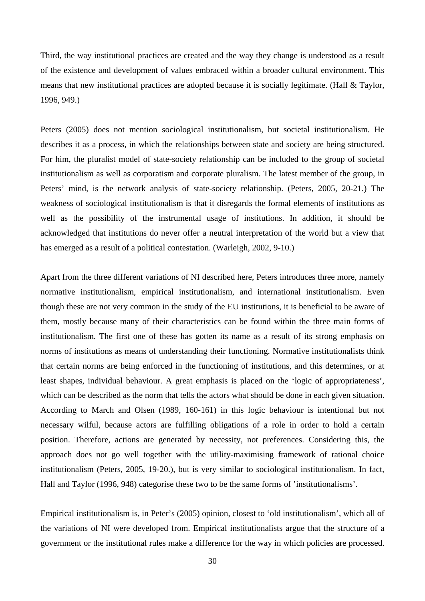Third, the way institutional practices are created and the way they change is understood as a result of the existence and development of values embraced within a broader cultural environment. This means that new institutional practices are adopted because it is socially legitimate. (Hall & Taylor, 1996, 949.)

Peters (2005) does not mention sociological institutionalism, but societal institutionalism. He describes it as a process, in which the relationships between state and society are being structured. For him, the pluralist model of state-society relationship can be included to the group of societal institutionalism as well as corporatism and corporate pluralism. The latest member of the group, in Peters' mind, is the network analysis of state-society relationship. (Peters, 2005, 20-21.) The weakness of sociological institutionalism is that it disregards the formal elements of institutions as well as the possibility of the instrumental usage of institutions. In addition, it should be acknowledged that institutions do never offer a neutral interpretation of the world but a view that has emerged as a result of a political contestation. (Warleigh, 2002, 9-10.)

Apart from the three different variations of NI described here, Peters introduces three more, namely normative institutionalism, empirical institutionalism, and international institutionalism. Even though these are not very common in the study of the EU institutions, it is beneficial to be aware of them, mostly because many of their characteristics can be found within the three main forms of institutionalism. The first one of these has gotten its name as a result of its strong emphasis on norms of institutions as means of understanding their functioning. Normative institutionalists think that certain norms are being enforced in the functioning of institutions, and this determines, or at least shapes, individual behaviour. A great emphasis is placed on the 'logic of appropriateness', which can be described as the norm that tells the actors what should be done in each given situation. According to March and Olsen (1989, 160-161) in this logic behaviour is intentional but not necessary wilful, because actors are fulfilling obligations of a role in order to hold a certain position. Therefore, actions are generated by necessity, not preferences. Considering this, the approach does not go well together with the utility-maximising framework of rational choice institutionalism (Peters, 2005, 19-20.), but is very similar to sociological institutionalism. In fact, Hall and Taylor (1996, 948) categorise these two to be the same forms of 'institutionalisms'.

Empirical institutionalism is, in Peter's (2005) opinion, closest to 'old institutionalism', which all of the variations of NI were developed from. Empirical institutionalists argue that the structure of a government or the institutional rules make a difference for the way in which policies are processed.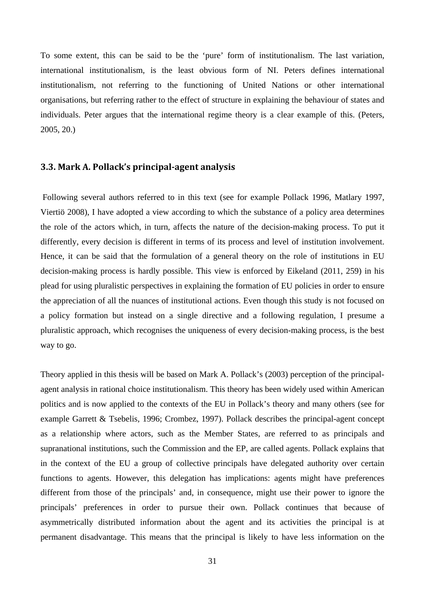To some extent, this can be said to be the 'pure' form of institutionalism. The last variation, international institutionalism, is the least obvious form of NI. Peters defines international institutionalism, not referring to the functioning of United Nations or other international organisations, but referring rather to the effect of structure in explaining the behaviour of states and individuals. Peter argues that the international regime theory is a clear example of this. (Peters, 2005, 20.)

#### **3.3. Mark A. Pollack's principalagent analysis**

 Following several authors referred to in this text (see for example Pollack 1996, Matlary 1997, Viertiö 2008), I have adopted a view according to which the substance of a policy area determines the role of the actors which, in turn, affects the nature of the decision-making process. To put it differently, every decision is different in terms of its process and level of institution involvement. Hence, it can be said that the formulation of a general theory on the role of institutions in EU decision-making process is hardly possible. This view is enforced by Eikeland (2011, 259) in his plead for using pluralistic perspectives in explaining the formation of EU policies in order to ensure the appreciation of all the nuances of institutional actions. Even though this study is not focused on a policy formation but instead on a single directive and a following regulation, I presume a pluralistic approach, which recognises the uniqueness of every decision-making process, is the best way to go.

Theory applied in this thesis will be based on Mark A. Pollack's (2003) perception of the principalagent analysis in rational choice institutionalism. This theory has been widely used within American politics and is now applied to the contexts of the EU in Pollack's theory and many others (see for example Garrett & Tsebelis, 1996; Crombez, 1997). Pollack describes the principal-agent concept as a relationship where actors, such as the Member States, are referred to as principals and supranational institutions, such the Commission and the EP, are called agents. Pollack explains that in the context of the EU a group of collective principals have delegated authority over certain functions to agents. However, this delegation has implications: agents might have preferences different from those of the principals' and, in consequence, might use their power to ignore the principals' preferences in order to pursue their own. Pollack continues that because of asymmetrically distributed information about the agent and its activities the principal is at permanent disadvantage. This means that the principal is likely to have less information on the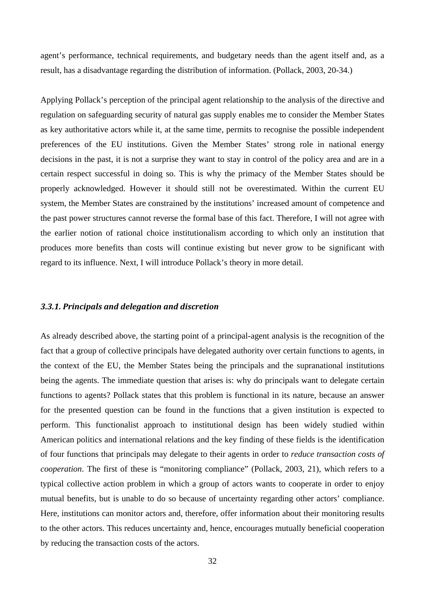agent's performance, technical requirements, and budgetary needs than the agent itself and, as a result, has a disadvantage regarding the distribution of information. (Pollack, 2003, 20-34.)

Applying Pollack's perception of the principal agent relationship to the analysis of the directive and regulation on safeguarding security of natural gas supply enables me to consider the Member States as key authoritative actors while it, at the same time, permits to recognise the possible independent preferences of the EU institutions. Given the Member States' strong role in national energy decisions in the past, it is not a surprise they want to stay in control of the policy area and are in a certain respect successful in doing so. This is why the primacy of the Member States should be properly acknowledged. However it should still not be overestimated. Within the current EU system, the Member States are constrained by the institutions' increased amount of competence and the past power structures cannot reverse the formal base of this fact. Therefore, I will not agree with the earlier notion of rational choice institutionalism according to which only an institution that produces more benefits than costs will continue existing but never grow to be significant with regard to its influence. Next, I will introduce Pollack's theory in more detail.

#### *3.3.1. Principals and delegation and discretion*

As already described above, the starting point of a principal-agent analysis is the recognition of the fact that a group of collective principals have delegated authority over certain functions to agents, in the context of the EU, the Member States being the principals and the supranational institutions being the agents. The immediate question that arises is: why do principals want to delegate certain functions to agents? Pollack states that this problem is functional in its nature, because an answer for the presented question can be found in the functions that a given institution is expected to perform. This functionalist approach to institutional design has been widely studied within American politics and international relations and the key finding of these fields is the identification of four functions that principals may delegate to their agents in order to *reduce transaction costs of cooperation*. The first of these is "monitoring compliance" (Pollack, 2003, 21), which refers to a typical collective action problem in which a group of actors wants to cooperate in order to enjoy mutual benefits, but is unable to do so because of uncertainty regarding other actors' compliance. Here, institutions can monitor actors and, therefore, offer information about their monitoring results to the other actors. This reduces uncertainty and, hence, encourages mutually beneficial cooperation by reducing the transaction costs of the actors.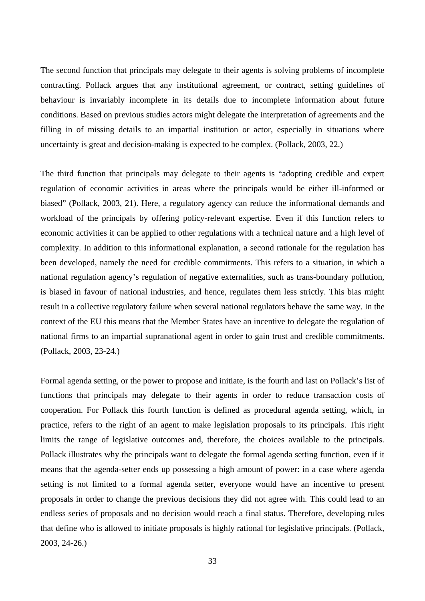The second function that principals may delegate to their agents is solving problems of incomplete contracting. Pollack argues that any institutional agreement, or contract, setting guidelines of behaviour is invariably incomplete in its details due to incomplete information about future conditions. Based on previous studies actors might delegate the interpretation of agreements and the filling in of missing details to an impartial institution or actor, especially in situations where uncertainty is great and decision-making is expected to be complex. (Pollack, 2003, 22.)

The third function that principals may delegate to their agents is "adopting credible and expert regulation of economic activities in areas where the principals would be either ill-informed or biased" (Pollack, 2003, 21). Here, a regulatory agency can reduce the informational demands and workload of the principals by offering policy-relevant expertise. Even if this function refers to economic activities it can be applied to other regulations with a technical nature and a high level of complexity. In addition to this informational explanation, a second rationale for the regulation has been developed, namely the need for credible commitments. This refers to a situation, in which a national regulation agency's regulation of negative externalities, such as trans-boundary pollution, is biased in favour of national industries, and hence, regulates them less strictly. This bias might result in a collective regulatory failure when several national regulators behave the same way. In the context of the EU this means that the Member States have an incentive to delegate the regulation of national firms to an impartial supranational agent in order to gain trust and credible commitments. (Pollack, 2003, 23-24.)

Formal agenda setting, or the power to propose and initiate, is the fourth and last on Pollack's list of functions that principals may delegate to their agents in order to reduce transaction costs of cooperation. For Pollack this fourth function is defined as procedural agenda setting, which, in practice, refers to the right of an agent to make legislation proposals to its principals. This right limits the range of legislative outcomes and, therefore, the choices available to the principals. Pollack illustrates why the principals want to delegate the formal agenda setting function, even if it means that the agenda-setter ends up possessing a high amount of power: in a case where agenda setting is not limited to a formal agenda setter, everyone would have an incentive to present proposals in order to change the previous decisions they did not agree with. This could lead to an endless series of proposals and no decision would reach a final status. Therefore, developing rules that define who is allowed to initiate proposals is highly rational for legislative principals. (Pollack, 2003, 24-26.)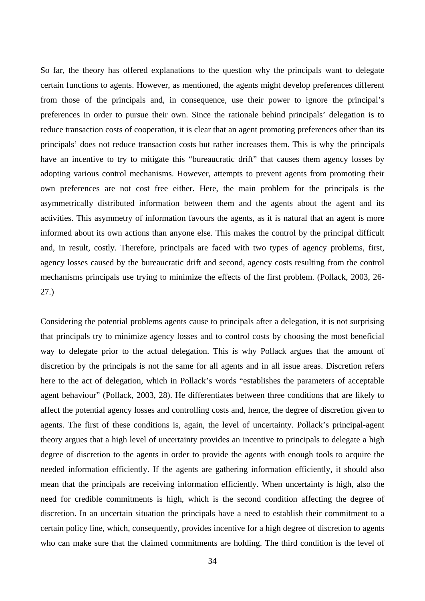So far, the theory has offered explanations to the question why the principals want to delegate certain functions to agents. However, as mentioned, the agents might develop preferences different from those of the principals and, in consequence, use their power to ignore the principal's preferences in order to pursue their own. Since the rationale behind principals' delegation is to reduce transaction costs of cooperation, it is clear that an agent promoting preferences other than its principals' does not reduce transaction costs but rather increases them. This is why the principals have an incentive to try to mitigate this "bureaucratic drift" that causes them agency losses by adopting various control mechanisms. However, attempts to prevent agents from promoting their own preferences are not cost free either. Here, the main problem for the principals is the asymmetrically distributed information between them and the agents about the agent and its activities. This asymmetry of information favours the agents, as it is natural that an agent is more informed about its own actions than anyone else. This makes the control by the principal difficult and, in result, costly. Therefore, principals are faced with two types of agency problems, first, agency losses caused by the bureaucratic drift and second, agency costs resulting from the control mechanisms principals use trying to minimize the effects of the first problem. (Pollack, 2003, 26- 27.)

Considering the potential problems agents cause to principals after a delegation, it is not surprising that principals try to minimize agency losses and to control costs by choosing the most beneficial way to delegate prior to the actual delegation. This is why Pollack argues that the amount of discretion by the principals is not the same for all agents and in all issue areas. Discretion refers here to the act of delegation, which in Pollack's words "establishes the parameters of acceptable agent behaviour" (Pollack, 2003, 28). He differentiates between three conditions that are likely to affect the potential agency losses and controlling costs and, hence, the degree of discretion given to agents. The first of these conditions is, again, the level of uncertainty. Pollack's principal-agent theory argues that a high level of uncertainty provides an incentive to principals to delegate a high degree of discretion to the agents in order to provide the agents with enough tools to acquire the needed information efficiently. If the agents are gathering information efficiently, it should also mean that the principals are receiving information efficiently. When uncertainty is high, also the need for credible commitments is high, which is the second condition affecting the degree of discretion. In an uncertain situation the principals have a need to establish their commitment to a certain policy line, which, consequently, provides incentive for a high degree of discretion to agents who can make sure that the claimed commitments are holding. The third condition is the level of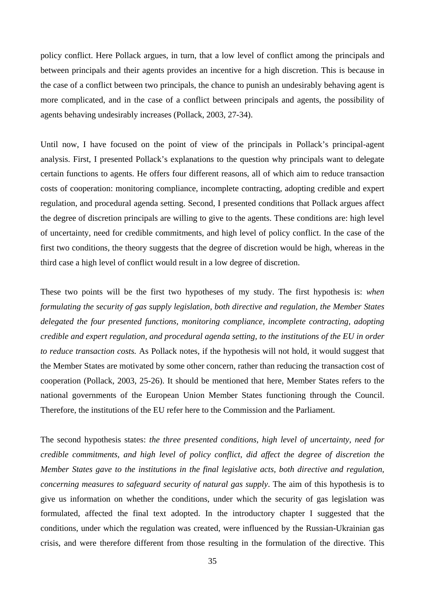policy conflict. Here Pollack argues, in turn, that a low level of conflict among the principals and between principals and their agents provides an incentive for a high discretion. This is because in the case of a conflict between two principals, the chance to punish an undesirably behaving agent is more complicated, and in the case of a conflict between principals and agents, the possibility of agents behaving undesirably increases (Pollack, 2003, 27-34).

Until now, I have focused on the point of view of the principals in Pollack's principal-agent analysis. First, I presented Pollack's explanations to the question why principals want to delegate certain functions to agents. He offers four different reasons, all of which aim to reduce transaction costs of cooperation: monitoring compliance, incomplete contracting, adopting credible and expert regulation, and procedural agenda setting. Second, I presented conditions that Pollack argues affect the degree of discretion principals are willing to give to the agents. These conditions are: high level of uncertainty, need for credible commitments, and high level of policy conflict. In the case of the first two conditions, the theory suggests that the degree of discretion would be high, whereas in the third case a high level of conflict would result in a low degree of discretion.

These two points will be the first two hypotheses of my study. The first hypothesis is: *when formulating the security of gas supply legislation, both directive and regulation, the Member States delegated the four presented functions, monitoring compliance, incomplete contracting, adopting credible and expert regulation, and procedural agenda setting, to the institutions of the EU in order to reduce transaction costs.* As Pollack notes, if the hypothesis will not hold, it would suggest that the Member States are motivated by some other concern, rather than reducing the transaction cost of cooperation (Pollack, 2003, 25-26). It should be mentioned that here, Member States refers to the national governments of the European Union Member States functioning through the Council. Therefore, the institutions of the EU refer here to the Commission and the Parliament.

The second hypothesis states: *the three presented conditions, high level of uncertainty, need for credible commitments, and high level of policy conflict, did affect the degree of discretion the Member States gave to the institutions in the final legislative acts, both directive and regulation, concerning measures to safeguard security of natural gas supply*. The aim of this hypothesis is to give us information on whether the conditions, under which the security of gas legislation was formulated, affected the final text adopted. In the introductory chapter I suggested that the conditions, under which the regulation was created, were influenced by the Russian-Ukrainian gas crisis, and were therefore different from those resulting in the formulation of the directive. This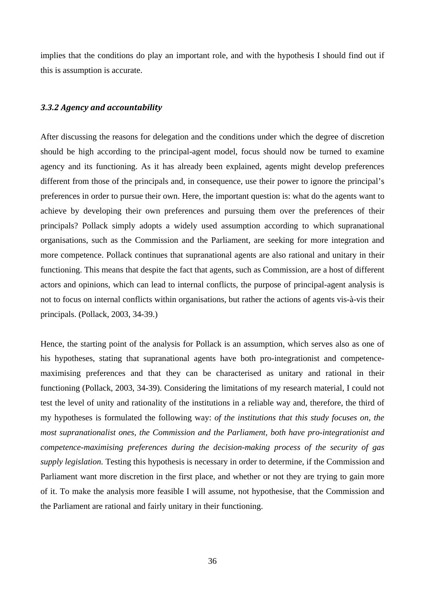implies that the conditions do play an important role, and with the hypothesis I should find out if this is assumption is accurate.

## *3.3.2 Agency and accountability*

After discussing the reasons for delegation and the conditions under which the degree of discretion should be high according to the principal-agent model, focus should now be turned to examine agency and its functioning. As it has already been explained, agents might develop preferences different from those of the principals and, in consequence, use their power to ignore the principal's preferences in order to pursue their own. Here, the important question is: what do the agents want to achieve by developing their own preferences and pursuing them over the preferences of their principals? Pollack simply adopts a widely used assumption according to which supranational organisations, such as the Commission and the Parliament, are seeking for more integration and more competence. Pollack continues that supranational agents are also rational and unitary in their functioning. This means that despite the fact that agents, such as Commission, are a host of different actors and opinions, which can lead to internal conflicts, the purpose of principal-agent analysis is not to focus on internal conflicts within organisations, but rather the actions of agents vis-à-vis their principals. (Pollack, 2003, 34-39.)

Hence, the starting point of the analysis for Pollack is an assumption, which serves also as one of his hypotheses, stating that supranational agents have both pro-integrationist and competencemaximising preferences and that they can be characterised as unitary and rational in their functioning (Pollack, 2003, 34-39). Considering the limitations of my research material, I could not test the level of unity and rationality of the institutions in a reliable way and, therefore, the third of my hypotheses is formulated the following way: *of the institutions that this study focuses on, the most supranationalist ones, the Commission and the Parliament, both have pro-integrationist and competence-maximising preferences during the decision-making process of the security of gas supply legislation.* Testing this hypothesis is necessary in order to determine, if the Commission and Parliament want more discretion in the first place, and whether or not they are trying to gain more of it. To make the analysis more feasible I will assume, not hypothesise, that the Commission and the Parliament are rational and fairly unitary in their functioning.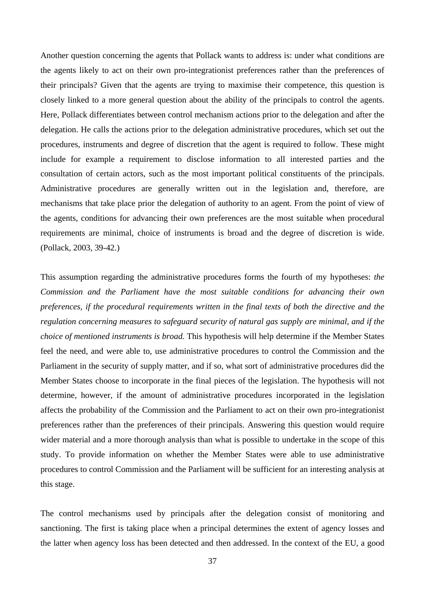Another question concerning the agents that Pollack wants to address is: under what conditions are the agents likely to act on their own pro-integrationist preferences rather than the preferences of their principals? Given that the agents are trying to maximise their competence, this question is closely linked to a more general question about the ability of the principals to control the agents. Here, Pollack differentiates between control mechanism actions prior to the delegation and after the delegation. He calls the actions prior to the delegation administrative procedures, which set out the procedures, instruments and degree of discretion that the agent is required to follow. These might include for example a requirement to disclose information to all interested parties and the consultation of certain actors, such as the most important political constituents of the principals. Administrative procedures are generally written out in the legislation and, therefore, are mechanisms that take place prior the delegation of authority to an agent. From the point of view of the agents, conditions for advancing their own preferences are the most suitable when procedural requirements are minimal, choice of instruments is broad and the degree of discretion is wide. (Pollack, 2003, 39-42.)

This assumption regarding the administrative procedures forms the fourth of my hypotheses: *the Commission and the Parliament have the most suitable conditions for advancing their own preferences, if the procedural requirements written in the final texts of both the directive and the regulation concerning measures to safeguard security of natural gas supply are minimal, and if the choice of mentioned instruments is broad.* This hypothesis will help determine if the Member States feel the need, and were able to, use administrative procedures to control the Commission and the Parliament in the security of supply matter, and if so, what sort of administrative procedures did the Member States choose to incorporate in the final pieces of the legislation. The hypothesis will not determine, however, if the amount of administrative procedures incorporated in the legislation affects the probability of the Commission and the Parliament to act on their own pro-integrationist preferences rather than the preferences of their principals. Answering this question would require wider material and a more thorough analysis than what is possible to undertake in the scope of this study. To provide information on whether the Member States were able to use administrative procedures to control Commission and the Parliament will be sufficient for an interesting analysis at this stage.

The control mechanisms used by principals after the delegation consist of monitoring and sanctioning. The first is taking place when a principal determines the extent of agency losses and the latter when agency loss has been detected and then addressed. In the context of the EU, a good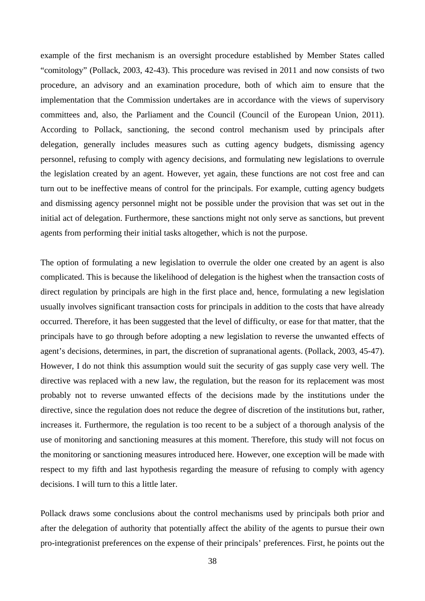example of the first mechanism is an oversight procedure established by Member States called "comitology" (Pollack, 2003, 42-43). This procedure was revised in 2011 and now consists of two procedure, an advisory and an examination procedure, both of which aim to ensure that the implementation that the Commission undertakes are in accordance with the views of supervisory committees and, also, the Parliament and the Council (Council of the European Union, 2011). According to Pollack, sanctioning, the second control mechanism used by principals after delegation, generally includes measures such as cutting agency budgets, dismissing agency personnel, refusing to comply with agency decisions, and formulating new legislations to overrule the legislation created by an agent. However, yet again, these functions are not cost free and can turn out to be ineffective means of control for the principals. For example, cutting agency budgets and dismissing agency personnel might not be possible under the provision that was set out in the initial act of delegation. Furthermore, these sanctions might not only serve as sanctions, but prevent agents from performing their initial tasks altogether, which is not the purpose.

The option of formulating a new legislation to overrule the older one created by an agent is also complicated. This is because the likelihood of delegation is the highest when the transaction costs of direct regulation by principals are high in the first place and, hence, formulating a new legislation usually involves significant transaction costs for principals in addition to the costs that have already occurred. Therefore, it has been suggested that the level of difficulty, or ease for that matter, that the principals have to go through before adopting a new legislation to reverse the unwanted effects of agent's decisions, determines, in part, the discretion of supranational agents. (Pollack, 2003, 45-47). However, I do not think this assumption would suit the security of gas supply case very well. The directive was replaced with a new law, the regulation, but the reason for its replacement was most probably not to reverse unwanted effects of the decisions made by the institutions under the directive, since the regulation does not reduce the degree of discretion of the institutions but, rather, increases it. Furthermore, the regulation is too recent to be a subject of a thorough analysis of the use of monitoring and sanctioning measures at this moment. Therefore, this study will not focus on the monitoring or sanctioning measures introduced here. However, one exception will be made with respect to my fifth and last hypothesis regarding the measure of refusing to comply with agency decisions. I will turn to this a little later.

Pollack draws some conclusions about the control mechanisms used by principals both prior and after the delegation of authority that potentially affect the ability of the agents to pursue their own pro-integrationist preferences on the expense of their principals' preferences. First, he points out the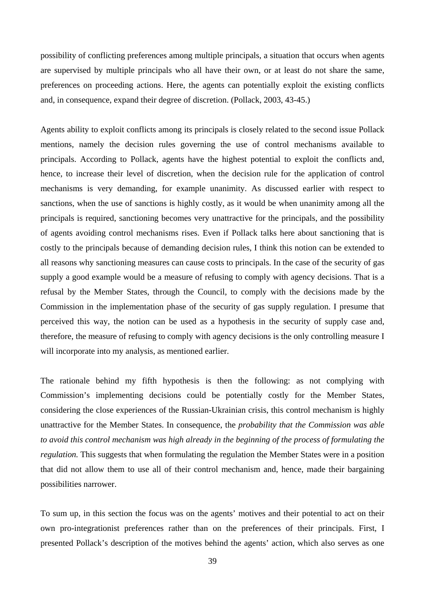possibility of conflicting preferences among multiple principals, a situation that occurs when agents are supervised by multiple principals who all have their own, or at least do not share the same, preferences on proceeding actions. Here, the agents can potentially exploit the existing conflicts and, in consequence, expand their degree of discretion. (Pollack, 2003, 43-45.)

Agents ability to exploit conflicts among its principals is closely related to the second issue Pollack mentions, namely the decision rules governing the use of control mechanisms available to principals. According to Pollack, agents have the highest potential to exploit the conflicts and, hence, to increase their level of discretion, when the decision rule for the application of control mechanisms is very demanding, for example unanimity. As discussed earlier with respect to sanctions, when the use of sanctions is highly costly, as it would be when unanimity among all the principals is required, sanctioning becomes very unattractive for the principals, and the possibility of agents avoiding control mechanisms rises. Even if Pollack talks here about sanctioning that is costly to the principals because of demanding decision rules, I think this notion can be extended to all reasons why sanctioning measures can cause costs to principals. In the case of the security of gas supply a good example would be a measure of refusing to comply with agency decisions. That is a refusal by the Member States, through the Council, to comply with the decisions made by the Commission in the implementation phase of the security of gas supply regulation. I presume that perceived this way, the notion can be used as a hypothesis in the security of supply case and, therefore, the measure of refusing to comply with agency decisions is the only controlling measure I will incorporate into my analysis, as mentioned earlier.

The rationale behind my fifth hypothesis is then the following: as not complying with Commission's implementing decisions could be potentially costly for the Member States, considering the close experiences of the Russian-Ukrainian crisis, this control mechanism is highly unattractive for the Member States. In consequence, the *probability that the Commission was able to avoid this control mechanism was high already in the beginning of the process of formulating the regulation.* This suggests that when formulating the regulation the Member States were in a position that did not allow them to use all of their control mechanism and, hence, made their bargaining possibilities narrower.

To sum up, in this section the focus was on the agents' motives and their potential to act on their own pro-integrationist preferences rather than on the preferences of their principals. First, I presented Pollack's description of the motives behind the agents' action, which also serves as one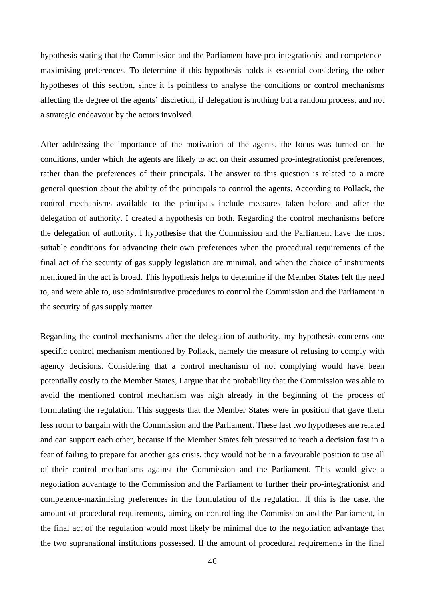hypothesis stating that the Commission and the Parliament have pro-integrationist and competencemaximising preferences. To determine if this hypothesis holds is essential considering the other hypotheses of this section, since it is pointless to analyse the conditions or control mechanisms affecting the degree of the agents' discretion, if delegation is nothing but a random process, and not a strategic endeavour by the actors involved.

After addressing the importance of the motivation of the agents, the focus was turned on the conditions, under which the agents are likely to act on their assumed pro-integrationist preferences, rather than the preferences of their principals. The answer to this question is related to a more general question about the ability of the principals to control the agents. According to Pollack, the control mechanisms available to the principals include measures taken before and after the delegation of authority. I created a hypothesis on both. Regarding the control mechanisms before the delegation of authority, I hypothesise that the Commission and the Parliament have the most suitable conditions for advancing their own preferences when the procedural requirements of the final act of the security of gas supply legislation are minimal, and when the choice of instruments mentioned in the act is broad. This hypothesis helps to determine if the Member States felt the need to, and were able to, use administrative procedures to control the Commission and the Parliament in the security of gas supply matter.

Regarding the control mechanisms after the delegation of authority, my hypothesis concerns one specific control mechanism mentioned by Pollack, namely the measure of refusing to comply with agency decisions. Considering that a control mechanism of not complying would have been potentially costly to the Member States, I argue that the probability that the Commission was able to avoid the mentioned control mechanism was high already in the beginning of the process of formulating the regulation. This suggests that the Member States were in position that gave them less room to bargain with the Commission and the Parliament. These last two hypotheses are related and can support each other, because if the Member States felt pressured to reach a decision fast in a fear of failing to prepare for another gas crisis, they would not be in a favourable position to use all of their control mechanisms against the Commission and the Parliament. This would give a negotiation advantage to the Commission and the Parliament to further their pro-integrationist and competence-maximising preferences in the formulation of the regulation. If this is the case, the amount of procedural requirements, aiming on controlling the Commission and the Parliament, in the final act of the regulation would most likely be minimal due to the negotiation advantage that the two supranational institutions possessed. If the amount of procedural requirements in the final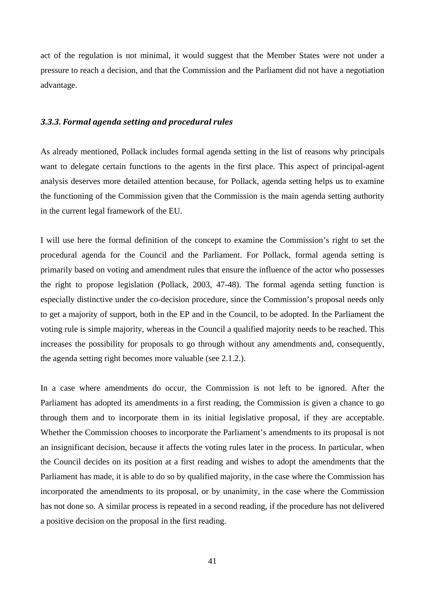act of the regulation is not minimal, it would suggest that the Member States were not under a pressure to reach a decision, and that the Commission and the Parliament did not have a negotiation advantage.

### *3.3.3. Formal agenda setting and procedural rules*

As already mentioned, Pollack includes formal agenda setting in the list of reasons why principals want to delegate certain functions to the agents in the first place. This aspect of principal-agent analysis deserves more detailed attention because, for Pollack, agenda setting helps us to examine the functioning of the Commission given that the Commission is the main agenda setting authority in the current legal framework of the EU.

I will use here the formal definition of the concept to examine the Commission's right to set the procedural agenda for the Council and the Parliament. For Pollack, formal agenda setting is primarily based on voting and amendment rules that ensure the influence of the actor who possesses the right to propose legislation (Pollack, 2003, 47-48). The formal agenda setting function is especially distinctive under the co-decision procedure, since the Commission's proposal needs only to get a majority of support, both in the EP and in the Council, to be adopted. In the Parliament the voting rule is simple majority, whereas in the Council a qualified majority needs to be reached. This increases the possibility for proposals to go through without any amendments and, consequently, the agenda setting right becomes more valuable (see 2.1.2.).

In a case where amendments do occur, the Commission is not left to be ignored. After the Parliament has adopted its amendments in a first reading, the Commission is given a chance to go through them and to incorporate them in its initial legislative proposal, if they are acceptable. Whether the Commission chooses to incorporate the Parliament's amendments to its proposal is not an insignificant decision, because it affects the voting rules later in the process. In particular, when the Council decides on its position at a first reading and wishes to adopt the amendments that the Parliament has made, it is able to do so by qualified majority, in the case where the Commission has incorporated the amendments to its proposal, or by unanimity, in the case where the Commission has not done so. A similar process is repeated in a second reading, if the procedure has not delivered a positive decision on the proposal in the first reading.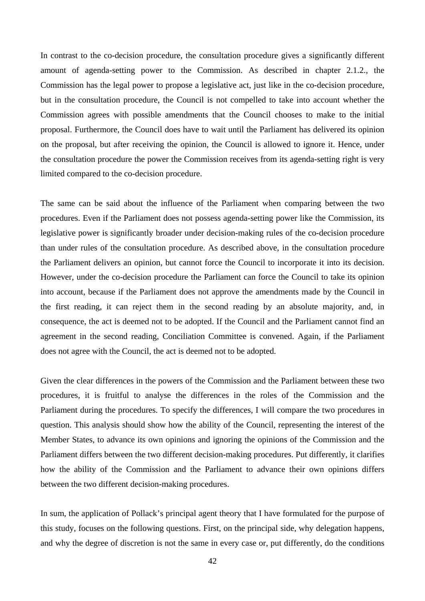In contrast to the co-decision procedure, the consultation procedure gives a significantly different amount of agenda-setting power to the Commission. As described in chapter 2.1.2., the Commission has the legal power to propose a legislative act, just like in the co-decision procedure, but in the consultation procedure, the Council is not compelled to take into account whether the Commission agrees with possible amendments that the Council chooses to make to the initial proposal. Furthermore, the Council does have to wait until the Parliament has delivered its opinion on the proposal, but after receiving the opinion, the Council is allowed to ignore it. Hence, under the consultation procedure the power the Commission receives from its agenda-setting right is very limited compared to the co-decision procedure.

The same can be said about the influence of the Parliament when comparing between the two procedures. Even if the Parliament does not possess agenda-setting power like the Commission, its legislative power is significantly broader under decision-making rules of the co-decision procedure than under rules of the consultation procedure. As described above, in the consultation procedure the Parliament delivers an opinion, but cannot force the Council to incorporate it into its decision. However, under the co-decision procedure the Parliament can force the Council to take its opinion into account, because if the Parliament does not approve the amendments made by the Council in the first reading, it can reject them in the second reading by an absolute majority, and, in consequence, the act is deemed not to be adopted. If the Council and the Parliament cannot find an agreement in the second reading, Conciliation Committee is convened. Again, if the Parliament does not agree with the Council, the act is deemed not to be adopted.

Given the clear differences in the powers of the Commission and the Parliament between these two procedures, it is fruitful to analyse the differences in the roles of the Commission and the Parliament during the procedures. To specify the differences, I will compare the two procedures in question. This analysis should show how the ability of the Council, representing the interest of the Member States, to advance its own opinions and ignoring the opinions of the Commission and the Parliament differs between the two different decision-making procedures. Put differently, it clarifies how the ability of the Commission and the Parliament to advance their own opinions differs between the two different decision-making procedures.

In sum, the application of Pollack's principal agent theory that I have formulated for the purpose of this study, focuses on the following questions. First, on the principal side, why delegation happens, and why the degree of discretion is not the same in every case or, put differently, do the conditions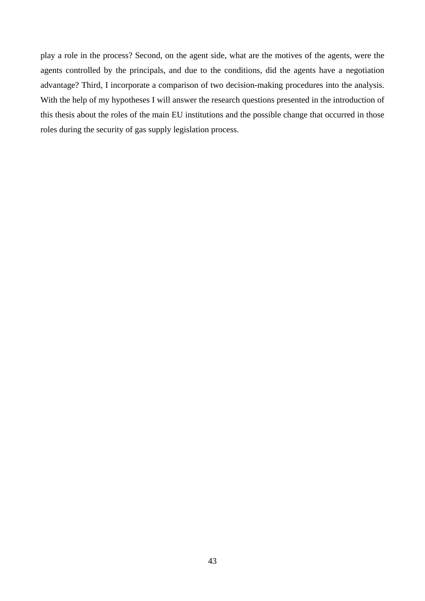play a role in the process? Second, on the agent side, what are the motives of the agents, were the agents controlled by the principals, and due to the conditions, did the agents have a negotiation advantage? Third, I incorporate a comparison of two decision-making procedures into the analysis. With the help of my hypotheses I will answer the research questions presented in the introduction of this thesis about the roles of the main EU institutions and the possible change that occurred in those roles during the security of gas supply legislation process.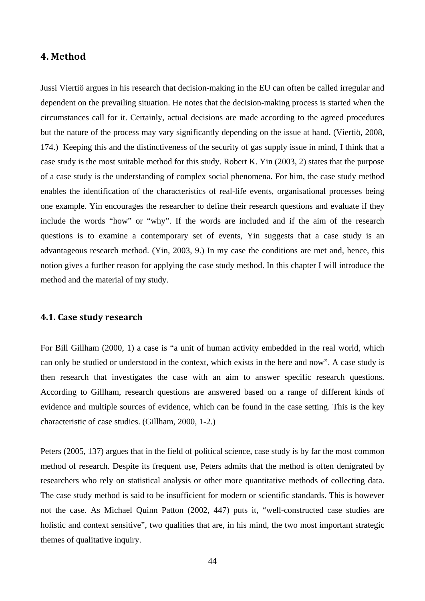# **4. Method**

Jussi Viertiö argues in his research that decision-making in the EU can often be called irregular and dependent on the prevailing situation. He notes that the decision-making process is started when the circumstances call for it. Certainly, actual decisions are made according to the agreed procedures but the nature of the process may vary significantly depending on the issue at hand. (Viertiö, 2008, 174.) Keeping this and the distinctiveness of the security of gas supply issue in mind, I think that a case study is the most suitable method for this study. Robert K. Yin (2003, 2) states that the purpose of a case study is the understanding of complex social phenomena. For him, the case study method enables the identification of the characteristics of real-life events, organisational processes being one example. Yin encourages the researcher to define their research questions and evaluate if they include the words "how" or "why". If the words are included and if the aim of the research questions is to examine a contemporary set of events, Yin suggests that a case study is an advantageous research method. (Yin, 2003, 9.) In my case the conditions are met and, hence, this notion gives a further reason for applying the case study method. In this chapter I will introduce the method and the material of my study.

# **4.1. Case study research**

For Bill Gillham (2000, 1) a case is "a unit of human activity embedded in the real world, which can only be studied or understood in the context, which exists in the here and now". A case study is then research that investigates the case with an aim to answer specific research questions. According to Gillham, research questions are answered based on a range of different kinds of evidence and multiple sources of evidence, which can be found in the case setting. This is the key characteristic of case studies. (Gillham, 2000, 1-2.)

Peters (2005, 137) argues that in the field of political science, case study is by far the most common method of research. Despite its frequent use, Peters admits that the method is often denigrated by researchers who rely on statistical analysis or other more quantitative methods of collecting data. The case study method is said to be insufficient for modern or scientific standards. This is however not the case. As Michael Quinn Patton (2002, 447) puts it, "well-constructed case studies are holistic and context sensitive", two qualities that are, in his mind, the two most important strategic themes of qualitative inquiry.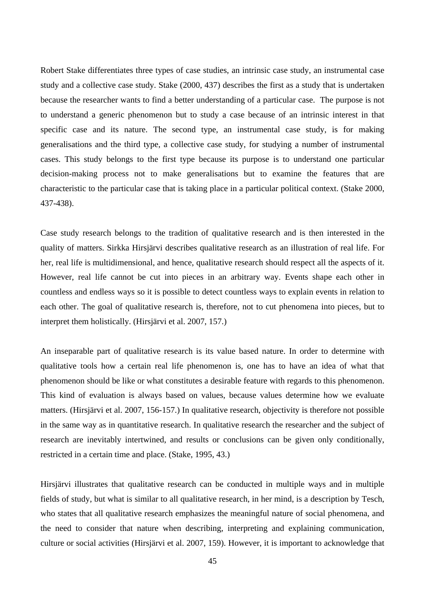Robert Stake differentiates three types of case studies, an intrinsic case study, an instrumental case study and a collective case study. Stake (2000, 437) describes the first as a study that is undertaken because the researcher wants to find a better understanding of a particular case. The purpose is not to understand a generic phenomenon but to study a case because of an intrinsic interest in that specific case and its nature. The second type, an instrumental case study, is for making generalisations and the third type, a collective case study, for studying a number of instrumental cases. This study belongs to the first type because its purpose is to understand one particular decision-making process not to make generalisations but to examine the features that are characteristic to the particular case that is taking place in a particular political context. (Stake 2000, 437-438).

Case study research belongs to the tradition of qualitative research and is then interested in the quality of matters. Sirkka Hirsjärvi describes qualitative research as an illustration of real life. For her, real life is multidimensional, and hence, qualitative research should respect all the aspects of it. However, real life cannot be cut into pieces in an arbitrary way. Events shape each other in countless and endless ways so it is possible to detect countless ways to explain events in relation to each other. The goal of qualitative research is, therefore, not to cut phenomena into pieces, but to interpret them holistically. (Hirsjärvi et al. 2007, 157.)

An inseparable part of qualitative research is its value based nature. In order to determine with qualitative tools how a certain real life phenomenon is, one has to have an idea of what that phenomenon should be like or what constitutes a desirable feature with regards to this phenomenon. This kind of evaluation is always based on values, because values determine how we evaluate matters. (Hirsjärvi et al. 2007, 156-157.) In qualitative research, objectivity is therefore not possible in the same way as in quantitative research. In qualitative research the researcher and the subject of research are inevitably intertwined, and results or conclusions can be given only conditionally, restricted in a certain time and place. (Stake, 1995, 43.)

Hirsjärvi illustrates that qualitative research can be conducted in multiple ways and in multiple fields of study, but what is similar to all qualitative research, in her mind, is a description by Tesch, who states that all qualitative research emphasizes the meaningful nature of social phenomena, and the need to consider that nature when describing, interpreting and explaining communication, culture or social activities (Hirsjärvi et al. 2007, 159). However, it is important to acknowledge that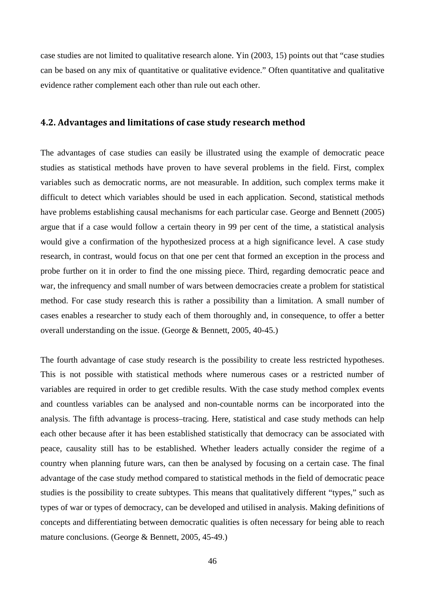case studies are not limited to qualitative research alone. Yin (2003, 15) points out that "case studies can be based on any mix of quantitative or qualitative evidence." Often quantitative and qualitative evidence rather complement each other than rule out each other.

## **4.2. Advantages and limitations of case study research method**

The advantages of case studies can easily be illustrated using the example of democratic peace studies as statistical methods have proven to have several problems in the field. First, complex variables such as democratic norms, are not measurable. In addition, such complex terms make it difficult to detect which variables should be used in each application. Second, statistical methods have problems establishing causal mechanisms for each particular case. George and Bennett (2005) argue that if a case would follow a certain theory in 99 per cent of the time, a statistical analysis would give a confirmation of the hypothesized process at a high significance level. A case study research, in contrast, would focus on that one per cent that formed an exception in the process and probe further on it in order to find the one missing piece. Third, regarding democratic peace and war, the infrequency and small number of wars between democracies create a problem for statistical method. For case study research this is rather a possibility than a limitation. A small number of cases enables a researcher to study each of them thoroughly and, in consequence, to offer a better overall understanding on the issue. (George & Bennett, 2005, 40-45.)

The fourth advantage of case study research is the possibility to create less restricted hypotheses. This is not possible with statistical methods where numerous cases or a restricted number of variables are required in order to get credible results. With the case study method complex events and countless variables can be analysed and non-countable norms can be incorporated into the analysis. The fifth advantage is process–tracing. Here, statistical and case study methods can help each other because after it has been established statistically that democracy can be associated with peace, causality still has to be established. Whether leaders actually consider the regime of a country when planning future wars, can then be analysed by focusing on a certain case. The final advantage of the case study method compared to statistical methods in the field of democratic peace studies is the possibility to create subtypes. This means that qualitatively different "types," such as types of war or types of democracy, can be developed and utilised in analysis. Making definitions of concepts and differentiating between democratic qualities is often necessary for being able to reach mature conclusions. (George & Bennett, 2005, 45-49.)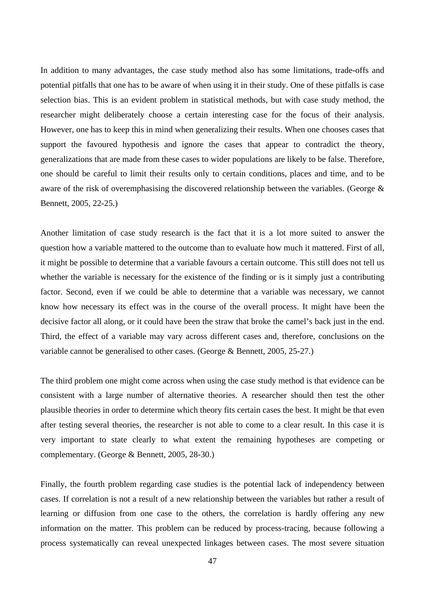In addition to many advantages, the case study method also has some limitations, trade-offs and potential pitfalls that one has to be aware of when using it in their study. One of these pitfalls is case selection bias. This is an evident problem in statistical methods, but with case study method, the researcher might deliberately choose a certain interesting case for the focus of their analysis. However, one has to keep this in mind when generalizing their results. When one chooses cases that support the favoured hypothesis and ignore the cases that appear to contradict the theory, generalizations that are made from these cases to wider populations are likely to be false. Therefore, one should be careful to limit their results only to certain conditions, places and time, and to be aware of the risk of overemphasising the discovered relationship between the variables. (George & Bennett, 2005, 22-25.)

Another limitation of case study research is the fact that it is a lot more suited to answer the question how a variable mattered to the outcome than to evaluate how much it mattered. First of all, it might be possible to determine that a variable favours a certain outcome. This still does not tell us whether the variable is necessary for the existence of the finding or is it simply just a contributing factor. Second, even if we could be able to determine that a variable was necessary, we cannot know how necessary its effect was in the course of the overall process. It might have been the decisive factor all along, or it could have been the straw that broke the camel's back just in the end. Third, the effect of a variable may vary across different cases and, therefore, conclusions on the variable cannot be generalised to other cases. (George & Bennett, 2005, 25-27.)

The third problem one might come across when using the case study method is that evidence can be consistent with a large number of alternative theories. A researcher should then test the other plausible theories in order to determine which theory fits certain cases the best. It might be that even after testing several theories, the researcher is not able to come to a clear result. In this case it is very important to state clearly to what extent the remaining hypotheses are competing or complementary. (George & Bennett, 2005, 28-30.)

Finally, the fourth problem regarding case studies is the potential lack of independency between cases. If correlation is not a result of a new relationship between the variables but rather a result of learning or diffusion from one case to the others, the correlation is hardly offering any new information on the matter. This problem can be reduced by process-tracing, because following a process systematically can reveal unexpected linkages between cases. The most severe situation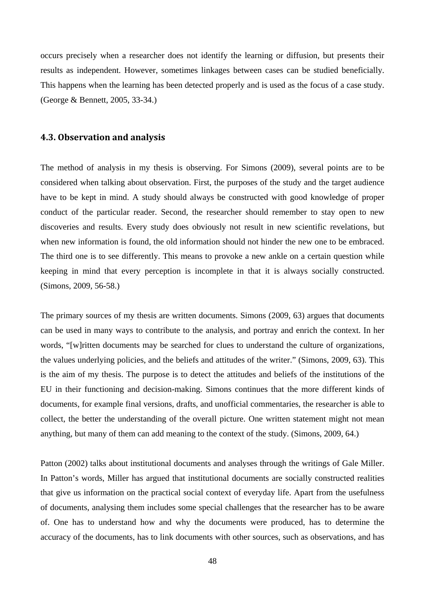occurs precisely when a researcher does not identify the learning or diffusion, but presents their results as independent. However, sometimes linkages between cases can be studied beneficially. This happens when the learning has been detected properly and is used as the focus of a case study. (George & Bennett, 2005, 33-34.)

### **4.3. Observation and analysis**

The method of analysis in my thesis is observing. For Simons (2009), several points are to be considered when talking about observation. First, the purposes of the study and the target audience have to be kept in mind. A study should always be constructed with good knowledge of proper conduct of the particular reader. Second, the researcher should remember to stay open to new discoveries and results. Every study does obviously not result in new scientific revelations, but when new information is found, the old information should not hinder the new one to be embraced. The third one is to see differently. This means to provoke a new ankle on a certain question while keeping in mind that every perception is incomplete in that it is always socially constructed. (Simons, 2009, 56-58.)

The primary sources of my thesis are written documents. Simons (2009, 63) argues that documents can be used in many ways to contribute to the analysis, and portray and enrich the context. In her words, "[w]ritten documents may be searched for clues to understand the culture of organizations, the values underlying policies, and the beliefs and attitudes of the writer." (Simons, 2009, 63). This is the aim of my thesis. The purpose is to detect the attitudes and beliefs of the institutions of the EU in their functioning and decision-making. Simons continues that the more different kinds of documents, for example final versions, drafts, and unofficial commentaries, the researcher is able to collect, the better the understanding of the overall picture. One written statement might not mean anything, but many of them can add meaning to the context of the study. (Simons, 2009, 64.)

Patton (2002) talks about institutional documents and analyses through the writings of Gale Miller. In Patton's words, Miller has argued that institutional documents are socially constructed realities that give us information on the practical social context of everyday life. Apart from the usefulness of documents, analysing them includes some special challenges that the researcher has to be aware of. One has to understand how and why the documents were produced, has to determine the accuracy of the documents, has to link documents with other sources, such as observations, and has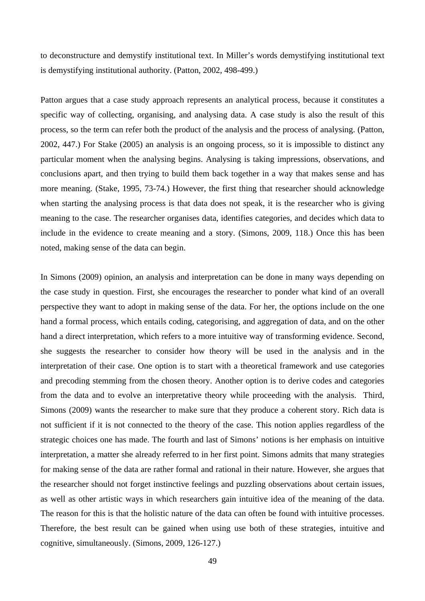to deconstructure and demystify institutional text. In Miller's words demystifying institutional text is demystifying institutional authority. (Patton, 2002, 498-499.)

Patton argues that a case study approach represents an analytical process, because it constitutes a specific way of collecting, organising, and analysing data. A case study is also the result of this process, so the term can refer both the product of the analysis and the process of analysing. (Patton, 2002, 447.) For Stake (2005) an analysis is an ongoing process, so it is impossible to distinct any particular moment when the analysing begins. Analysing is taking impressions, observations, and conclusions apart, and then trying to build them back together in a way that makes sense and has more meaning. (Stake, 1995, 73-74.) However, the first thing that researcher should acknowledge when starting the analysing process is that data does not speak, it is the researcher who is giving meaning to the case. The researcher organises data, identifies categories, and decides which data to include in the evidence to create meaning and a story. (Simons, 2009, 118.) Once this has been noted, making sense of the data can begin.

In Simons (2009) opinion, an analysis and interpretation can be done in many ways depending on the case study in question. First, she encourages the researcher to ponder what kind of an overall perspective they want to adopt in making sense of the data. For her, the options include on the one hand a formal process, which entails coding, categorising, and aggregation of data, and on the other hand a direct interpretation, which refers to a more intuitive way of transforming evidence. Second, she suggests the researcher to consider how theory will be used in the analysis and in the interpretation of their case. One option is to start with a theoretical framework and use categories and precoding stemming from the chosen theory. Another option is to derive codes and categories from the data and to evolve an interpretative theory while proceeding with the analysis. Third, Simons (2009) wants the researcher to make sure that they produce a coherent story. Rich data is not sufficient if it is not connected to the theory of the case. This notion applies regardless of the strategic choices one has made. The fourth and last of Simons' notions is her emphasis on intuitive interpretation, a matter she already referred to in her first point. Simons admits that many strategies for making sense of the data are rather formal and rational in their nature. However, she argues that the researcher should not forget instinctive feelings and puzzling observations about certain issues, as well as other artistic ways in which researchers gain intuitive idea of the meaning of the data. The reason for this is that the holistic nature of the data can often be found with intuitive processes. Therefore, the best result can be gained when using use both of these strategies, intuitive and cognitive, simultaneously. (Simons, 2009, 126-127.)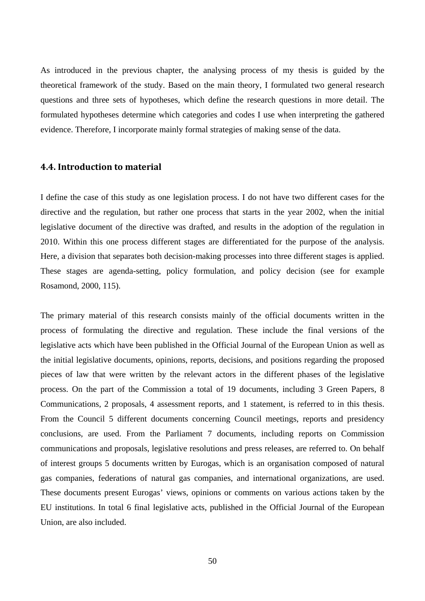As introduced in the previous chapter, the analysing process of my thesis is guided by the theoretical framework of the study. Based on the main theory, I formulated two general research questions and three sets of hypotheses, which define the research questions in more detail. The formulated hypotheses determine which categories and codes I use when interpreting the gathered evidence. Therefore, I incorporate mainly formal strategies of making sense of the data.

### **4.4. Introduction to material**

I define the case of this study as one legislation process. I do not have two different cases for the directive and the regulation, but rather one process that starts in the year 2002, when the initial legislative document of the directive was drafted, and results in the adoption of the regulation in 2010. Within this one process different stages are differentiated for the purpose of the analysis. Here, a division that separates both decision-making processes into three different stages is applied. These stages are agenda-setting, policy formulation, and policy decision (see for example Rosamond, 2000, 115).

The primary material of this research consists mainly of the official documents written in the process of formulating the directive and regulation. These include the final versions of the legislative acts which have been published in the Official Journal of the European Union as well as the initial legislative documents, opinions, reports, decisions, and positions regarding the proposed pieces of law that were written by the relevant actors in the different phases of the legislative process. On the part of the Commission a total of 19 documents, including 3 Green Papers, 8 Communications, 2 proposals, 4 assessment reports, and 1 statement, is referred to in this thesis. From the Council 5 different documents concerning Council meetings, reports and presidency conclusions, are used. From the Parliament 7 documents, including reports on Commission communications and proposals, legislative resolutions and press releases, are referred to. On behalf of interest groups 5 documents written by Eurogas, which is an organisation composed of natural gas companies, federations of natural gas companies, and international organizations, are used. These documents present Eurogas' views, opinions or comments on various actions taken by the EU institutions. In total 6 final legislative acts, published in the Official Journal of the European Union, are also included.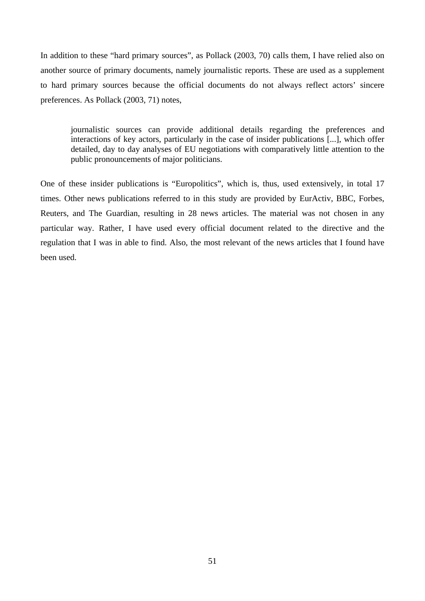In addition to these "hard primary sources", as Pollack (2003, 70) calls them, I have relied also on another source of primary documents, namely journalistic reports. These are used as a supplement to hard primary sources because the official documents do not always reflect actors' sincere preferences. As Pollack (2003, 71) notes,

journalistic sources can provide additional details regarding the preferences and interactions of key actors, particularly in the case of insider publications [...], which offer detailed, day to day analyses of EU negotiations with comparatively little attention to the public pronouncements of major politicians.

One of these insider publications is "Europolitics", which is, thus, used extensively, in total 17 times. Other news publications referred to in this study are provided by EurActiv, BBC, Forbes, Reuters, and The Guardian, resulting in 28 news articles. The material was not chosen in any particular way. Rather, I have used every official document related to the directive and the regulation that I was in able to find. Also, the most relevant of the news articles that I found have been used.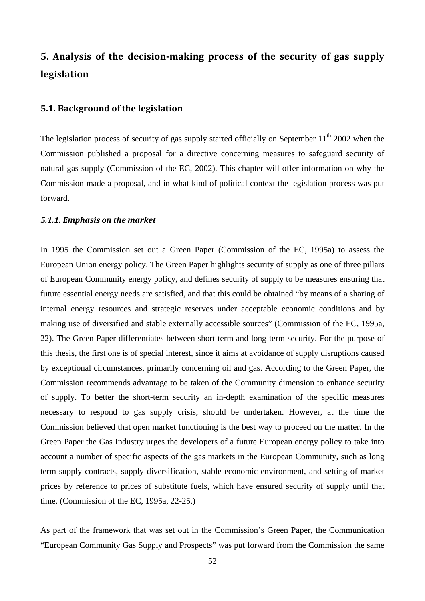# **5. Analysis of the decisionmaking process of the security of gas supply legislation**

## **5.1. Background of the legislation**

The legislation process of security of gas supply started officially on September  $11<sup>th</sup>$  2002 when the Commission published a proposal for a directive concerning measures to safeguard security of natural gas supply (Commission of the EC, 2002). This chapter will offer information on why the Commission made a proposal, and in what kind of political context the legislation process was put forward.

#### *5.1.1. Emphasis on the market*

In 1995 the Commission set out a Green Paper (Commission of the EC, 1995a) to assess the European Union energy policy. The Green Paper highlights security of supply as one of three pillars of European Community energy policy, and defines security of supply to be measures ensuring that future essential energy needs are satisfied, and that this could be obtained "by means of a sharing of internal energy resources and strategic reserves under acceptable economic conditions and by making use of diversified and stable externally accessible sources" (Commission of the EC, 1995a, 22). The Green Paper differentiates between short-term and long-term security. For the purpose of this thesis, the first one is of special interest, since it aims at avoidance of supply disruptions caused by exceptional circumstances, primarily concerning oil and gas. According to the Green Paper, the Commission recommends advantage to be taken of the Community dimension to enhance security of supply. To better the short-term security an in-depth examination of the specific measures necessary to respond to gas supply crisis, should be undertaken. However, at the time the Commission believed that open market functioning is the best way to proceed on the matter. In the Green Paper the Gas Industry urges the developers of a future European energy policy to take into account a number of specific aspects of the gas markets in the European Community, such as long term supply contracts, supply diversification, stable economic environment, and setting of market prices by reference to prices of substitute fuels, which have ensured security of supply until that time. (Commission of the EC, 1995a, 22-25.)

As part of the framework that was set out in the Commission's Green Paper, the Communication "European Community Gas Supply and Prospects" was put forward from the Commission the same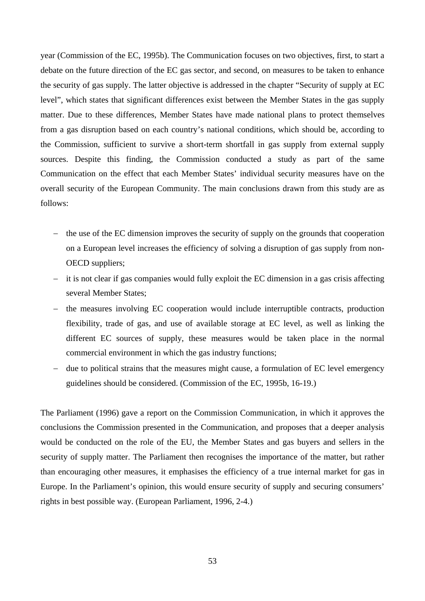year (Commission of the EC, 1995b). The Communication focuses on two objectives, first, to start a debate on the future direction of the EC gas sector, and second, on measures to be taken to enhance the security of gas supply. The latter objective is addressed in the chapter "Security of supply at EC level", which states that significant differences exist between the Member States in the gas supply matter. Due to these differences, Member States have made national plans to protect themselves from a gas disruption based on each country's national conditions, which should be, according to the Commission, sufficient to survive a short-term shortfall in gas supply from external supply sources. Despite this finding, the Commission conducted a study as part of the same Communication on the effect that each Member States' individual security measures have on the overall security of the European Community. The main conclusions drawn from this study are as follows:

- − the use of the EC dimension improves the security of supply on the grounds that cooperation on a European level increases the efficiency of solving a disruption of gas supply from non-OECD suppliers;
- − it is not clear if gas companies would fully exploit the EC dimension in a gas crisis affecting several Member States;
- − the measures involving EC cooperation would include interruptible contracts, production flexibility, trade of gas, and use of available storage at EC level, as well as linking the different EC sources of supply, these measures would be taken place in the normal commercial environment in which the gas industry functions;
- due to political strains that the measures might cause, a formulation of EC level emergency guidelines should be considered. (Commission of the EC, 1995b, 16-19.)

The Parliament (1996) gave a report on the Commission Communication, in which it approves the conclusions the Commission presented in the Communication, and proposes that a deeper analysis would be conducted on the role of the EU, the Member States and gas buyers and sellers in the security of supply matter. The Parliament then recognises the importance of the matter, but rather than encouraging other measures, it emphasises the efficiency of a true internal market for gas in Europe. In the Parliament's opinion, this would ensure security of supply and securing consumers' rights in best possible way. (European Parliament, 1996, 2-4.)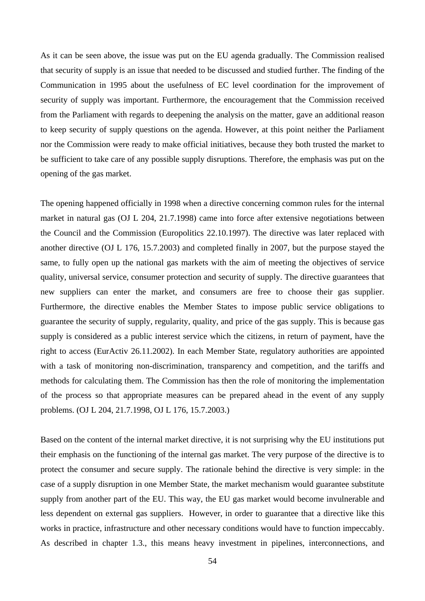As it can be seen above, the issue was put on the EU agenda gradually. The Commission realised that security of supply is an issue that needed to be discussed and studied further. The finding of the Communication in 1995 about the usefulness of EC level coordination for the improvement of security of supply was important. Furthermore, the encouragement that the Commission received from the Parliament with regards to deepening the analysis on the matter, gave an additional reason to keep security of supply questions on the agenda. However, at this point neither the Parliament nor the Commission were ready to make official initiatives, because they both trusted the market to be sufficient to take care of any possible supply disruptions. Therefore, the emphasis was put on the opening of the gas market.

The opening happened officially in 1998 when a directive concerning common rules for the internal market in natural gas (OJ L 204, 21.7.1998) came into force after extensive negotiations between the Council and the Commission (Europolitics 22.10.1997). The directive was later replaced with another directive (OJ L 176, 15.7.2003) and completed finally in 2007, but the purpose stayed the same, to fully open up the national gas markets with the aim of meeting the objectives of service quality, universal service, consumer protection and security of supply. The directive guarantees that new suppliers can enter the market, and consumers are free to choose their gas supplier. Furthermore, the directive enables the Member States to impose public service obligations to guarantee the security of supply, regularity, quality, and price of the gas supply. This is because gas supply is considered as a public interest service which the citizens, in return of payment, have the right to access (EurActiv 26.11.2002). In each Member State, regulatory authorities are appointed with a task of monitoring non-discrimination, transparency and competition, and the tariffs and methods for calculating them. The Commission has then the role of monitoring the implementation of the process so that appropriate measures can be prepared ahead in the event of any supply problems. (OJ L 204, 21.7.1998, OJ L 176, 15.7.2003.)

Based on the content of the internal market directive, it is not surprising why the EU institutions put their emphasis on the functioning of the internal gas market. The very purpose of the directive is to protect the consumer and secure supply. The rationale behind the directive is very simple: in the case of a supply disruption in one Member State, the market mechanism would guarantee substitute supply from another part of the EU. This way, the EU gas market would become invulnerable and less dependent on external gas suppliers. However, in order to guarantee that a directive like this works in practice, infrastructure and other necessary conditions would have to function impeccably. As described in chapter 1.3., this means heavy investment in pipelines, interconnections, and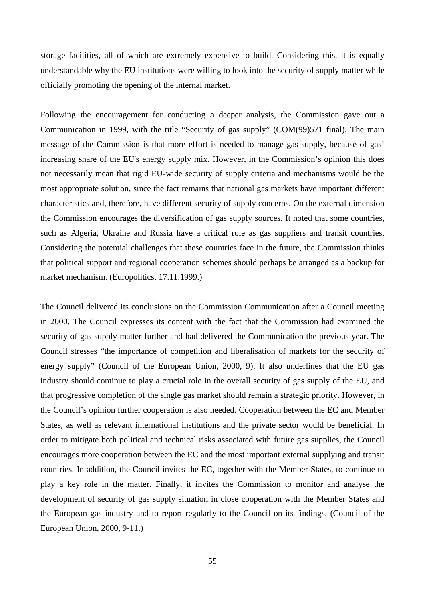storage facilities, all of which are extremely expensive to build. Considering this, it is equally understandable why the EU institutions were willing to look into the security of supply matter while officially promoting the opening of the internal market.

Following the encouragement for conducting a deeper analysis, the Commission gave out a Communication in 1999, with the title "Security of gas supply" (COM(99)571 final). The main message of the Commission is that more effort is needed to manage gas supply, because of gas' increasing share of the EU's energy supply mix. However, in the Commission's opinion this does not necessarily mean that rigid EU-wide security of supply criteria and mechanisms would be the most appropriate solution, since the fact remains that national gas markets have important different characteristics and, therefore, have different security of supply concerns. On the external dimension the Commission encourages the diversification of gas supply sources. It noted that some countries, such as Algeria, Ukraine and Russia have a critical role as gas suppliers and transit countries. Considering the potential challenges that these countries face in the future, the Commission thinks that political support and regional cooperation schemes should perhaps be arranged as a backup for market mechanism. (Europolitics, 17.11.1999.)

The Council delivered its conclusions on the Commission Communication after a Council meeting in 2000. The Council expresses its content with the fact that the Commission had examined the security of gas supply matter further and had delivered the Communication the previous year. The Council stresses "the importance of competition and liberalisation of markets for the security of energy supply" (Council of the European Union, 2000, 9). It also underlines that the EU gas industry should continue to play a crucial role in the overall security of gas supply of the EU, and that progressive completion of the single gas market should remain a strategic priority. However, in the Council's opinion further cooperation is also needed. Cooperation between the EC and Member States, as well as relevant international institutions and the private sector would be beneficial. In order to mitigate both political and technical risks associated with future gas supplies, the Council encourages more cooperation between the EC and the most important external supplying and transit countries. In addition, the Council invites the EC, together with the Member States, to continue to play a key role in the matter. Finally, it invites the Commission to monitor and analyse the development of security of gas supply situation in close cooperation with the Member States and the European gas industry and to report regularly to the Council on its findings. (Council of the European Union, 2000, 9-11.)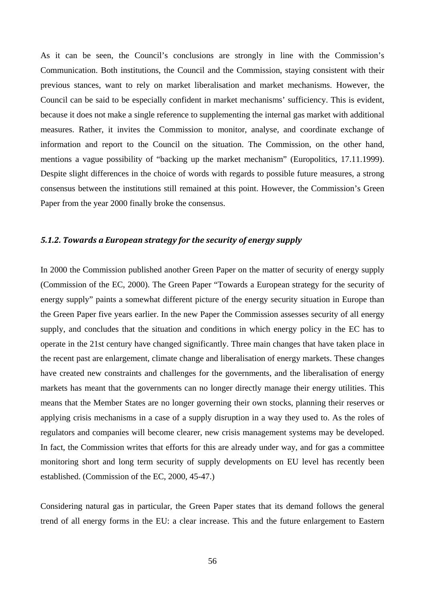As it can be seen, the Council's conclusions are strongly in line with the Commission's Communication. Both institutions, the Council and the Commission, staying consistent with their previous stances, want to rely on market liberalisation and market mechanisms. However, the Council can be said to be especially confident in market mechanisms' sufficiency. This is evident, because it does not make a single reference to supplementing the internal gas market with additional measures. Rather, it invites the Commission to monitor, analyse, and coordinate exchange of information and report to the Council on the situation. The Commission, on the other hand, mentions a vague possibility of "backing up the market mechanism" (Europolitics, 17.11.1999). Despite slight differences in the choice of words with regards to possible future measures, a strong consensus between the institutions still remained at this point. However, the Commission's Green Paper from the year 2000 finally broke the consensus.

## *5.1.2. Towards a European strategy for the security of energy supply*

In 2000 the Commission published another Green Paper on the matter of security of energy supply (Commission of the EC, 2000). The Green Paper "Towards a European strategy for the security of energy supply" paints a somewhat different picture of the energy security situation in Europe than the Green Paper five years earlier. In the new Paper the Commission assesses security of all energy supply, and concludes that the situation and conditions in which energy policy in the EC has to operate in the 21st century have changed significantly. Three main changes that have taken place in the recent past are enlargement, climate change and liberalisation of energy markets. These changes have created new constraints and challenges for the governments, and the liberalisation of energy markets has meant that the governments can no longer directly manage their energy utilities. This means that the Member States are no longer governing their own stocks, planning their reserves or applying crisis mechanisms in a case of a supply disruption in a way they used to. As the roles of regulators and companies will become clearer, new crisis management systems may be developed. In fact, the Commission writes that efforts for this are already under way, and for gas a committee monitoring short and long term security of supply developments on EU level has recently been established. (Commission of the EC, 2000, 45-47.)

Considering natural gas in particular, the Green Paper states that its demand follows the general trend of all energy forms in the EU: a clear increase. This and the future enlargement to Eastern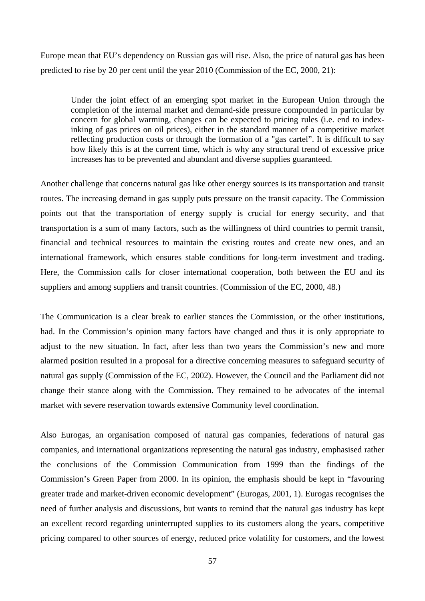Europe mean that EU's dependency on Russian gas will rise. Also, the price of natural gas has been predicted to rise by 20 per cent until the year 2010 (Commission of the EC, 2000, 21):

Under the joint effect of an emerging spot market in the European Union through the completion of the internal market and demand-side pressure compounded in particular by concern for global warming, changes can be expected to pricing rules (i.e. end to indexinking of gas prices on oil prices), either in the standard manner of a competitive market reflecting production costs or through the formation of a "gas cartel". It is difficult to say how likely this is at the current time, which is why any structural trend of excessive price increases has to be prevented and abundant and diverse supplies guaranteed.

Another challenge that concerns natural gas like other energy sources is its transportation and transit routes. The increasing demand in gas supply puts pressure on the transit capacity. The Commission points out that the transportation of energy supply is crucial for energy security, and that transportation is a sum of many factors, such as the willingness of third countries to permit transit, financial and technical resources to maintain the existing routes and create new ones, and an international framework, which ensures stable conditions for long-term investment and trading. Here, the Commission calls for closer international cooperation, both between the EU and its suppliers and among suppliers and transit countries. (Commission of the EC, 2000, 48.)

The Communication is a clear break to earlier stances the Commission, or the other institutions, had. In the Commission's opinion many factors have changed and thus it is only appropriate to adjust to the new situation. In fact, after less than two years the Commission's new and more alarmed position resulted in a proposal for a directive concerning measures to safeguard security of natural gas supply (Commission of the EC, 2002). However, the Council and the Parliament did not change their stance along with the Commission. They remained to be advocates of the internal market with severe reservation towards extensive Community level coordination.

Also Eurogas, an organisation composed of natural gas companies, federations of natural gas companies, and international organizations representing the natural gas industry, emphasised rather the conclusions of the Commission Communication from 1999 than the findings of the Commission's Green Paper from 2000. In its opinion, the emphasis should be kept in "favouring greater trade and market-driven economic development" (Eurogas, 2001, 1). Eurogas recognises the need of further analysis and discussions, but wants to remind that the natural gas industry has kept an excellent record regarding uninterrupted supplies to its customers along the years, competitive pricing compared to other sources of energy, reduced price volatility for customers, and the lowest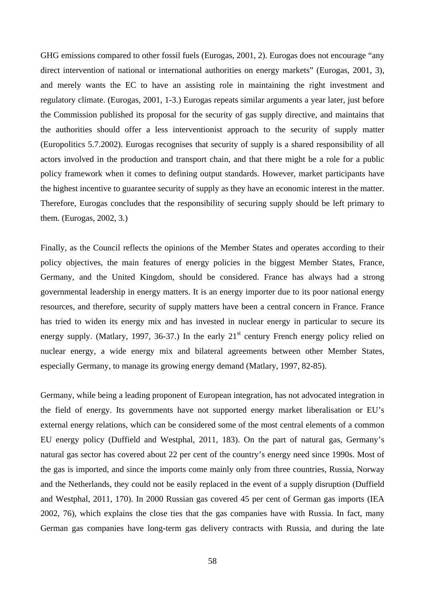GHG emissions compared to other fossil fuels (Eurogas, 2001, 2). Eurogas does not encourage "any direct intervention of national or international authorities on energy markets" (Eurogas, 2001, 3), and merely wants the EC to have an assisting role in maintaining the right investment and regulatory climate. (Eurogas, 2001, 1-3.) Eurogas repeats similar arguments a year later, just before the Commission published its proposal for the security of gas supply directive, and maintains that the authorities should offer a less interventionist approach to the security of supply matter (Europolitics 5.7.2002). Eurogas recognises that security of supply is a shared responsibility of all actors involved in the production and transport chain, and that there might be a role for a public policy framework when it comes to defining output standards. However, market participants have the highest incentive to guarantee security of supply as they have an economic interest in the matter. Therefore, Eurogas concludes that the responsibility of securing supply should be left primary to them. (Eurogas, 2002, 3.)

Finally, as the Council reflects the opinions of the Member States and operates according to their policy objectives, the main features of energy policies in the biggest Member States, France, Germany, and the United Kingdom, should be considered. France has always had a strong governmental leadership in energy matters. It is an energy importer due to its poor national energy resources, and therefore, security of supply matters have been a central concern in France. France has tried to widen its energy mix and has invested in nuclear energy in particular to secure its energy supply. (Matlary, 1997, 36-37.) In the early  $21<sup>st</sup>$  century French energy policy relied on nuclear energy, a wide energy mix and bilateral agreements between other Member States, especially Germany, to manage its growing energy demand (Matlary, 1997, 82-85).

Germany, while being a leading proponent of European integration, has not advocated integration in the field of energy. Its governments have not supported energy market liberalisation or EU's external energy relations, which can be considered some of the most central elements of a common EU energy policy (Duffield and Westphal, 2011, 183). On the part of natural gas, Germany's natural gas sector has covered about 22 per cent of the country's energy need since 1990s. Most of the gas is imported, and since the imports come mainly only from three countries, Russia, Norway and the Netherlands, they could not be easily replaced in the event of a supply disruption (Duffield and Westphal, 2011, 170). In 2000 Russian gas covered 45 per cent of German gas imports (IEA 2002, 76), which explains the close ties that the gas companies have with Russia. In fact, many German gas companies have long-term gas delivery contracts with Russia, and during the late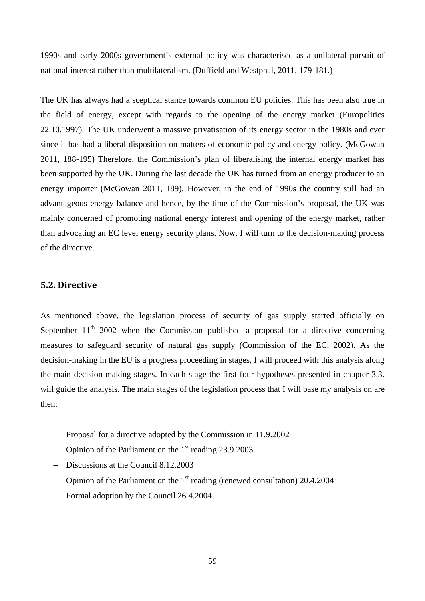1990s and early 2000s government's external policy was characterised as a unilateral pursuit of national interest rather than multilateralism. (Duffield and Westphal, 2011, 179-181.)

The UK has always had a sceptical stance towards common EU policies. This has been also true in the field of energy, except with regards to the opening of the energy market (Europolitics 22.10.1997). The UK underwent a massive privatisation of its energy sector in the 1980s and ever since it has had a liberal disposition on matters of economic policy and energy policy. (McGowan 2011, 188-195) Therefore, the Commission's plan of liberalising the internal energy market has been supported by the UK. During the last decade the UK has turned from an energy producer to an energy importer (McGowan 2011, 189). However, in the end of 1990s the country still had an advantageous energy balance and hence, by the time of the Commission's proposal, the UK was mainly concerned of promoting national energy interest and opening of the energy market, rather than advocating an EC level energy security plans. Now, I will turn to the decision-making process of the directive.

## **5.2. Directive**

As mentioned above, the legislation process of security of gas supply started officially on September  $11<sup>th</sup>$  2002 when the Commission published a proposal for a directive concerning measures to safeguard security of natural gas supply (Commission of the EC, 2002). As the decision-making in the EU is a progress proceeding in stages, I will proceed with this analysis along the main decision-making stages. In each stage the first four hypotheses presented in chapter 3.3. will guide the analysis. The main stages of the legislation process that I will base my analysis on are then:

- − Proposal for a directive adopted by the Commission in 11.9.2002
- − Opinion of the Parliament on the 1st reading 23.9.2003
- − Discussions at the Council 8.12.2003
- − Opinion of the Parliament on the 1st reading (renewed consultation) 20.4.2004
- − Formal adoption by the Council 26.4.2004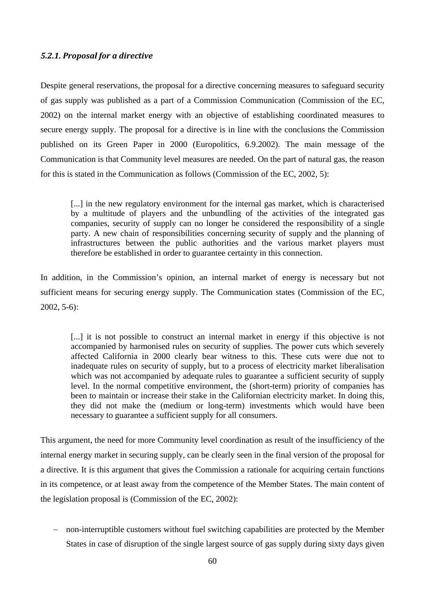### *5.2.1. Proposal for a directive*

Despite general reservations, the proposal for a directive concerning measures to safeguard security of gas supply was published as a part of a Commission Communication (Commission of the EC, 2002) on the internal market energy with an objective of establishing coordinated measures to secure energy supply. The proposal for a directive is in line with the conclusions the Commission published on its Green Paper in 2000 (Europolitics, 6.9.2002). The main message of the Communication is that Community level measures are needed. On the part of natural gas, the reason for this is stated in the Communication as follows (Commission of the EC, 2002, 5):

[...] in the new regulatory environment for the internal gas market, which is characterised by a multitude of players and the unbundling of the activities of the integrated gas companies, security of supply can no longer be considered the responsibility of a single party. A new chain of responsibilities concerning security of supply and the planning of infrastructures between the public authorities and the various market players must therefore be established in order to guarantee certainty in this connection.

In addition, in the Commission's opinion, an internal market of energy is necessary but not sufficient means for securing energy supply. The Communication states (Commission of the EC, 2002, 5-6):

[...] it is not possible to construct an internal market in energy if this objective is not accompanied by harmonised rules on security of supplies. The power cuts which severely affected California in 2000 clearly bear witness to this. These cuts were due not to inadequate rules on security of supply, but to a process of electricity market liberalisation which was not accompanied by adequate rules to guarantee a sufficient security of supply level. In the normal competitive environment, the (short-term) priority of companies has been to maintain or increase their stake in the Californian electricity market. In doing this, they did not make the (medium or long-term) investments which would have been necessary to guarantee a sufficient supply for all consumers.

This argument, the need for more Community level coordination as result of the insufficiency of the internal energy market in securing supply, can be clearly seen in the final version of the proposal for a directive. It is this argument that gives the Commission a rationale for acquiring certain functions in its competence, or at least away from the competence of the Member States. The main content of the legislation proposal is (Commission of the EC, 2002):

− non-interruptible customers without fuel switching capabilities are protected by the Member States in case of disruption of the single largest source of gas supply during sixty days given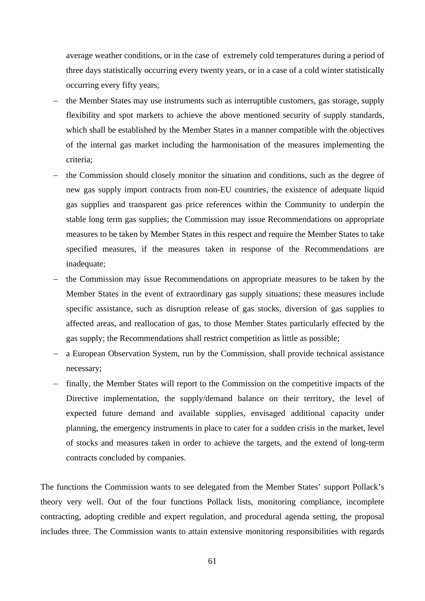average weather conditions, or in the case of extremely cold temperatures during a period of three days statistically occurring every twenty years, or in a case of a cold winter statistically occurring every fifty years;

- the Member States may use instruments such as interruptible customers, gas storage, supply flexibility and spot markets to achieve the above mentioned security of supply standards, which shall be established by the Member States in a manner compatible with the objectives of the internal gas market including the harmonisation of the measures implementing the criteria;
- the Commission should closely monitor the situation and conditions, such as the degree of new gas supply import contracts from non-EU countries, the existence of adequate liquid gas supplies and transparent gas price references within the Community to underpin the stable long term gas supplies; the Commission may issue Recommendations on appropriate measures to be taken by Member States in this respect and require the Member States to take specified measures, if the measures taken in response of the Recommendations are inadequate;
- the Commission may issue Recommendations on appropriate measures to be taken by the Member States in the event of extraordinary gas supply situations; these measures include specific assistance, such as disruption release of gas stocks, diversion of gas supplies to affected areas, and reallocation of gas, to those Member States particularly effected by the gas supply; the Recommendations shall restrict competition as little as possible;
- a European Observation System, run by the Commission, shall provide technical assistance necessary;
- finally, the Member States will report to the Commission on the competitive impacts of the Directive implementation, the supply/demand balance on their territory, the level of expected future demand and available supplies, envisaged additional capacity under planning, the emergency instruments in place to cater for a sudden crisis in the market, level of stocks and measures taken in order to achieve the targets, and the extend of long-term contracts concluded by companies.

The functions the Commission wants to see delegated from the Member States' support Pollack's theory very well. Out of the four functions Pollack lists, monitoring compliance, incomplete contracting, adopting credible and expert regulation, and procedural agenda setting, the proposal includes three. The Commission wants to attain extensive monitoring responsibilities with regards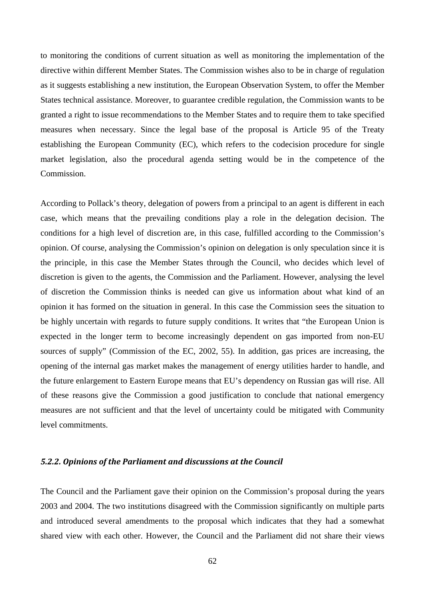to monitoring the conditions of current situation as well as monitoring the implementation of the directive within different Member States. The Commission wishes also to be in charge of regulation as it suggests establishing a new institution, the European Observation System, to offer the Member States technical assistance. Moreover, to guarantee credible regulation, the Commission wants to be granted a right to issue recommendations to the Member States and to require them to take specified measures when necessary. Since the legal base of the proposal is Article 95 of the Treaty establishing the European Community (EC), which refers to the codecision procedure for single market legislation, also the procedural agenda setting would be in the competence of the Commission.

According to Pollack's theory, delegation of powers from a principal to an agent is different in each case, which means that the prevailing conditions play a role in the delegation decision. The conditions for a high level of discretion are, in this case, fulfilled according to the Commission's opinion. Of course, analysing the Commission's opinion on delegation is only speculation since it is the principle, in this case the Member States through the Council, who decides which level of discretion is given to the agents, the Commission and the Parliament. However, analysing the level of discretion the Commission thinks is needed can give us information about what kind of an opinion it has formed on the situation in general. In this case the Commission sees the situation to be highly uncertain with regards to future supply conditions. It writes that "the European Union is expected in the longer term to become increasingly dependent on gas imported from non-EU sources of supply" (Commission of the EC, 2002, 55). In addition, gas prices are increasing, the opening of the internal gas market makes the management of energy utilities harder to handle, and the future enlargement to Eastern Europe means that EU's dependency on Russian gas will rise. All of these reasons give the Commission a good justification to conclude that national emergency measures are not sufficient and that the level of uncertainty could be mitigated with Community level commitments.

# *5.2.2. Opinions of the Parliament and discussions at the Council*

The Council and the Parliament gave their opinion on the Commission's proposal during the years 2003 and 2004. The two institutions disagreed with the Commission significantly on multiple parts and introduced several amendments to the proposal which indicates that they had a somewhat shared view with each other. However, the Council and the Parliament did not share their views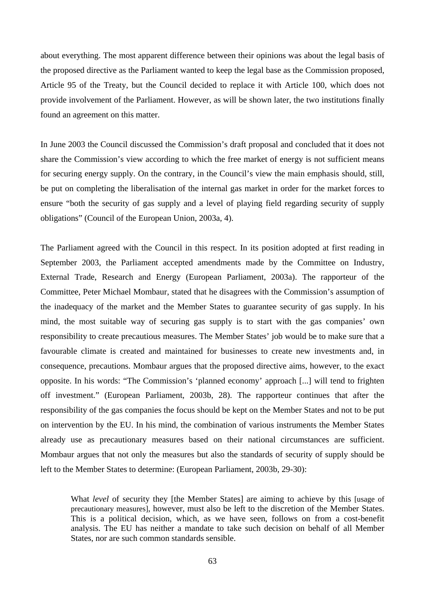about everything. The most apparent difference between their opinions was about the legal basis of the proposed directive as the Parliament wanted to keep the legal base as the Commission proposed, Article 95 of the Treaty, but the Council decided to replace it with Article 100, which does not provide involvement of the Parliament. However, as will be shown later, the two institutions finally found an agreement on this matter.

In June 2003 the Council discussed the Commission's draft proposal and concluded that it does not share the Commission's view according to which the free market of energy is not sufficient means for securing energy supply. On the contrary, in the Council's view the main emphasis should, still, be put on completing the liberalisation of the internal gas market in order for the market forces to ensure "both the security of gas supply and a level of playing field regarding security of supply obligations" (Council of the European Union, 2003a, 4).

The Parliament agreed with the Council in this respect. In its position adopted at first reading in September 2003, the Parliament accepted amendments made by the Committee on Industry, External Trade, Research and Energy (European Parliament, 2003a). The rapporteur of the Committee, Peter Michael Mombaur, stated that he disagrees with the Commission's assumption of the inadequacy of the market and the Member States to guarantee security of gas supply. In his mind, the most suitable way of securing gas supply is to start with the gas companies' own responsibility to create precautious measures. The Member States' job would be to make sure that a favourable climate is created and maintained for businesses to create new investments and, in consequence, precautions. Mombaur argues that the proposed directive aims, however, to the exact opposite. In his words: "The Commission's 'planned economy' approach [...] will tend to frighten off investment." (European Parliament, 2003b, 28). The rapporteur continues that after the responsibility of the gas companies the focus should be kept on the Member States and not to be put on intervention by the EU. In his mind, the combination of various instruments the Member States already use as precautionary measures based on their national circumstances are sufficient. Mombaur argues that not only the measures but also the standards of security of supply should be left to the Member States to determine: (European Parliament, 2003b, 29-30):

What *level* of security they [the Member States] are aiming to achieve by this [usage of precautionary measures], however, must also be left to the discretion of the Member States. This is a political decision, which, as we have seen, follows on from a cost-benefit analysis. The EU has neither a mandate to take such decision on behalf of all Member States, nor are such common standards sensible.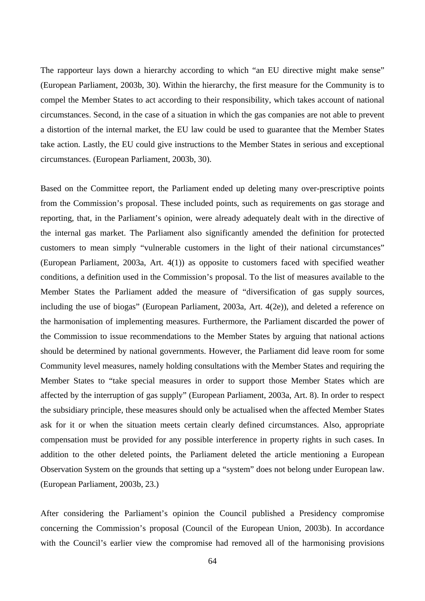The rapporteur lays down a hierarchy according to which "an EU directive might make sense" (European Parliament, 2003b, 30). Within the hierarchy, the first measure for the Community is to compel the Member States to act according to their responsibility, which takes account of national circumstances. Second, in the case of a situation in which the gas companies are not able to prevent a distortion of the internal market, the EU law could be used to guarantee that the Member States take action. Lastly, the EU could give instructions to the Member States in serious and exceptional circumstances. (European Parliament, 2003b, 30).

Based on the Committee report, the Parliament ended up deleting many over-prescriptive points from the Commission's proposal. These included points, such as requirements on gas storage and reporting, that, in the Parliament's opinion, were already adequately dealt with in the directive of the internal gas market. The Parliament also significantly amended the definition for protected customers to mean simply "vulnerable customers in the light of their national circumstances" (European Parliament, 2003a, Art. 4(1)) as opposite to customers faced with specified weather conditions, a definition used in the Commission's proposal. To the list of measures available to the Member States the Parliament added the measure of "diversification of gas supply sources, including the use of biogas" (European Parliament, 2003a, Art. 4(2e)), and deleted a reference on the harmonisation of implementing measures. Furthermore, the Parliament discarded the power of the Commission to issue recommendations to the Member States by arguing that national actions should be determined by national governments. However, the Parliament did leave room for some Community level measures, namely holding consultations with the Member States and requiring the Member States to "take special measures in order to support those Member States which are affected by the interruption of gas supply" (European Parliament, 2003a, Art. 8). In order to respect the subsidiary principle, these measures should only be actualised when the affected Member States ask for it or when the situation meets certain clearly defined circumstances. Also, appropriate compensation must be provided for any possible interference in property rights in such cases. In addition to the other deleted points, the Parliament deleted the article mentioning a European Observation System on the grounds that setting up a "system" does not belong under European law. (European Parliament, 2003b, 23.)

After considering the Parliament's opinion the Council published a Presidency compromise concerning the Commission's proposal (Council of the European Union, 2003b). In accordance with the Council's earlier view the compromise had removed all of the harmonising provisions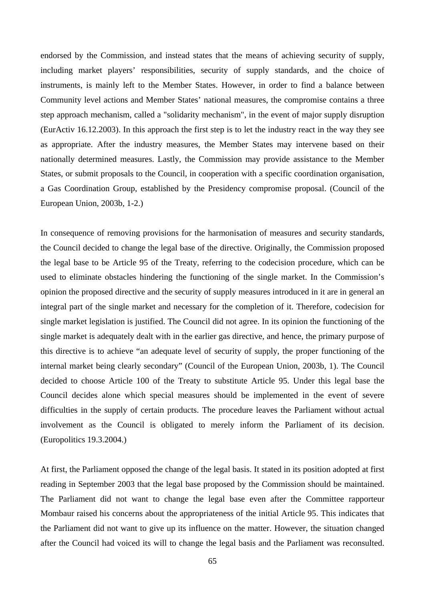endorsed by the Commission, and instead states that the means of achieving security of supply, including market players' responsibilities, security of supply standards, and the choice of instruments, is mainly left to the Member States. However, in order to find a balance between Community level actions and Member States' national measures, the compromise contains a three step approach mechanism, called a "solidarity mechanism", in the event of major supply disruption (EurActiv 16.12.2003). In this approach the first step is to let the industry react in the way they see as appropriate. After the industry measures, the Member States may intervene based on their nationally determined measures. Lastly, the Commission may provide assistance to the Member States, or submit proposals to the Council, in cooperation with a specific coordination organisation, a Gas Coordination Group, established by the Presidency compromise proposal. (Council of the European Union, 2003b, 1-2.)

In consequence of removing provisions for the harmonisation of measures and security standards, the Council decided to change the legal base of the directive. Originally, the Commission proposed the legal base to be Article 95 of the Treaty, referring to the codecision procedure, which can be used to eliminate obstacles hindering the functioning of the single market. In the Commission's opinion the proposed directive and the security of supply measures introduced in it are in general an integral part of the single market and necessary for the completion of it. Therefore, codecision for single market legislation is justified. The Council did not agree. In its opinion the functioning of the single market is adequately dealt with in the earlier gas directive, and hence, the primary purpose of this directive is to achieve "an adequate level of security of supply, the proper functioning of the internal market being clearly secondary" (Council of the European Union, 2003b, 1). The Council decided to choose Article 100 of the Treaty to substitute Article 95. Under this legal base the Council decides alone which special measures should be implemented in the event of severe difficulties in the supply of certain products. The procedure leaves the Parliament without actual involvement as the Council is obligated to merely inform the Parliament of its decision. (Europolitics 19.3.2004.)

At first, the Parliament opposed the change of the legal basis. It stated in its position adopted at first reading in September 2003 that the legal base proposed by the Commission should be maintained. The Parliament did not want to change the legal base even after the Committee rapporteur Mombaur raised his concerns about the appropriateness of the initial Article 95. This indicates that the Parliament did not want to give up its influence on the matter. However, the situation changed after the Council had voiced its will to change the legal basis and the Parliament was reconsulted.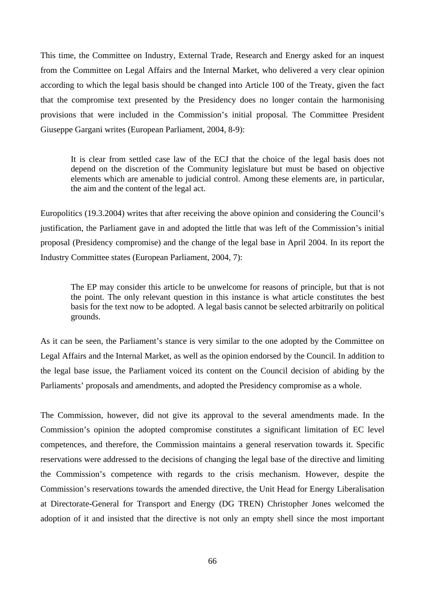This time, the Committee on Industry, External Trade, Research and Energy asked for an inquest from the Committee on Legal Affairs and the Internal Market, who delivered a very clear opinion according to which the legal basis should be changed into Article 100 of the Treaty, given the fact that the compromise text presented by the Presidency does no longer contain the harmonising provisions that were included in the Commission's initial proposal. The Committee President Giuseppe Gargani writes (European Parliament, 2004, 8-9):

It is clear from settled case law of the ECJ that the choice of the legal basis does not depend on the discretion of the Community legislature but must be based on objective elements which are amenable to judicial control. Among these elements are, in particular, the aim and the content of the legal act.

Europolitics (19.3.2004) writes that after receiving the above opinion and considering the Council's justification, the Parliament gave in and adopted the little that was left of the Commission's initial proposal (Presidency compromise) and the change of the legal base in April 2004. In its report the Industry Committee states (European Parliament, 2004, 7):

The EP may consider this article to be unwelcome for reasons of principle, but that is not the point. The only relevant question in this instance is what article constitutes the best basis for the text now to be adopted. A legal basis cannot be selected arbitrarily on political grounds.

As it can be seen, the Parliament's stance is very similar to the one adopted by the Committee on Legal Affairs and the Internal Market, as well as the opinion endorsed by the Council. In addition to the legal base issue, the Parliament voiced its content on the Council decision of abiding by the Parliaments' proposals and amendments, and adopted the Presidency compromise as a whole.

The Commission, however, did not give its approval to the several amendments made. In the Commission's opinion the adopted compromise constitutes a significant limitation of EC level competences, and therefore, the Commission maintains a general reservation towards it. Specific reservations were addressed to the decisions of changing the legal base of the directive and limiting the Commission's competence with regards to the crisis mechanism. However, despite the Commission's reservations towards the amended directive, the Unit Head for Energy Liberalisation at Directorate-General for Transport and Energy (DG TREN) Christopher Jones welcomed the adoption of it and insisted that the directive is not only an empty shell since the most important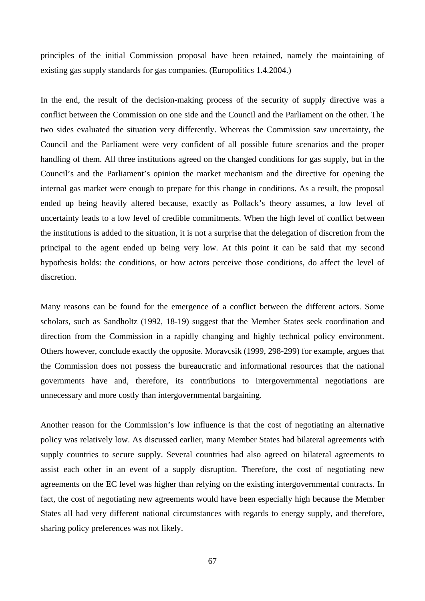principles of the initial Commission proposal have been retained, namely the maintaining of existing gas supply standards for gas companies. (Europolitics 1.4.2004.)

In the end, the result of the decision-making process of the security of supply directive was a conflict between the Commission on one side and the Council and the Parliament on the other. The two sides evaluated the situation very differently. Whereas the Commission saw uncertainty, the Council and the Parliament were very confident of all possible future scenarios and the proper handling of them. All three institutions agreed on the changed conditions for gas supply, but in the Council's and the Parliament's opinion the market mechanism and the directive for opening the internal gas market were enough to prepare for this change in conditions. As a result, the proposal ended up being heavily altered because, exactly as Pollack's theory assumes, a low level of uncertainty leads to a low level of credible commitments. When the high level of conflict between the institutions is added to the situation, it is not a surprise that the delegation of discretion from the principal to the agent ended up being very low. At this point it can be said that my second hypothesis holds: the conditions, or how actors perceive those conditions, do affect the level of discretion.

Many reasons can be found for the emergence of a conflict between the different actors. Some scholars, such as Sandholtz (1992, 18-19) suggest that the Member States seek coordination and direction from the Commission in a rapidly changing and highly technical policy environment. Others however, conclude exactly the opposite. Moravcsik (1999, 298-299) for example, argues that the Commission does not possess the bureaucratic and informational resources that the national governments have and, therefore, its contributions to intergovernmental negotiations are unnecessary and more costly than intergovernmental bargaining.

Another reason for the Commission's low influence is that the cost of negotiating an alternative policy was relatively low. As discussed earlier, many Member States had bilateral agreements with supply countries to secure supply. Several countries had also agreed on bilateral agreements to assist each other in an event of a supply disruption. Therefore, the cost of negotiating new agreements on the EC level was higher than relying on the existing intergovernmental contracts. In fact, the cost of negotiating new agreements would have been especially high because the Member States all had very different national circumstances with regards to energy supply, and therefore, sharing policy preferences was not likely.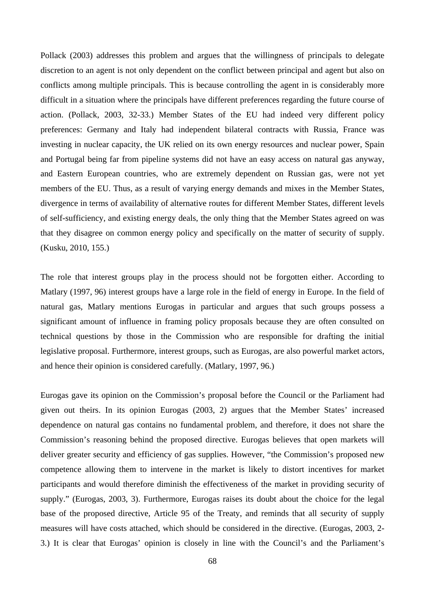Pollack (2003) addresses this problem and argues that the willingness of principals to delegate discretion to an agent is not only dependent on the conflict between principal and agent but also on conflicts among multiple principals. This is because controlling the agent in is considerably more difficult in a situation where the principals have different preferences regarding the future course of action. (Pollack, 2003, 32-33.) Member States of the EU had indeed very different policy preferences: Germany and Italy had independent bilateral contracts with Russia, France was investing in nuclear capacity, the UK relied on its own energy resources and nuclear power, Spain and Portugal being far from pipeline systems did not have an easy access on natural gas anyway, and Eastern European countries, who are extremely dependent on Russian gas, were not yet members of the EU. Thus, as a result of varying energy demands and mixes in the Member States, divergence in terms of availability of alternative routes for different Member States, different levels of self-sufficiency, and existing energy deals, the only thing that the Member States agreed on was that they disagree on common energy policy and specifically on the matter of security of supply. (Kusku, 2010, 155.)

The role that interest groups play in the process should not be forgotten either. According to Matlary (1997, 96) interest groups have a large role in the field of energy in Europe. In the field of natural gas, Matlary mentions Eurogas in particular and argues that such groups possess a significant amount of influence in framing policy proposals because they are often consulted on technical questions by those in the Commission who are responsible for drafting the initial legislative proposal. Furthermore, interest groups, such as Eurogas, are also powerful market actors, and hence their opinion is considered carefully. (Matlary, 1997, 96.)

Eurogas gave its opinion on the Commission's proposal before the Council or the Parliament had given out theirs. In its opinion Eurogas (2003, 2) argues that the Member States' increased dependence on natural gas contains no fundamental problem, and therefore, it does not share the Commission's reasoning behind the proposed directive. Eurogas believes that open markets will deliver greater security and efficiency of gas supplies. However, "the Commission's proposed new competence allowing them to intervene in the market is likely to distort incentives for market participants and would therefore diminish the effectiveness of the market in providing security of supply." (Eurogas, 2003, 3). Furthermore, Eurogas raises its doubt about the choice for the legal base of the proposed directive, Article 95 of the Treaty, and reminds that all security of supply measures will have costs attached, which should be considered in the directive. (Eurogas, 2003, 2- 3.) It is clear that Eurogas' opinion is closely in line with the Council's and the Parliament's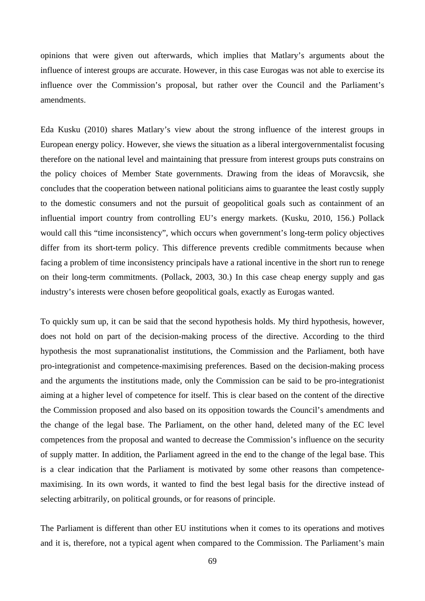opinions that were given out afterwards, which implies that Matlary's arguments about the influence of interest groups are accurate. However, in this case Eurogas was not able to exercise its influence over the Commission's proposal, but rather over the Council and the Parliament's amendments.

Eda Kusku (2010) shares Matlary's view about the strong influence of the interest groups in European energy policy. However, she views the situation as a liberal intergovernmentalist focusing therefore on the national level and maintaining that pressure from interest groups puts constrains on the policy choices of Member State governments. Drawing from the ideas of Moravcsik, she concludes that the cooperation between national politicians aims to guarantee the least costly supply to the domestic consumers and not the pursuit of geopolitical goals such as containment of an influential import country from controlling EU's energy markets. (Kusku, 2010, 156.) Pollack would call this "time inconsistency", which occurs when government's long-term policy objectives differ from its short-term policy. This difference prevents credible commitments because when facing a problem of time inconsistency principals have a rational incentive in the short run to renege on their long-term commitments. (Pollack, 2003, 30.) In this case cheap energy supply and gas industry's interests were chosen before geopolitical goals, exactly as Eurogas wanted.

To quickly sum up, it can be said that the second hypothesis holds. My third hypothesis, however, does not hold on part of the decision-making process of the directive. According to the third hypothesis the most supranationalist institutions, the Commission and the Parliament, both have pro-integrationist and competence-maximising preferences. Based on the decision-making process and the arguments the institutions made, only the Commission can be said to be pro-integrationist aiming at a higher level of competence for itself. This is clear based on the content of the directive the Commission proposed and also based on its opposition towards the Council's amendments and the change of the legal base. The Parliament, on the other hand, deleted many of the EC level competences from the proposal and wanted to decrease the Commission's influence on the security of supply matter. In addition, the Parliament agreed in the end to the change of the legal base. This is a clear indication that the Parliament is motivated by some other reasons than competencemaximising. In its own words, it wanted to find the best legal basis for the directive instead of selecting arbitrarily, on political grounds, or for reasons of principle.

The Parliament is different than other EU institutions when it comes to its operations and motives and it is, therefore, not a typical agent when compared to the Commission. The Parliament's main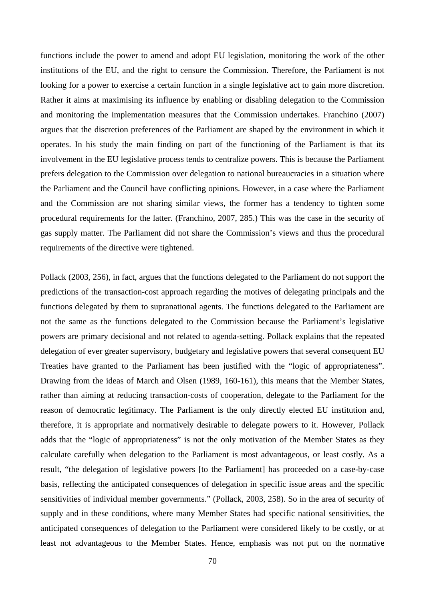functions include the power to amend and adopt EU legislation, monitoring the work of the other institutions of the EU, and the right to censure the Commission. Therefore, the Parliament is not looking for a power to exercise a certain function in a single legislative act to gain more discretion. Rather it aims at maximising its influence by enabling or disabling delegation to the Commission and monitoring the implementation measures that the Commission undertakes. Franchino (2007) argues that the discretion preferences of the Parliament are shaped by the environment in which it operates. In his study the main finding on part of the functioning of the Parliament is that its involvement in the EU legislative process tends to centralize powers. This is because the Parliament prefers delegation to the Commission over delegation to national bureaucracies in a situation where the Parliament and the Council have conflicting opinions. However, in a case where the Parliament and the Commission are not sharing similar views, the former has a tendency to tighten some procedural requirements for the latter. (Franchino, 2007, 285.) This was the case in the security of gas supply matter. The Parliament did not share the Commission's views and thus the procedural requirements of the directive were tightened.

Pollack (2003, 256), in fact, argues that the functions delegated to the Parliament do not support the predictions of the transaction-cost approach regarding the motives of delegating principals and the functions delegated by them to supranational agents. The functions delegated to the Parliament are not the same as the functions delegated to the Commission because the Parliament's legislative powers are primary decisional and not related to agenda-setting. Pollack explains that the repeated delegation of ever greater supervisory, budgetary and legislative powers that several consequent EU Treaties have granted to the Parliament has been justified with the "logic of appropriateness". Drawing from the ideas of March and Olsen (1989, 160-161), this means that the Member States, rather than aiming at reducing transaction-costs of cooperation, delegate to the Parliament for the reason of democratic legitimacy. The Parliament is the only directly elected EU institution and, therefore, it is appropriate and normatively desirable to delegate powers to it. However, Pollack adds that the "logic of appropriateness" is not the only motivation of the Member States as they calculate carefully when delegation to the Parliament is most advantageous, or least costly. As a result, "the delegation of legislative powers [to the Parliament] has proceeded on a case-by-case basis, reflecting the anticipated consequences of delegation in specific issue areas and the specific sensitivities of individual member governments." (Pollack, 2003, 258). So in the area of security of supply and in these conditions, where many Member States had specific national sensitivities, the anticipated consequences of delegation to the Parliament were considered likely to be costly, or at least not advantageous to the Member States. Hence, emphasis was not put on the normative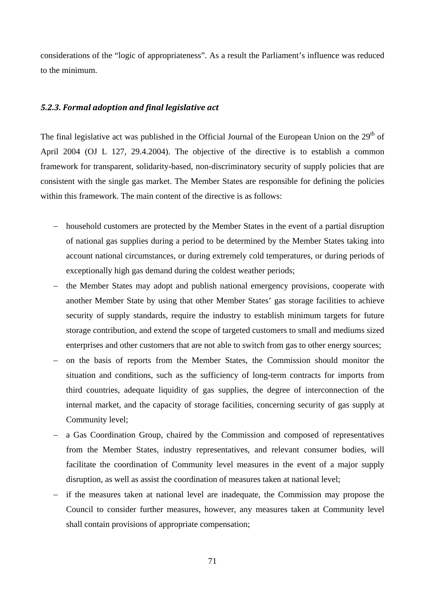considerations of the "logic of appropriateness". As a result the Parliament's influence was reduced to the minimum.

## *5.2.3. Formal adoption and final legislative act*

The final legislative act was published in the Official Journal of the European Union on the 29<sup>th</sup> of April 2004 (OJ L 127, 29.4.2004). The objective of the directive is to establish a common framework for transparent, solidarity-based, non-discriminatory security of supply policies that are consistent with the single gas market. The Member States are responsible for defining the policies within this framework. The main content of the directive is as follows:

- − household customers are protected by the Member States in the event of a partial disruption of national gas supplies during a period to be determined by the Member States taking into account national circumstances, or during extremely cold temperatures, or during periods of exceptionally high gas demand during the coldest weather periods;
- − the Member States may adopt and publish national emergency provisions, cooperate with another Member State by using that other Member States' gas storage facilities to achieve security of supply standards, require the industry to establish minimum targets for future storage contribution, and extend the scope of targeted customers to small and mediums sized enterprises and other customers that are not able to switch from gas to other energy sources;
- − on the basis of reports from the Member States, the Commission should monitor the situation and conditions, such as the sufficiency of long-term contracts for imports from third countries, adequate liquidity of gas supplies, the degree of interconnection of the internal market, and the capacity of storage facilities, concerning security of gas supply at Community level;
- − a Gas Coordination Group, chaired by the Commission and composed of representatives from the Member States, industry representatives, and relevant consumer bodies, will facilitate the coordination of Community level measures in the event of a major supply disruption, as well as assist the coordination of measures taken at national level;
- − if the measures taken at national level are inadequate, the Commission may propose the Council to consider further measures, however, any measures taken at Community level shall contain provisions of appropriate compensation;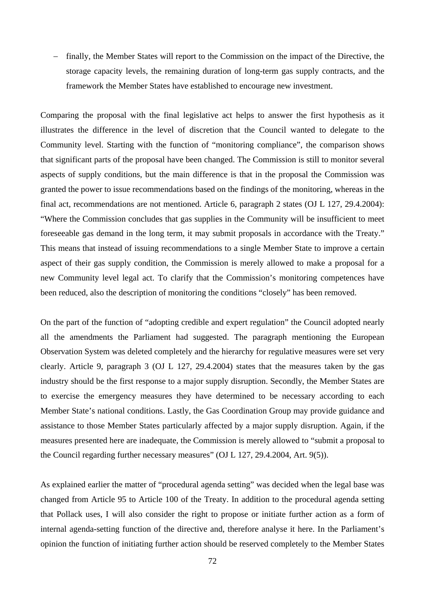− finally, the Member States will report to the Commission on the impact of the Directive, the storage capacity levels, the remaining duration of long-term gas supply contracts, and the framework the Member States have established to encourage new investment.

Comparing the proposal with the final legislative act helps to answer the first hypothesis as it illustrates the difference in the level of discretion that the Council wanted to delegate to the Community level. Starting with the function of "monitoring compliance", the comparison shows that significant parts of the proposal have been changed. The Commission is still to monitor several aspects of supply conditions, but the main difference is that in the proposal the Commission was granted the power to issue recommendations based on the findings of the monitoring, whereas in the final act, recommendations are not mentioned. Article 6, paragraph 2 states (OJ L 127, 29.4.2004): "Where the Commission concludes that gas supplies in the Community will be insufficient to meet foreseeable gas demand in the long term, it may submit proposals in accordance with the Treaty." This means that instead of issuing recommendations to a single Member State to improve a certain aspect of their gas supply condition, the Commission is merely allowed to make a proposal for a new Community level legal act. To clarify that the Commission's monitoring competences have been reduced, also the description of monitoring the conditions "closely" has been removed.

On the part of the function of "adopting credible and expert regulation" the Council adopted nearly all the amendments the Parliament had suggested. The paragraph mentioning the European Observation System was deleted completely and the hierarchy for regulative measures were set very clearly. Article 9, paragraph 3 (OJ L 127, 29.4.2004) states that the measures taken by the gas industry should be the first response to a major supply disruption. Secondly, the Member States are to exercise the emergency measures they have determined to be necessary according to each Member State's national conditions. Lastly, the Gas Coordination Group may provide guidance and assistance to those Member States particularly affected by a major supply disruption. Again, if the measures presented here are inadequate, the Commission is merely allowed to "submit a proposal to the Council regarding further necessary measures" (OJ L 127, 29.4.2004, Art. 9(5)).

As explained earlier the matter of "procedural agenda setting" was decided when the legal base was changed from Article 95 to Article 100 of the Treaty. In addition to the procedural agenda setting that Pollack uses, I will also consider the right to propose or initiate further action as a form of internal agenda-setting function of the directive and, therefore analyse it here. In the Parliament's opinion the function of initiating further action should be reserved completely to the Member States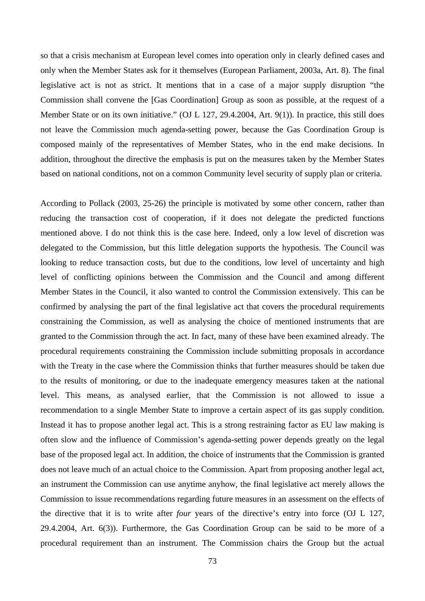so that a crisis mechanism at European level comes into operation only in clearly defined cases and only when the Member States ask for it themselves (European Parliament, 2003a, Art. 8). The final legislative act is not as strict. It mentions that in a case of a major supply disruption "the Commission shall convene the [Gas Coordination] Group as soon as possible, at the request of a Member State or on its own initiative." (OJ L 127, 29.4.2004, Art. 9(1)). In practice, this still does not leave the Commission much agenda-setting power, because the Gas Coordination Group is composed mainly of the representatives of Member States, who in the end make decisions. In addition, throughout the directive the emphasis is put on the measures taken by the Member States based on national conditions, not on a common Community level security of supply plan or criteria.

According to Pollack (2003, 25-26) the principle is motivated by some other concern, rather than reducing the transaction cost of cooperation, if it does not delegate the predicted functions mentioned above. I do not think this is the case here. Indeed, only a low level of discretion was delegated to the Commission, but this little delegation supports the hypothesis. The Council was looking to reduce transaction costs, but due to the conditions, low level of uncertainty and high level of conflicting opinions between the Commission and the Council and among different Member States in the Council, it also wanted to control the Commission extensively. This can be confirmed by analysing the part of the final legislative act that covers the procedural requirements constraining the Commission, as well as analysing the choice of mentioned instruments that are granted to the Commission through the act. In fact, many of these have been examined already. The procedural requirements constraining the Commission include submitting proposals in accordance with the Treaty in the case where the Commission thinks that further measures should be taken due to the results of monitoring, or due to the inadequate emergency measures taken at the national level. This means, as analysed earlier, that the Commission is not allowed to issue a recommendation to a single Member State to improve a certain aspect of its gas supply condition. Instead it has to propose another legal act. This is a strong restraining factor as EU law making is often slow and the influence of Commission's agenda-setting power depends greatly on the legal base of the proposed legal act. In addition, the choice of instruments that the Commission is granted does not leave much of an actual choice to the Commission. Apart from proposing another legal act, an instrument the Commission can use anytime anyhow, the final legislative act merely allows the Commission to issue recommendations regarding future measures in an assessment on the effects of the directive that it is to write after *four* years of the directive's entry into force (OJ L 127, 29.4.2004, Art. 6(3)). Furthermore, the Gas Coordination Group can be said to be more of a procedural requirement than an instrument. The Commission chairs the Group but the actual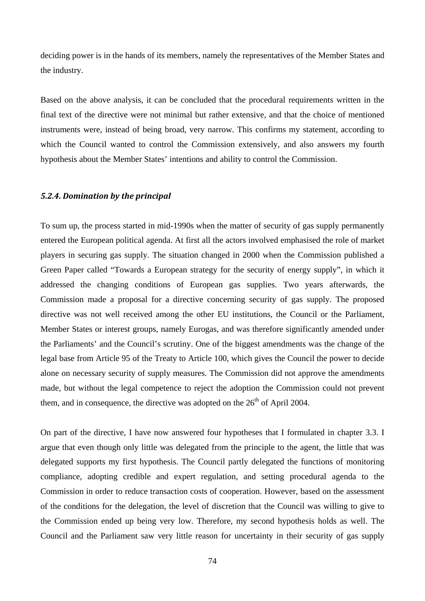deciding power is in the hands of its members, namely the representatives of the Member States and the industry.

Based on the above analysis, it can be concluded that the procedural requirements written in the final text of the directive were not minimal but rather extensive, and that the choice of mentioned instruments were, instead of being broad, very narrow. This confirms my statement, according to which the Council wanted to control the Commission extensively, and also answers my fourth hypothesis about the Member States' intentions and ability to control the Commission.

#### *5.2.4. Domination by the principal*

To sum up, the process started in mid-1990s when the matter of security of gas supply permanently entered the European political agenda. At first all the actors involved emphasised the role of market players in securing gas supply. The situation changed in 2000 when the Commission published a Green Paper called "Towards a European strategy for the security of energy supply", in which it addressed the changing conditions of European gas supplies. Two years afterwards, the Commission made a proposal for a directive concerning security of gas supply. The proposed directive was not well received among the other EU institutions, the Council or the Parliament, Member States or interest groups, namely Eurogas, and was therefore significantly amended under the Parliaments' and the Council's scrutiny. One of the biggest amendments was the change of the legal base from Article 95 of the Treaty to Article 100, which gives the Council the power to decide alone on necessary security of supply measures. The Commission did not approve the amendments made, but without the legal competence to reject the adoption the Commission could not prevent them, and in consequence, the directive was adopted on the  $26<sup>th</sup>$  of April 2004.

On part of the directive, I have now answered four hypotheses that I formulated in chapter 3.3. I argue that even though only little was delegated from the principle to the agent, the little that was delegated supports my first hypothesis. The Council partly delegated the functions of monitoring compliance, adopting credible and expert regulation, and setting procedural agenda to the Commission in order to reduce transaction costs of cooperation. However, based on the assessment of the conditions for the delegation, the level of discretion that the Council was willing to give to the Commission ended up being very low. Therefore, my second hypothesis holds as well. The Council and the Parliament saw very little reason for uncertainty in their security of gas supply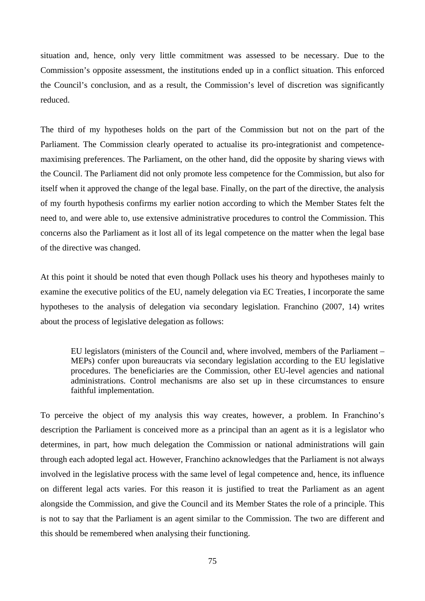situation and, hence, only very little commitment was assessed to be necessary. Due to the Commission's opposite assessment, the institutions ended up in a conflict situation. This enforced the Council's conclusion, and as a result, the Commission's level of discretion was significantly reduced.

The third of my hypotheses holds on the part of the Commission but not on the part of the Parliament. The Commission clearly operated to actualise its pro-integrationist and competencemaximising preferences. The Parliament, on the other hand, did the opposite by sharing views with the Council. The Parliament did not only promote less competence for the Commission, but also for itself when it approved the change of the legal base. Finally, on the part of the directive, the analysis of my fourth hypothesis confirms my earlier notion according to which the Member States felt the need to, and were able to, use extensive administrative procedures to control the Commission. This concerns also the Parliament as it lost all of its legal competence on the matter when the legal base of the directive was changed.

At this point it should be noted that even though Pollack uses his theory and hypotheses mainly to examine the executive politics of the EU, namely delegation via EC Treaties, I incorporate the same hypotheses to the analysis of delegation via secondary legislation. Franchino (2007, 14) writes about the process of legislative delegation as follows:

EU legislators (ministers of the Council and, where involved, members of the Parliament – MEPs) confer upon bureaucrats via secondary legislation according to the EU legislative procedures. The beneficiaries are the Commission, other EU-level agencies and national administrations. Control mechanisms are also set up in these circumstances to ensure faithful implementation.

To perceive the object of my analysis this way creates, however, a problem. In Franchino's description the Parliament is conceived more as a principal than an agent as it is a legislator who determines, in part, how much delegation the Commission or national administrations will gain through each adopted legal act. However, Franchino acknowledges that the Parliament is not always involved in the legislative process with the same level of legal competence and, hence, its influence on different legal acts varies. For this reason it is justified to treat the Parliament as an agent alongside the Commission, and give the Council and its Member States the role of a principle. This is not to say that the Parliament is an agent similar to the Commission. The two are different and this should be remembered when analysing their functioning.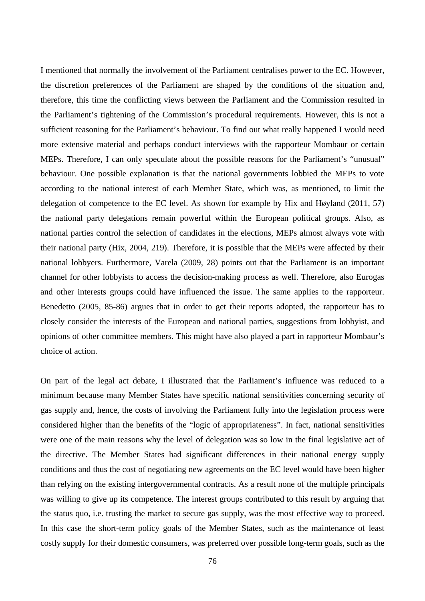I mentioned that normally the involvement of the Parliament centralises power to the EC. However, the discretion preferences of the Parliament are shaped by the conditions of the situation and, therefore, this time the conflicting views between the Parliament and the Commission resulted in the Parliament's tightening of the Commission's procedural requirements. However, this is not a sufficient reasoning for the Parliament's behaviour. To find out what really happened I would need more extensive material and perhaps conduct interviews with the rapporteur Mombaur or certain MEPs. Therefore, I can only speculate about the possible reasons for the Parliament's "unusual" behaviour. One possible explanation is that the national governments lobbied the MEPs to vote according to the national interest of each Member State, which was, as mentioned, to limit the delegation of competence to the EC level. As shown for example by Hix and Høyland (2011, 57) the national party delegations remain powerful within the European political groups. Also, as national parties control the selection of candidates in the elections, MEPs almost always vote with their national party (Hix, 2004, 219). Therefore, it is possible that the MEPs were affected by their national lobbyers. Furthermore, Varela (2009, 28) points out that the Parliament is an important channel for other lobbyists to access the decision-making process as well. Therefore, also Eurogas and other interests groups could have influenced the issue. The same applies to the rapporteur. Benedetto (2005, 85-86) argues that in order to get their reports adopted, the rapporteur has to closely consider the interests of the European and national parties, suggestions from lobbyist, and opinions of other committee members. This might have also played a part in rapporteur Mombaur's choice of action.

On part of the legal act debate, I illustrated that the Parliament's influence was reduced to a minimum because many Member States have specific national sensitivities concerning security of gas supply and, hence, the costs of involving the Parliament fully into the legislation process were considered higher than the benefits of the "logic of appropriateness". In fact, national sensitivities were one of the main reasons why the level of delegation was so low in the final legislative act of the directive. The Member States had significant differences in their national energy supply conditions and thus the cost of negotiating new agreements on the EC level would have been higher than relying on the existing intergovernmental contracts. As a result none of the multiple principals was willing to give up its competence. The interest groups contributed to this result by arguing that the status quo, i.e. trusting the market to secure gas supply, was the most effective way to proceed. In this case the short-term policy goals of the Member States, such as the maintenance of least costly supply for their domestic consumers, was preferred over possible long-term goals, such as the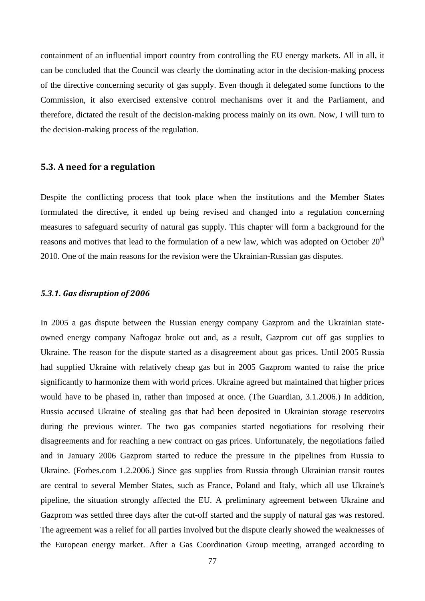containment of an influential import country from controlling the EU energy markets. All in all, it can be concluded that the Council was clearly the dominating actor in the decision-making process of the directive concerning security of gas supply. Even though it delegated some functions to the Commission, it also exercised extensive control mechanisms over it and the Parliament, and therefore, dictated the result of the decision-making process mainly on its own. Now, I will turn to the decision-making process of the regulation.

### **5.3. A need for a regulation**

Despite the conflicting process that took place when the institutions and the Member States formulated the directive, it ended up being revised and changed into a regulation concerning measures to safeguard security of natural gas supply. This chapter will form a background for the reasons and motives that lead to the formulation of a new law, which was adopted on October  $20<sup>th</sup>$ 2010. One of the main reasons for the revision were the Ukrainian-Russian gas disputes.

## *5.3.1. Gas disruption of 2006*

In 2005 a gas dispute between the Russian energy company Gazprom and the Ukrainian stateowned energy company Naftogaz broke out and, as a result, Gazprom cut off gas supplies to Ukraine. The reason for the dispute started as a disagreement about gas prices. Until 2005 Russia had supplied Ukraine with relatively cheap gas but in 2005 Gazprom wanted to raise the price significantly to harmonize them with world prices. Ukraine agreed but maintained that higher prices would have to be phased in, rather than imposed at once. (The Guardian, 3.1.2006.) In addition, Russia accused Ukraine of stealing gas that had been deposited in Ukrainian storage reservoirs during the previous winter. The two gas companies started negotiations for resolving their disagreements and for reaching a new contract on gas prices. Unfortunately, the negotiations failed and in January 2006 Gazprom started to reduce the pressure in the pipelines from Russia to Ukraine. (Forbes.com 1.2.2006.) Since gas supplies from Russia through Ukrainian transit routes are central to several Member States, such as France, Poland and Italy, which all use Ukraine's pipeline, the situation strongly affected the EU. A preliminary agreement between Ukraine and Gazprom was settled three days after the cut-off started and the supply of natural gas was restored. The agreement was a relief for all parties involved but the dispute clearly showed the weaknesses of the European energy market. After a Gas Coordination Group meeting, arranged according to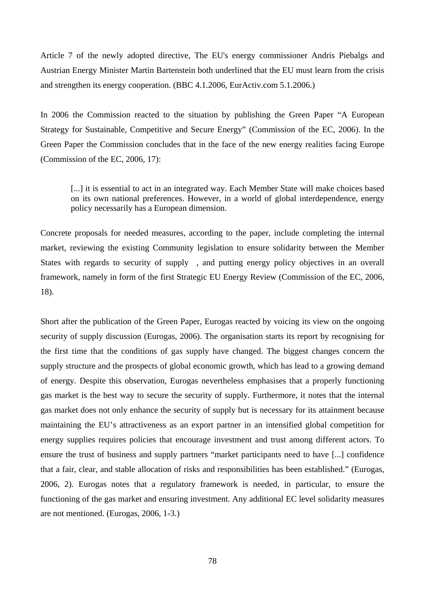Article 7 of the newly adopted directive, The EU's energy commissioner Andris Piebalgs and Austrian Energy Minister Martin Bartenstein both underlined that the EU must learn from the crisis and strengthen its energy cooperation. (BBC 4.1.2006, EurActiv.com 5.1.2006.)

In 2006 the Commission reacted to the situation by publishing the Green Paper "A European Strategy for Sustainable, Competitive and Secure Energy" (Commission of the EC, 2006). In the Green Paper the Commission concludes that in the face of the new energy realities facing Europe (Commission of the EC, 2006, 17):

[...] it is essential to act in an integrated way. Each Member State will make choices based on its own national preferences. However, in a world of global interdependence, energy policy necessarily has a European dimension.

Concrete proposals for needed measures, according to the paper, include completing the internal market, reviewing the existing Community legislation to ensure solidarity between the Member States with regards to security of supply , and putting energy policy objectives in an overall framework, namely in form of the first Strategic EU Energy Review (Commission of the EC, 2006, 18).

Short after the publication of the Green Paper, Eurogas reacted by voicing its view on the ongoing security of supply discussion (Eurogas, 2006). The organisation starts its report by recognising for the first time that the conditions of gas supply have changed. The biggest changes concern the supply structure and the prospects of global economic growth, which has lead to a growing demand of energy. Despite this observation, Eurogas nevertheless emphasises that a properly functioning gas market is the best way to secure the security of supply. Furthermore, it notes that the internal gas market does not only enhance the security of supply but is necessary for its attainment because maintaining the EU's attractiveness as an export partner in an intensified global competition for energy supplies requires policies that encourage investment and trust among different actors. To ensure the trust of business and supply partners "market participants need to have [...] confidence that a fair, clear, and stable allocation of risks and responsibilities has been established." (Eurogas, 2006, 2). Eurogas notes that a regulatory framework is needed, in particular, to ensure the functioning of the gas market and ensuring investment. Any additional EC level solidarity measures are not mentioned. (Eurogas, 2006, 1-3.)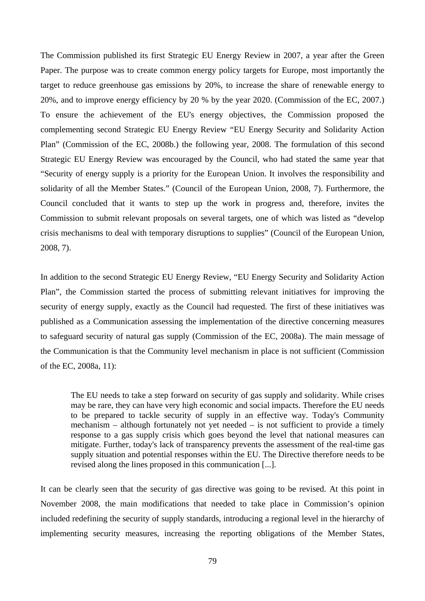The Commission published its first Strategic EU Energy Review in 2007, a year after the Green Paper. The purpose was to create common energy policy targets for Europe, most importantly the target to reduce greenhouse gas emissions by 20%, to increase the share of renewable energy to 20%, and to improve energy efficiency by 20 % by the year 2020. (Commission of the EC, 2007.) To ensure the achievement of the EU's energy objectives, the Commission proposed the complementing second Strategic EU Energy Review "EU Energy Security and Solidarity Action Plan" (Commission of the EC, 2008b.) the following year, 2008. The formulation of this second Strategic EU Energy Review was encouraged by the Council, who had stated the same year that "Security of energy supply is a priority for the European Union. It involves the responsibility and solidarity of all the Member States." (Council of the European Union, 2008, 7). Furthermore, the Council concluded that it wants to step up the work in progress and, therefore, invites the Commission to submit relevant proposals on several targets, one of which was listed as "develop crisis mechanisms to deal with temporary disruptions to supplies" (Council of the European Union, 2008, 7).

In addition to the second Strategic EU Energy Review, "EU Energy Security and Solidarity Action Plan", the Commission started the process of submitting relevant initiatives for improving the security of energy supply, exactly as the Council had requested. The first of these initiatives was published as a Communication assessing the implementation of the directive concerning measures to safeguard security of natural gas supply (Commission of the EC, 2008a). The main message of the Communication is that the Community level mechanism in place is not sufficient (Commission of the EC, 2008a, 11):

The EU needs to take a step forward on security of gas supply and solidarity. While crises may be rare, they can have very high economic and social impacts. Therefore the EU needs to be prepared to tackle security of supply in an effective way. Today's Community mechanism – although fortunately not yet needed – is not sufficient to provide a timely response to a gas supply crisis which goes beyond the level that national measures can mitigate. Further, today's lack of transparency prevents the assessment of the real-time gas supply situation and potential responses within the EU. The Directive therefore needs to be revised along the lines proposed in this communication [...].

It can be clearly seen that the security of gas directive was going to be revised. At this point in November 2008, the main modifications that needed to take place in Commission's opinion included redefining the security of supply standards, introducing a regional level in the hierarchy of implementing security measures, increasing the reporting obligations of the Member States,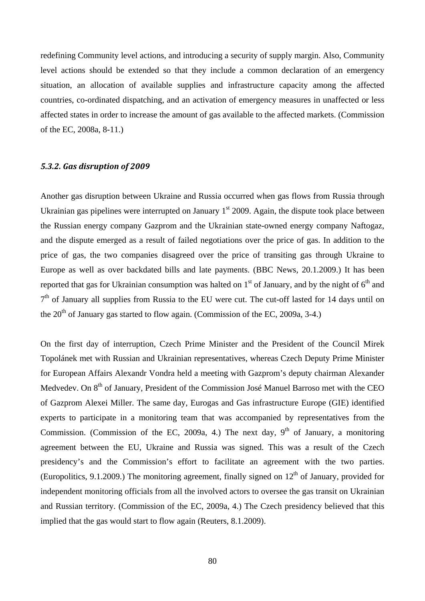redefining Community level actions, and introducing a security of supply margin. Also, Community level actions should be extended so that they include a common declaration of an emergency situation, an allocation of available supplies and infrastructure capacity among the affected countries, co-ordinated dispatching, and an activation of emergency measures in unaffected or less affected states in order to increase the amount of gas available to the affected markets. (Commission of the EC, 2008a, 8-11.)

#### *5.3.2. Gas disruption of 2009*

Another gas disruption between Ukraine and Russia occurred when gas flows from Russia through Ukrainian gas pipelines were interrupted on January  $1<sup>st</sup>$  2009. Again, the dispute took place between the Russian energy company Gazprom and the Ukrainian state-owned energy company Naftogaz, and the dispute emerged as a result of failed negotiations over the price of gas. In addition to the price of gas, the two companies disagreed over the price of transiting gas through Ukraine to Europe as well as over backdated bills and late payments. (BBC News, 20.1.2009.) It has been reported that gas for Ukrainian consumption was halted on  $1<sup>st</sup>$  of January, and by the night of  $6<sup>th</sup>$  and  $7<sup>th</sup>$  of January all supplies from Russia to the EU were cut. The cut-off lasted for 14 days until on the  $20<sup>th</sup>$  of January gas started to flow again. (Commission of the EC, 2009a, 3-4.)

On the first day of interruption, Czech Prime Minister and the President of the Council Mirek Topolánek met with Russian and Ukrainian representatives, whereas Czech Deputy Prime Minister for European Affairs Alexandr Vondra held a meeting with Gazprom's deputy chairman Alexander Medvedev. On 8<sup>th</sup> of January, President of the Commission José Manuel Barroso met with the CEO of Gazprom Alexei Miller. The same day, Eurogas and Gas infrastructure Europe (GIE) identified experts to participate in a monitoring team that was accompanied by representatives from the Commission. (Commission of the EC, 2009a, 4.) The next day,  $9<sup>th</sup>$  of January, a monitoring agreement between the EU, Ukraine and Russia was signed. This was a result of the Czech presidency's and the Commission's effort to facilitate an agreement with the two parties. (Europolitics, 9.1.2009.) The monitoring agreement, finally signed on  $12<sup>th</sup>$  of January, provided for independent monitoring officials from all the involved actors to oversee the gas transit on Ukrainian and Russian territory. (Commission of the EC, 2009a, 4.) The Czech presidency believed that this implied that the gas would start to flow again (Reuters, 8.1.2009).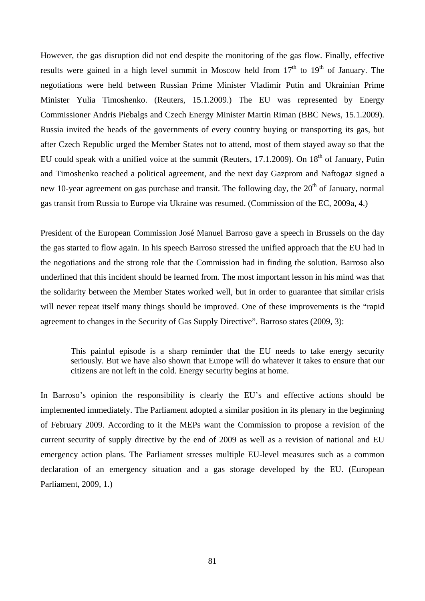However, the gas disruption did not end despite the monitoring of the gas flow. Finally, effective results were gained in a high level summit in Moscow held from  $17<sup>th</sup>$  to  $19<sup>th</sup>$  of January. The negotiations were held between Russian Prime Minister Vladimir Putin and Ukrainian Prime Minister Yulia Timoshenko. (Reuters, 15.1.2009.) The EU was represented by Energy Commissioner Andris Piebalgs and Czech Energy Minister Martin Riman (BBC News, 15.1.2009). Russia invited the heads of the governments of every country buying or transporting its gas, but after Czech Republic urged the Member States not to attend, most of them stayed away so that the EU could speak with a unified voice at the summit (Reuters, 17.1.2009). On 18<sup>th</sup> of January, Putin and Timoshenko reached a political agreement, and the next day Gazprom and Naftogaz signed a new 10-year agreement on gas purchase and transit. The following day, the 20<sup>th</sup> of January, normal gas transit from Russia to Europe via Ukraine was resumed. (Commission of the EC, 2009a, 4.)

President of the European Commission José Manuel Barroso gave a speech in Brussels on the day the gas started to flow again. In his speech Barroso stressed the unified approach that the EU had in the negotiations and the strong role that the Commission had in finding the solution. Barroso also underlined that this incident should be learned from. The most important lesson in his mind was that the solidarity between the Member States worked well, but in order to guarantee that similar crisis will never repeat itself many things should be improved. One of these improvements is the "rapid" agreement to changes in the Security of Gas Supply Directive". Barroso states (2009, 3):

This painful episode is a sharp reminder that the EU needs to take energy security seriously. But we have also shown that Europe will do whatever it takes to ensure that our citizens are not left in the cold. Energy security begins at home.

In Barroso's opinion the responsibility is clearly the EU's and effective actions should be implemented immediately. The Parliament adopted a similar position in its plenary in the beginning of February 2009. According to it the MEPs want the Commission to propose a revision of the current security of supply directive by the end of 2009 as well as a revision of national and EU emergency action plans. The Parliament stresses multiple EU-level measures such as a common declaration of an emergency situation and a gas storage developed by the EU. (European Parliament, 2009, 1.)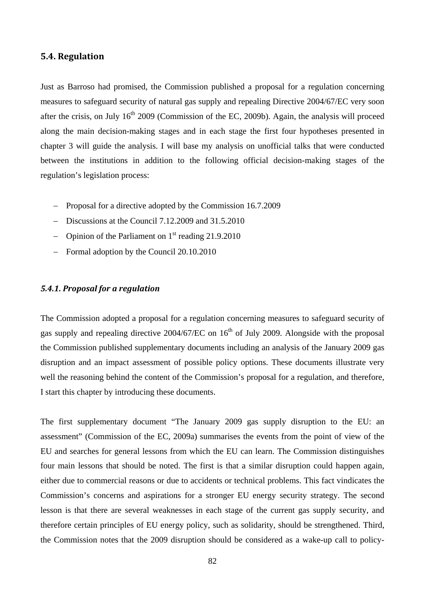# **5.4. Regulation**

Just as Barroso had promised, the Commission published a proposal for a regulation concerning measures to safeguard security of natural gas supply and repealing Directive 2004/67/EC very soon after the crisis, on July  $16<sup>th</sup> 2009$  (Commission of the EC, 2009b). Again, the analysis will proceed along the main decision-making stages and in each stage the first four hypotheses presented in chapter 3 will guide the analysis. I will base my analysis on unofficial talks that were conducted between the institutions in addition to the following official decision-making stages of the regulation's legislation process:

- − Proposal for a directive adopted by the Commission 16.7.2009
- − Discussions at the Council 7.12.2009 and 31.5.2010
- − Opinion of the Parliament on 1st reading 21.9.2010
- − Formal adoption by the Council 20.10.2010

## *5.4.1. Proposal for a regulation*

The Commission adopted a proposal for a regulation concerning measures to safeguard security of gas supply and repealing directive 2004/67/EC on 16<sup>th</sup> of July 2009. Alongside with the proposal the Commission published supplementary documents including an analysis of the January 2009 gas disruption and an impact assessment of possible policy options. These documents illustrate very well the reasoning behind the content of the Commission's proposal for a regulation, and therefore, I start this chapter by introducing these documents.

The first supplementary document "The January 2009 gas supply disruption to the EU: an assessment" (Commission of the EC, 2009a) summarises the events from the point of view of the EU and searches for general lessons from which the EU can learn. The Commission distinguishes four main lessons that should be noted. The first is that a similar disruption could happen again, either due to commercial reasons or due to accidents or technical problems. This fact vindicates the Commission's concerns and aspirations for a stronger EU energy security strategy. The second lesson is that there are several weaknesses in each stage of the current gas supply security, and therefore certain principles of EU energy policy, such as solidarity, should be strengthened. Third, the Commission notes that the 2009 disruption should be considered as a wake-up call to policy-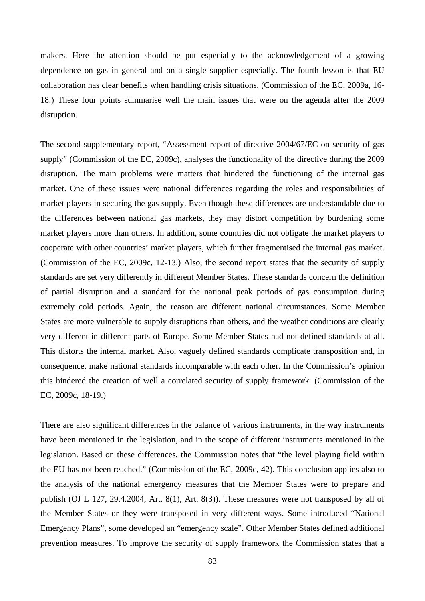makers. Here the attention should be put especially to the acknowledgement of a growing dependence on gas in general and on a single supplier especially. The fourth lesson is that EU collaboration has clear benefits when handling crisis situations. (Commission of the EC, 2009a, 16- 18.) These four points summarise well the main issues that were on the agenda after the 2009 disruption.

The second supplementary report, "Assessment report of directive 2004/67/EC on security of gas supply" (Commission of the EC, 2009c), analyses the functionality of the directive during the 2009 disruption. The main problems were matters that hindered the functioning of the internal gas market. One of these issues were national differences regarding the roles and responsibilities of market players in securing the gas supply. Even though these differences are understandable due to the differences between national gas markets, they may distort competition by burdening some market players more than others. In addition, some countries did not obligate the market players to cooperate with other countries' market players, which further fragmentised the internal gas market. (Commission of the EC, 2009c, 12-13.) Also, the second report states that the security of supply standards are set very differently in different Member States. These standards concern the definition of partial disruption and a standard for the national peak periods of gas consumption during extremely cold periods. Again, the reason are different national circumstances. Some Member States are more vulnerable to supply disruptions than others, and the weather conditions are clearly very different in different parts of Europe. Some Member States had not defined standards at all. This distorts the internal market. Also, vaguely defined standards complicate transposition and, in consequence, make national standards incomparable with each other. In the Commission's opinion this hindered the creation of well a correlated security of supply framework. (Commission of the EC, 2009c, 18-19.)

There are also significant differences in the balance of various instruments, in the way instruments have been mentioned in the legislation, and in the scope of different instruments mentioned in the legislation. Based on these differences, the Commission notes that "the level playing field within the EU has not been reached." (Commission of the EC, 2009c, 42). This conclusion applies also to the analysis of the national emergency measures that the Member States were to prepare and publish (OJ L 127, 29.4.2004, Art. 8(1), Art. 8(3)). These measures were not transposed by all of the Member States or they were transposed in very different ways. Some introduced "National Emergency Plans", some developed an "emergency scale". Other Member States defined additional prevention measures. To improve the security of supply framework the Commission states that a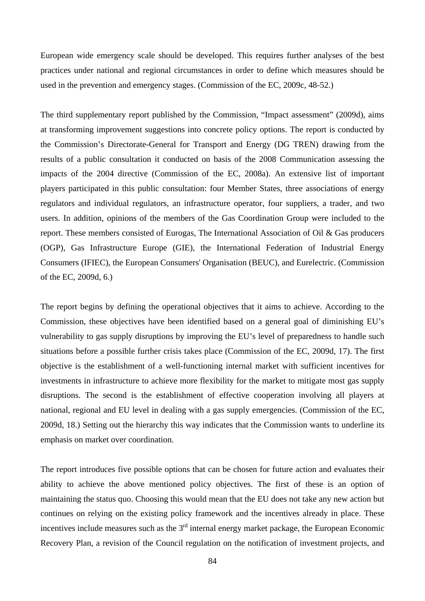European wide emergency scale should be developed. This requires further analyses of the best practices under national and regional circumstances in order to define which measures should be used in the prevention and emergency stages. (Commission of the EC, 2009c, 48-52.)

The third supplementary report published by the Commission, "Impact assessment" (2009d), aims at transforming improvement suggestions into concrete policy options. The report is conducted by the Commission's Directorate-General for Transport and Energy (DG TREN) drawing from the results of a public consultation it conducted on basis of the 2008 Communication assessing the impacts of the 2004 directive (Commission of the EC, 2008a). An extensive list of important players participated in this public consultation: four Member States, three associations of energy regulators and individual regulators, an infrastructure operator, four suppliers, a trader, and two users. In addition, opinions of the members of the Gas Coordination Group were included to the report. These members consisted of Eurogas, The International Association of Oil & Gas producers (OGP), Gas Infrastructure Europe (GIE), the International Federation of Industrial Energy Consumers (IFIEC), the European Consumers' Organisation (BEUC), and Eurelectric. (Commission of the EC, 2009d, 6.)

The report begins by defining the operational objectives that it aims to achieve. According to the Commission, these objectives have been identified based on a general goal of diminishing EU's vulnerability to gas supply disruptions by improving the EU's level of preparedness to handle such situations before a possible further crisis takes place (Commission of the EC, 2009d, 17). The first objective is the establishment of a well-functioning internal market with sufficient incentives for investments in infrastructure to achieve more flexibility for the market to mitigate most gas supply disruptions. The second is the establishment of effective cooperation involving all players at national, regional and EU level in dealing with a gas supply emergencies. (Commission of the EC, 2009d, 18.) Setting out the hierarchy this way indicates that the Commission wants to underline its emphasis on market over coordination.

The report introduces five possible options that can be chosen for future action and evaluates their ability to achieve the above mentioned policy objectives. The first of these is an option of maintaining the status quo. Choosing this would mean that the EU does not take any new action but continues on relying on the existing policy framework and the incentives already in place. These incentives include measures such as the  $3<sup>rd</sup>$  internal energy market package, the European Economic Recovery Plan, a revision of the Council regulation on the notification of investment projects, and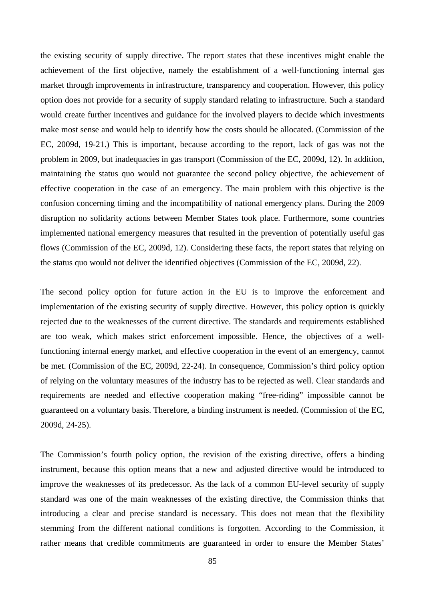the existing security of supply directive. The report states that these incentives might enable the achievement of the first objective, namely the establishment of a well-functioning internal gas market through improvements in infrastructure, transparency and cooperation. However, this policy option does not provide for a security of supply standard relating to infrastructure. Such a standard would create further incentives and guidance for the involved players to decide which investments make most sense and would help to identify how the costs should be allocated. (Commission of the EC, 2009d, 19-21.) This is important, because according to the report, lack of gas was not the problem in 2009, but inadequacies in gas transport (Commission of the EC, 2009d, 12). In addition, maintaining the status quo would not guarantee the second policy objective, the achievement of effective cooperation in the case of an emergency. The main problem with this objective is the confusion concerning timing and the incompatibility of national emergency plans. During the 2009 disruption no solidarity actions between Member States took place. Furthermore, some countries implemented national emergency measures that resulted in the prevention of potentially useful gas flows (Commission of the EC, 2009d, 12). Considering these facts, the report states that relying on the status quo would not deliver the identified objectives (Commission of the EC, 2009d, 22).

The second policy option for future action in the EU is to improve the enforcement and implementation of the existing security of supply directive. However, this policy option is quickly rejected due to the weaknesses of the current directive. The standards and requirements established are too weak, which makes strict enforcement impossible. Hence, the objectives of a wellfunctioning internal energy market, and effective cooperation in the event of an emergency, cannot be met. (Commission of the EC, 2009d, 22-24). In consequence, Commission's third policy option of relying on the voluntary measures of the industry has to be rejected as well. Clear standards and requirements are needed and effective cooperation making "free-riding" impossible cannot be guaranteed on a voluntary basis. Therefore, a binding instrument is needed. (Commission of the EC, 2009d, 24-25).

The Commission's fourth policy option, the revision of the existing directive, offers a binding instrument, because this option means that a new and adjusted directive would be introduced to improve the weaknesses of its predecessor. As the lack of a common EU-level security of supply standard was one of the main weaknesses of the existing directive, the Commission thinks that introducing a clear and precise standard is necessary. This does not mean that the flexibility stemming from the different national conditions is forgotten. According to the Commission, it rather means that credible commitments are guaranteed in order to ensure the Member States'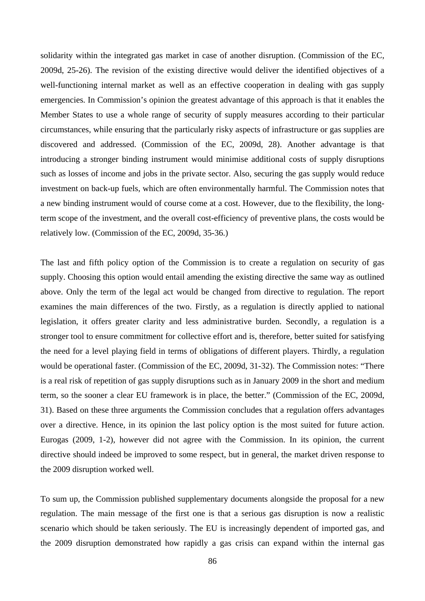solidarity within the integrated gas market in case of another disruption. (Commission of the EC, 2009d, 25-26). The revision of the existing directive would deliver the identified objectives of a well-functioning internal market as well as an effective cooperation in dealing with gas supply emergencies. In Commission's opinion the greatest advantage of this approach is that it enables the Member States to use a whole range of security of supply measures according to their particular circumstances, while ensuring that the particularly risky aspects of infrastructure or gas supplies are discovered and addressed. (Commission of the EC, 2009d, 28). Another advantage is that introducing a stronger binding instrument would minimise additional costs of supply disruptions such as losses of income and jobs in the private sector. Also, securing the gas supply would reduce investment on back-up fuels, which are often environmentally harmful. The Commission notes that a new binding instrument would of course come at a cost. However, due to the flexibility, the longterm scope of the investment, and the overall cost-efficiency of preventive plans, the costs would be relatively low. (Commission of the EC, 2009d, 35-36.)

The last and fifth policy option of the Commission is to create a regulation on security of gas supply. Choosing this option would entail amending the existing directive the same way as outlined above. Only the term of the legal act would be changed from directive to regulation. The report examines the main differences of the two. Firstly, as a regulation is directly applied to national legislation, it offers greater clarity and less administrative burden. Secondly, a regulation is a stronger tool to ensure commitment for collective effort and is, therefore, better suited for satisfying the need for a level playing field in terms of obligations of different players. Thirdly, a regulation would be operational faster. (Commission of the EC, 2009d, 31-32). The Commission notes: "There is a real risk of repetition of gas supply disruptions such as in January 2009 in the short and medium term, so the sooner a clear EU framework is in place, the better." (Commission of the EC, 2009d, 31). Based on these three arguments the Commission concludes that a regulation offers advantages over a directive. Hence, in its opinion the last policy option is the most suited for future action. Eurogas (2009, 1-2), however did not agree with the Commission. In its opinion, the current directive should indeed be improved to some respect, but in general, the market driven response to the 2009 disruption worked well.

To sum up, the Commission published supplementary documents alongside the proposal for a new regulation. The main message of the first one is that a serious gas disruption is now a realistic scenario which should be taken seriously. The EU is increasingly dependent of imported gas, and the 2009 disruption demonstrated how rapidly a gas crisis can expand within the internal gas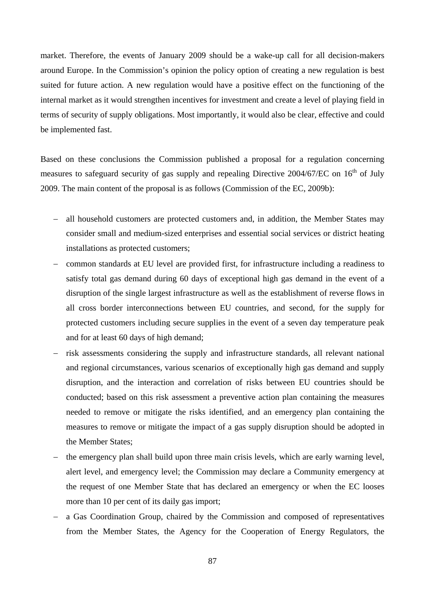market. Therefore, the events of January 2009 should be a wake-up call for all decision-makers around Europe. In the Commission's opinion the policy option of creating a new regulation is best suited for future action. A new regulation would have a positive effect on the functioning of the internal market as it would strengthen incentives for investment and create a level of playing field in terms of security of supply obligations. Most importantly, it would also be clear, effective and could be implemented fast.

Based on these conclusions the Commission published a proposal for a regulation concerning measures to safeguard security of gas supply and repealing Directive 2004/67/EC on 16<sup>th</sup> of July 2009. The main content of the proposal is as follows (Commission of the EC, 2009b):

- − all household customers are protected customers and, in addition, the Member States may consider small and medium-sized enterprises and essential social services or district heating installations as protected customers;
- − common standards at EU level are provided first, for infrastructure including a readiness to satisfy total gas demand during 60 days of exceptional high gas demand in the event of a disruption of the single largest infrastructure as well as the establishment of reverse flows in all cross border interconnections between EU countries, and second, for the supply for protected customers including secure supplies in the event of a seven day temperature peak and for at least 60 days of high demand;
- risk assessments considering the supply and infrastructure standards, all relevant national and regional circumstances, various scenarios of exceptionally high gas demand and supply disruption, and the interaction and correlation of risks between EU countries should be conducted; based on this risk assessment a preventive action plan containing the measures needed to remove or mitigate the risks identified, and an emergency plan containing the measures to remove or mitigate the impact of a gas supply disruption should be adopted in the Member States;
- − the emergency plan shall build upon three main crisis levels, which are early warning level, alert level, and emergency level; the Commission may declare a Community emergency at the request of one Member State that has declared an emergency or when the EC looses more than 10 per cent of its daily gas import;
- a Gas Coordination Group, chaired by the Commission and composed of representatives from the Member States, the Agency for the Cooperation of Energy Regulators, the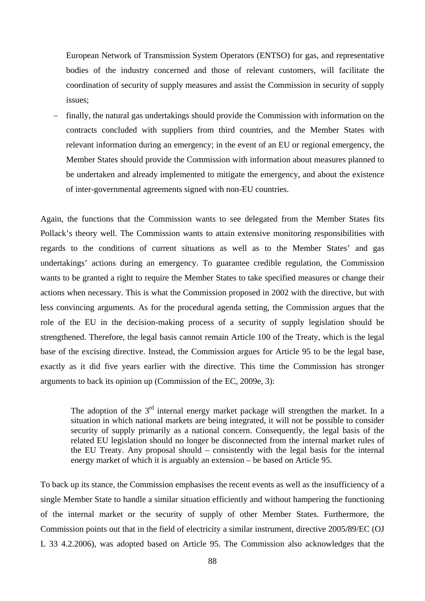European Network of Transmission System Operators (ENTSO) for gas, and representative bodies of the industry concerned and those of relevant customers, will facilitate the coordination of security of supply measures and assist the Commission in security of supply issues;

finally, the natural gas undertakings should provide the Commission with information on the contracts concluded with suppliers from third countries, and the Member States with relevant information during an emergency; in the event of an EU or regional emergency, the Member States should provide the Commission with information about measures planned to be undertaken and already implemented to mitigate the emergency, and about the existence of inter-governmental agreements signed with non-EU countries.

Again, the functions that the Commission wants to see delegated from the Member States fits Pollack's theory well. The Commission wants to attain extensive monitoring responsibilities with regards to the conditions of current situations as well as to the Member States' and gas undertakings' actions during an emergency. To guarantee credible regulation, the Commission wants to be granted a right to require the Member States to take specified measures or change their actions when necessary. This is what the Commission proposed in 2002 with the directive, but with less convincing arguments. As for the procedural agenda setting, the Commission argues that the role of the EU in the decision-making process of a security of supply legislation should be strengthened. Therefore, the legal basis cannot remain Article 100 of the Treaty, which is the legal base of the excising directive. Instead, the Commission argues for Article 95 to be the legal base, exactly as it did five years earlier with the directive. This time the Commission has stronger arguments to back its opinion up (Commission of the EC, 2009e, 3):

The adoption of the  $3<sup>rd</sup>$  internal energy market package will strengthen the market. In a situation in which national markets are being integrated, it will not be possible to consider security of supply primarily as a national concern. Consequently, the legal basis of the related EU legislation should no longer be disconnected from the internal market rules of the EU Treaty. Any proposal should – consistently with the legal basis for the internal energy market of which it is arguably an extension – be based on Article 95.

To back up its stance, the Commission emphasises the recent events as well as the insufficiency of a single Member State to handle a similar situation efficiently and without hampering the functioning of the internal market or the security of supply of other Member States. Furthermore, the Commission points out that in the field of electricity a similar instrument, directive 2005/89/EC (OJ L 33 4.2.2006), was adopted based on Article 95. The Commission also acknowledges that the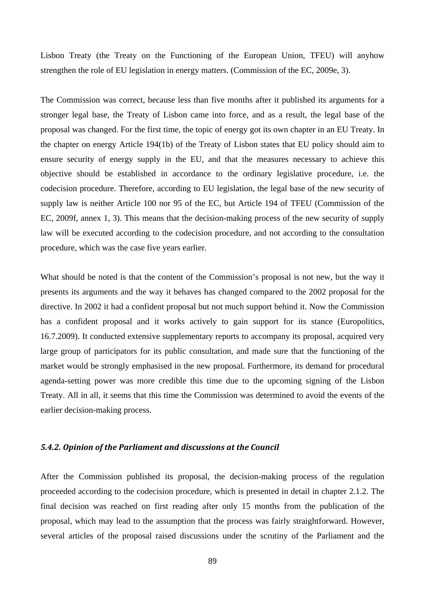Lisbon Treaty (the Treaty on the Functioning of the European Union, TFEU) will anyhow strengthen the role of EU legislation in energy matters. (Commission of the EC, 2009e, 3).

The Commission was correct, because less than five months after it published its arguments for a stronger legal base, the Treaty of Lisbon came into force, and as a result, the legal base of the proposal was changed. For the first time, the topic of energy got its own chapter in an EU Treaty. In the chapter on energy Article 194(1b) of the Treaty of Lisbon states that EU policy should aim to ensure security of energy supply in the EU, and that the measures necessary to achieve this objective should be established in accordance to the ordinary legislative procedure, i.e. the codecision procedure. Therefore, according to EU legislation, the legal base of the new security of supply law is neither Article 100 nor 95 of the EC, but Article 194 of TFEU (Commission of the EC, 2009f, annex 1, 3). This means that the decision-making process of the new security of supply law will be executed according to the codecision procedure, and not according to the consultation procedure, which was the case five years earlier.

What should be noted is that the content of the Commission's proposal is not new, but the way it presents its arguments and the way it behaves has changed compared to the 2002 proposal for the directive. In 2002 it had a confident proposal but not much support behind it. Now the Commission has a confident proposal and it works actively to gain support for its stance (Europolitics, 16.7.2009). It conducted extensive supplementary reports to accompany its proposal, acquired very large group of participators for its public consultation, and made sure that the functioning of the market would be strongly emphasised in the new proposal. Furthermore, its demand for procedural agenda-setting power was more credible this time due to the upcoming signing of the Lisbon Treaty. All in all, it seems that this time the Commission was determined to avoid the events of the earlier decision-making process.

#### *5.4.2. Opinion of the Parliament and discussions at the Council*

After the Commission published its proposal, the decision-making process of the regulation proceeded according to the codecision procedure, which is presented in detail in chapter 2.1.2. The final decision was reached on first reading after only 15 months from the publication of the proposal, which may lead to the assumption that the process was fairly straightforward. However, several articles of the proposal raised discussions under the scrutiny of the Parliament and the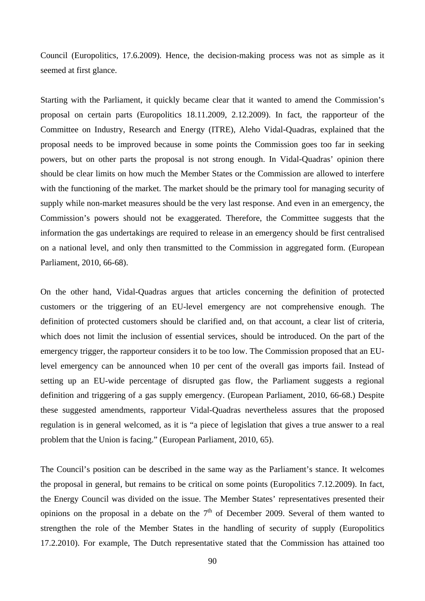Council (Europolitics, 17.6.2009). Hence, the decision-making process was not as simple as it seemed at first glance.

Starting with the Parliament, it quickly became clear that it wanted to amend the Commission's proposal on certain parts (Europolitics 18.11.2009, 2.12.2009). In fact, the rapporteur of the Committee on Industry, Research and Energy (ITRE), Aleho Vidal-Quadras, explained that the proposal needs to be improved because in some points the Commission goes too far in seeking powers, but on other parts the proposal is not strong enough. In Vidal-Quadras' opinion there should be clear limits on how much the Member States or the Commission are allowed to interfere with the functioning of the market. The market should be the primary tool for managing security of supply while non-market measures should be the very last response. And even in an emergency, the Commission's powers should not be exaggerated. Therefore, the Committee suggests that the information the gas undertakings are required to release in an emergency should be first centralised on a national level, and only then transmitted to the Commission in aggregated form. (European Parliament, 2010, 66-68).

On the other hand, Vidal-Quadras argues that articles concerning the definition of protected customers or the triggering of an EU-level emergency are not comprehensive enough. The definition of protected customers should be clarified and, on that account, a clear list of criteria, which does not limit the inclusion of essential services, should be introduced. On the part of the emergency trigger, the rapporteur considers it to be too low. The Commission proposed that an EUlevel emergency can be announced when 10 per cent of the overall gas imports fail. Instead of setting up an EU-wide percentage of disrupted gas flow, the Parliament suggests a regional definition and triggering of a gas supply emergency. (European Parliament, 2010, 66-68.) Despite these suggested amendments, rapporteur Vidal-Quadras nevertheless assures that the proposed regulation is in general welcomed, as it is "a piece of legislation that gives a true answer to a real problem that the Union is facing." (European Parliament, 2010, 65).

The Council's position can be described in the same way as the Parliament's stance. It welcomes the proposal in general, but remains to be critical on some points (Europolitics 7.12.2009). In fact, the Energy Council was divided on the issue. The Member States' representatives presented their opinions on the proposal in a debate on the  $7<sup>th</sup>$  of December 2009. Several of them wanted to strengthen the role of the Member States in the handling of security of supply (Europolitics 17.2.2010). For example, The Dutch representative stated that the Commission has attained too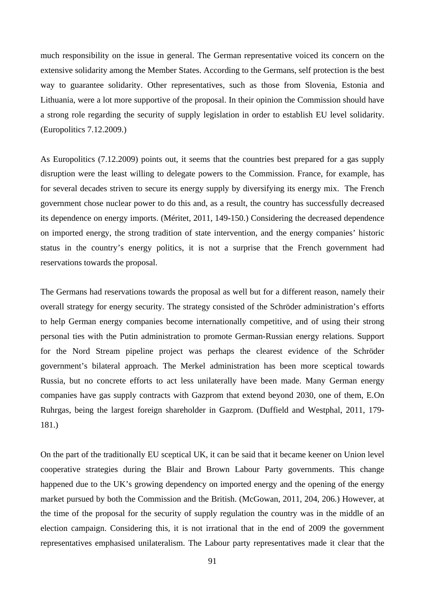much responsibility on the issue in general. The German representative voiced its concern on the extensive solidarity among the Member States. According to the Germans, self protection is the best way to guarantee solidarity. Other representatives, such as those from Slovenia, Estonia and Lithuania, were a lot more supportive of the proposal. In their opinion the Commission should have a strong role regarding the security of supply legislation in order to establish EU level solidarity. (Europolitics 7.12.2009.)

As Europolitics (7.12.2009) points out, it seems that the countries best prepared for a gas supply disruption were the least willing to delegate powers to the Commission. France, for example, has for several decades striven to secure its energy supply by diversifying its energy mix. The French government chose nuclear power to do this and, as a result, the country has successfully decreased its dependence on energy imports. (Méritet, 2011, 149-150.) Considering the decreased dependence on imported energy, the strong tradition of state intervention, and the energy companies' historic status in the country's energy politics, it is not a surprise that the French government had reservations towards the proposal.

The Germans had reservations towards the proposal as well but for a different reason, namely their overall strategy for energy security. The strategy consisted of the Schröder administration's efforts to help German energy companies become internationally competitive, and of using their strong personal ties with the Putin administration to promote German-Russian energy relations. Support for the Nord Stream pipeline project was perhaps the clearest evidence of the Schröder government's bilateral approach. The Merkel administration has been more sceptical towards Russia, but no concrete efforts to act less unilaterally have been made. Many German energy companies have gas supply contracts with Gazprom that extend beyond 2030, one of them, E.On Ruhrgas, being the largest foreign shareholder in Gazprom. (Duffield and Westphal, 2011, 179- 181.)

On the part of the traditionally EU sceptical UK, it can be said that it became keener on Union level cooperative strategies during the Blair and Brown Labour Party governments. This change happened due to the UK's growing dependency on imported energy and the opening of the energy market pursued by both the Commission and the British. (McGowan, 2011, 204, 206.) However, at the time of the proposal for the security of supply regulation the country was in the middle of an election campaign. Considering this, it is not irrational that in the end of 2009 the government representatives emphasised unilateralism. The Labour party representatives made it clear that the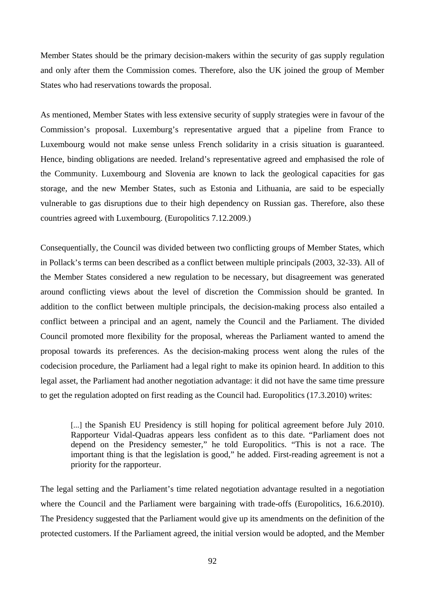Member States should be the primary decision-makers within the security of gas supply regulation and only after them the Commission comes. Therefore, also the UK joined the group of Member States who had reservations towards the proposal.

As mentioned, Member States with less extensive security of supply strategies were in favour of the Commission's proposal. Luxemburg's representative argued that a pipeline from France to Luxembourg would not make sense unless French solidarity in a crisis situation is guaranteed. Hence, binding obligations are needed. Ireland's representative agreed and emphasised the role of the Community. Luxembourg and Slovenia are known to lack the geological capacities for gas storage, and the new Member States, such as Estonia and Lithuania, are said to be especially vulnerable to gas disruptions due to their high dependency on Russian gas. Therefore, also these countries agreed with Luxembourg. (Europolitics 7.12.2009.)

Consequentially, the Council was divided between two conflicting groups of Member States, which in Pollack's terms can been described as a conflict between multiple principals (2003, 32-33). All of the Member States considered a new regulation to be necessary, but disagreement was generated around conflicting views about the level of discretion the Commission should be granted. In addition to the conflict between multiple principals, the decision-making process also entailed a conflict between a principal and an agent, namely the Council and the Parliament. The divided Council promoted more flexibility for the proposal, whereas the Parliament wanted to amend the proposal towards its preferences. As the decision-making process went along the rules of the codecision procedure, the Parliament had a legal right to make its opinion heard. In addition to this legal asset, the Parliament had another negotiation advantage: it did not have the same time pressure to get the regulation adopted on first reading as the Council had. Europolitics (17.3.2010) writes:

[...] the Spanish EU Presidency is still hoping for political agreement before July 2010. Rapporteur Vidal-Quadras appears less confident as to this date. "Parliament does not depend on the Presidency semester," he told Europolitics. "This is not a race. The important thing is that the legislation is good," he added. First-reading agreement is not a priority for the rapporteur.

The legal setting and the Parliament's time related negotiation advantage resulted in a negotiation where the Council and the Parliament were bargaining with trade-offs (Europolitics, 16.6.2010). The Presidency suggested that the Parliament would give up its amendments on the definition of the protected customers. If the Parliament agreed, the initial version would be adopted, and the Member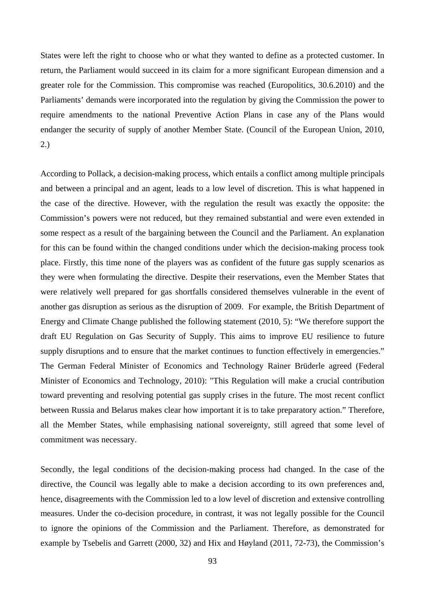States were left the right to choose who or what they wanted to define as a protected customer. In return, the Parliament would succeed in its claim for a more significant European dimension and a greater role for the Commission. This compromise was reached (Europolitics, 30.6.2010) and the Parliaments' demands were incorporated into the regulation by giving the Commission the power to require amendments to the national Preventive Action Plans in case any of the Plans would endanger the security of supply of another Member State. (Council of the European Union, 2010, 2.)

According to Pollack, a decision-making process, which entails a conflict among multiple principals and between a principal and an agent, leads to a low level of discretion. This is what happened in the case of the directive. However, with the regulation the result was exactly the opposite: the Commission's powers were not reduced, but they remained substantial and were even extended in some respect as a result of the bargaining between the Council and the Parliament. An explanation for this can be found within the changed conditions under which the decision-making process took place. Firstly, this time none of the players was as confident of the future gas supply scenarios as they were when formulating the directive. Despite their reservations, even the Member States that were relatively well prepared for gas shortfalls considered themselves vulnerable in the event of another gas disruption as serious as the disruption of 2009. For example, the British Department of Energy and Climate Change published the following statement (2010, 5): "We therefore support the draft EU Regulation on Gas Security of Supply. This aims to improve EU resilience to future supply disruptions and to ensure that the market continues to function effectively in emergencies." The German Federal Minister of Economics and Technology Rainer Brüderle agreed (Federal Minister of Economics and Technology, 2010): "This Regulation will make a crucial contribution toward preventing and resolving potential gas supply crises in the future. The most recent conflict between Russia and Belarus makes clear how important it is to take preparatory action." Therefore, all the Member States, while emphasising national sovereignty, still agreed that some level of commitment was necessary.

Secondly, the legal conditions of the decision-making process had changed. In the case of the directive, the Council was legally able to make a decision according to its own preferences and, hence, disagreements with the Commission led to a low level of discretion and extensive controlling measures. Under the co-decision procedure, in contrast, it was not legally possible for the Council to ignore the opinions of the Commission and the Parliament. Therefore, as demonstrated for example by Tsebelis and Garrett (2000, 32) and Hix and Høyland (2011, 72-73), the Commission's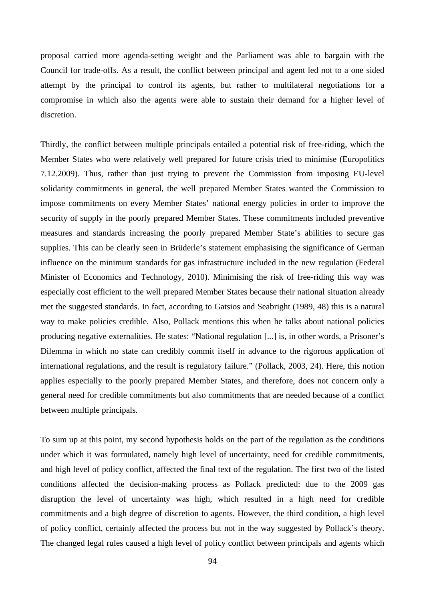proposal carried more agenda-setting weight and the Parliament was able to bargain with the Council for trade-offs. As a result, the conflict between principal and agent led not to a one sided attempt by the principal to control its agents, but rather to multilateral negotiations for a compromise in which also the agents were able to sustain their demand for a higher level of discretion.

Thirdly, the conflict between multiple principals entailed a potential risk of free-riding, which the Member States who were relatively well prepared for future crisis tried to minimise (Europolitics 7.12.2009). Thus, rather than just trying to prevent the Commission from imposing EU-level solidarity commitments in general, the well prepared Member States wanted the Commission to impose commitments on every Member States' national energy policies in order to improve the security of supply in the poorly prepared Member States. These commitments included preventive measures and standards increasing the poorly prepared Member State's abilities to secure gas supplies. This can be clearly seen in Brüderle's statement emphasising the significance of German influence on the minimum standards for gas infrastructure included in the new regulation (Federal Minister of Economics and Technology, 2010). Minimising the risk of free-riding this way was especially cost efficient to the well prepared Member States because their national situation already met the suggested standards. In fact, according to Gatsios and Seabright (1989, 48) this is a natural way to make policies credible. Also, Pollack mentions this when he talks about national policies producing negative externalities. He states: "National regulation [...] is, in other words, a Prisoner's Dilemma in which no state can credibly commit itself in advance to the rigorous application of international regulations, and the result is regulatory failure." (Pollack, 2003, 24). Here, this notion applies especially to the poorly prepared Member States, and therefore, does not concern only a general need for credible commitments but also commitments that are needed because of a conflict between multiple principals.

To sum up at this point, my second hypothesis holds on the part of the regulation as the conditions under which it was formulated, namely high level of uncertainty, need for credible commitments, and high level of policy conflict, affected the final text of the regulation. The first two of the listed conditions affected the decision-making process as Pollack predicted: due to the 2009 gas disruption the level of uncertainty was high, which resulted in a high need for credible commitments and a high degree of discretion to agents. However, the third condition, a high level of policy conflict, certainly affected the process but not in the way suggested by Pollack's theory. The changed legal rules caused a high level of policy conflict between principals and agents which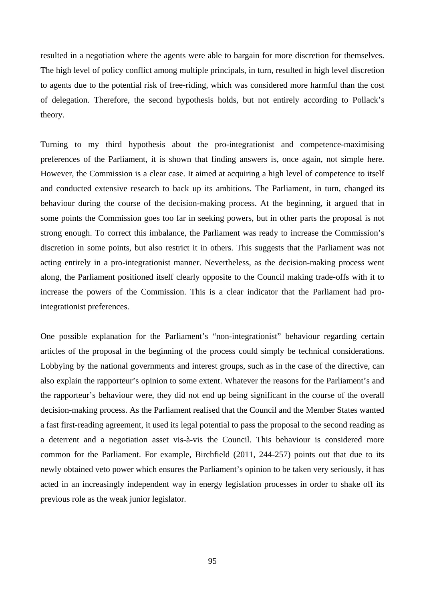resulted in a negotiation where the agents were able to bargain for more discretion for themselves. The high level of policy conflict among multiple principals, in turn, resulted in high level discretion to agents due to the potential risk of free-riding, which was considered more harmful than the cost of delegation. Therefore, the second hypothesis holds, but not entirely according to Pollack's theory.

Turning to my third hypothesis about the pro-integrationist and competence-maximising preferences of the Parliament, it is shown that finding answers is, once again, not simple here. However, the Commission is a clear case. It aimed at acquiring a high level of competence to itself and conducted extensive research to back up its ambitions. The Parliament, in turn, changed its behaviour during the course of the decision-making process. At the beginning, it argued that in some points the Commission goes too far in seeking powers, but in other parts the proposal is not strong enough. To correct this imbalance, the Parliament was ready to increase the Commission's discretion in some points, but also restrict it in others. This suggests that the Parliament was not acting entirely in a pro-integrationist manner. Nevertheless, as the decision-making process went along, the Parliament positioned itself clearly opposite to the Council making trade-offs with it to increase the powers of the Commission. This is a clear indicator that the Parliament had prointegrationist preferences.

One possible explanation for the Parliament's "non-integrationist" behaviour regarding certain articles of the proposal in the beginning of the process could simply be technical considerations. Lobbying by the national governments and interest groups, such as in the case of the directive, can also explain the rapporteur's opinion to some extent. Whatever the reasons for the Parliament's and the rapporteur's behaviour were, they did not end up being significant in the course of the overall decision-making process. As the Parliament realised that the Council and the Member States wanted a fast first-reading agreement, it used its legal potential to pass the proposal to the second reading as a deterrent and a negotiation asset vis-à-vis the Council. This behaviour is considered more common for the Parliament. For example, Birchfield (2011, 244-257) points out that due to its newly obtained veto power which ensures the Parliament's opinion to be taken very seriously, it has acted in an increasingly independent way in energy legislation processes in order to shake off its previous role as the weak junior legislator.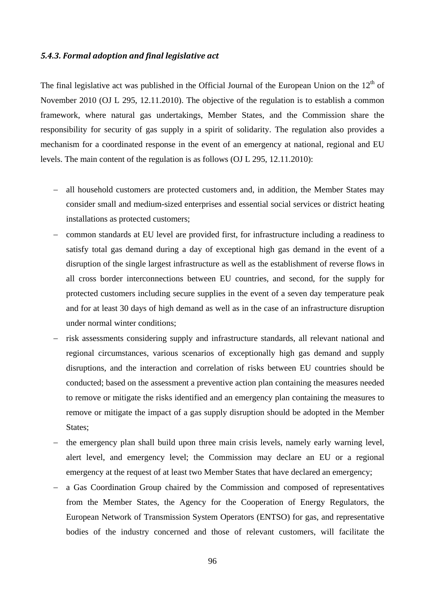# *5.4.3. Formal adoption and final legislative act*

The final legislative act was published in the Official Journal of the European Union on the  $12<sup>th</sup>$  of November 2010 (OJ L 295, 12.11.2010). The objective of the regulation is to establish a common framework, where natural gas undertakings, Member States, and the Commission share the responsibility for security of gas supply in a spirit of solidarity. The regulation also provides a mechanism for a coordinated response in the event of an emergency at national, regional and EU levels. The main content of the regulation is as follows (OJ L 295, 12.11.2010):

- − all household customers are protected customers and, in addition, the Member States may consider small and medium-sized enterprises and essential social services or district heating installations as protected customers;
- − common standards at EU level are provided first, for infrastructure including a readiness to satisfy total gas demand during a day of exceptional high gas demand in the event of a disruption of the single largest infrastructure as well as the establishment of reverse flows in all cross border interconnections between EU countries, and second, for the supply for protected customers including secure supplies in the event of a seven day temperature peak and for at least 30 days of high demand as well as in the case of an infrastructure disruption under normal winter conditions;
- risk assessments considering supply and infrastructure standards, all relevant national and regional circumstances, various scenarios of exceptionally high gas demand and supply disruptions, and the interaction and correlation of risks between EU countries should be conducted; based on the assessment a preventive action plan containing the measures needed to remove or mitigate the risks identified and an emergency plan containing the measures to remove or mitigate the impact of a gas supply disruption should be adopted in the Member States:
- − the emergency plan shall build upon three main crisis levels, namely early warning level, alert level, and emergency level; the Commission may declare an EU or a regional emergency at the request of at least two Member States that have declared an emergency;
- a Gas Coordination Group chaired by the Commission and composed of representatives from the Member States, the Agency for the Cooperation of Energy Regulators, the European Network of Transmission System Operators (ENTSO) for gas, and representative bodies of the industry concerned and those of relevant customers, will facilitate the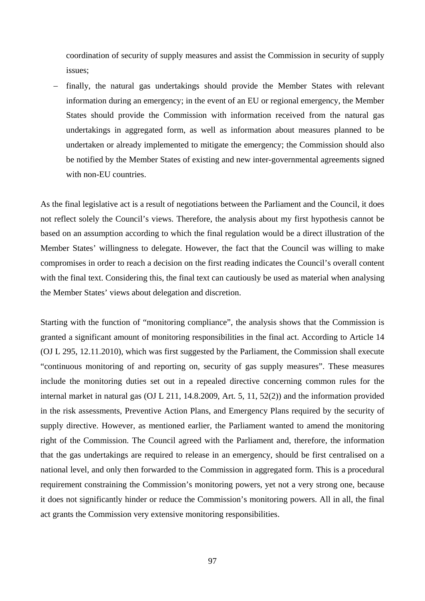coordination of security of supply measures and assist the Commission in security of supply issues;

finally, the natural gas undertakings should provide the Member States with relevant information during an emergency; in the event of an EU or regional emergency, the Member States should provide the Commission with information received from the natural gas undertakings in aggregated form, as well as information about measures planned to be undertaken or already implemented to mitigate the emergency; the Commission should also be notified by the Member States of existing and new inter-governmental agreements signed with non-EU countries.

As the final legislative act is a result of negotiations between the Parliament and the Council, it does not reflect solely the Council's views. Therefore, the analysis about my first hypothesis cannot be based on an assumption according to which the final regulation would be a direct illustration of the Member States' willingness to delegate. However, the fact that the Council was willing to make compromises in order to reach a decision on the first reading indicates the Council's overall content with the final text. Considering this, the final text can cautiously be used as material when analysing the Member States' views about delegation and discretion.

Starting with the function of "monitoring compliance", the analysis shows that the Commission is granted a significant amount of monitoring responsibilities in the final act. According to Article 14 (OJ L 295, 12.11.2010), which was first suggested by the Parliament, the Commission shall execute "continuous monitoring of and reporting on, security of gas supply measures". These measures include the monitoring duties set out in a repealed directive concerning common rules for the internal market in natural gas (OJ L 211, 14.8.2009, Art. 5, 11, 52(2)) and the information provided in the risk assessments, Preventive Action Plans, and Emergency Plans required by the security of supply directive. However, as mentioned earlier, the Parliament wanted to amend the monitoring right of the Commission. The Council agreed with the Parliament and, therefore, the information that the gas undertakings are required to release in an emergency, should be first centralised on a national level, and only then forwarded to the Commission in aggregated form. This is a procedural requirement constraining the Commission's monitoring powers, yet not a very strong one, because it does not significantly hinder or reduce the Commission's monitoring powers. All in all, the final act grants the Commission very extensive monitoring responsibilities.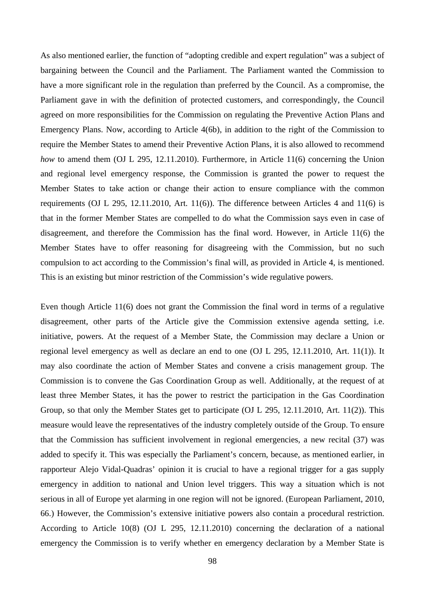As also mentioned earlier, the function of "adopting credible and expert regulation" was a subject of bargaining between the Council and the Parliament. The Parliament wanted the Commission to have a more significant role in the regulation than preferred by the Council. As a compromise, the Parliament gave in with the definition of protected customers, and correspondingly, the Council agreed on more responsibilities for the Commission on regulating the Preventive Action Plans and Emergency Plans. Now, according to Article 4(6b), in addition to the right of the Commission to require the Member States to amend their Preventive Action Plans, it is also allowed to recommend *how* to amend them (OJ L 295, 12.11.2010). Furthermore, in Article 11(6) concerning the Union and regional level emergency response, the Commission is granted the power to request the Member States to take action or change their action to ensure compliance with the common requirements (OJ L 295, 12.11.2010, Art. 11(6)). The difference between Articles 4 and 11(6) is that in the former Member States are compelled to do what the Commission says even in case of disagreement, and therefore the Commission has the final word. However, in Article 11(6) the Member States have to offer reasoning for disagreeing with the Commission, but no such compulsion to act according to the Commission's final will, as provided in Article 4, is mentioned. This is an existing but minor restriction of the Commission's wide regulative powers.

Even though Article 11(6) does not grant the Commission the final word in terms of a regulative disagreement, other parts of the Article give the Commission extensive agenda setting, i.e. initiative, powers. At the request of a Member State, the Commission may declare a Union or regional level emergency as well as declare an end to one (OJ L 295, 12.11.2010, Art. 11(1)). It may also coordinate the action of Member States and convene a crisis management group. The Commission is to convene the Gas Coordination Group as well. Additionally, at the request of at least three Member States, it has the power to restrict the participation in the Gas Coordination Group, so that only the Member States get to participate (OJ L 295, 12.11.2010, Art. 11(2)). This measure would leave the representatives of the industry completely outside of the Group. To ensure that the Commission has sufficient involvement in regional emergencies, a new recital (37) was added to specify it. This was especially the Parliament's concern, because, as mentioned earlier, in rapporteur Alejo Vidal-Quadras' opinion it is crucial to have a regional trigger for a gas supply emergency in addition to national and Union level triggers. This way a situation which is not serious in all of Europe yet alarming in one region will not be ignored. (European Parliament, 2010, 66.) However, the Commission's extensive initiative powers also contain a procedural restriction. According to Article 10(8) (OJ L 295, 12.11.2010) concerning the declaration of a national emergency the Commission is to verify whether en emergency declaration by a Member State is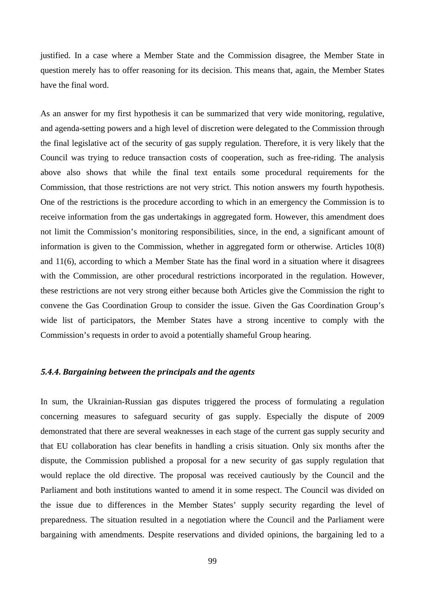justified. In a case where a Member State and the Commission disagree, the Member State in question merely has to offer reasoning for its decision. This means that, again, the Member States have the final word.

As an answer for my first hypothesis it can be summarized that very wide monitoring, regulative, and agenda-setting powers and a high level of discretion were delegated to the Commission through the final legislative act of the security of gas supply regulation. Therefore, it is very likely that the Council was trying to reduce transaction costs of cooperation, such as free-riding. The analysis above also shows that while the final text entails some procedural requirements for the Commission, that those restrictions are not very strict. This notion answers my fourth hypothesis. One of the restrictions is the procedure according to which in an emergency the Commission is to receive information from the gas undertakings in aggregated form. However, this amendment does not limit the Commission's monitoring responsibilities, since, in the end, a significant amount of information is given to the Commission, whether in aggregated form or otherwise. Articles 10(8) and 11(6), according to which a Member State has the final word in a situation where it disagrees with the Commission, are other procedural restrictions incorporated in the regulation. However, these restrictions are not very strong either because both Articles give the Commission the right to convene the Gas Coordination Group to consider the issue. Given the Gas Coordination Group's wide list of participators, the Member States have a strong incentive to comply with the Commission's requests in order to avoid a potentially shameful Group hearing.

# *5.4.4. Bargaining between the principals and the agents*

In sum, the Ukrainian-Russian gas disputes triggered the process of formulating a regulation concerning measures to safeguard security of gas supply. Especially the dispute of 2009 demonstrated that there are several weaknesses in each stage of the current gas supply security and that EU collaboration has clear benefits in handling a crisis situation. Only six months after the dispute, the Commission published a proposal for a new security of gas supply regulation that would replace the old directive. The proposal was received cautiously by the Council and the Parliament and both institutions wanted to amend it in some respect. The Council was divided on the issue due to differences in the Member States' supply security regarding the level of preparedness. The situation resulted in a negotiation where the Council and the Parliament were bargaining with amendments. Despite reservations and divided opinions, the bargaining led to a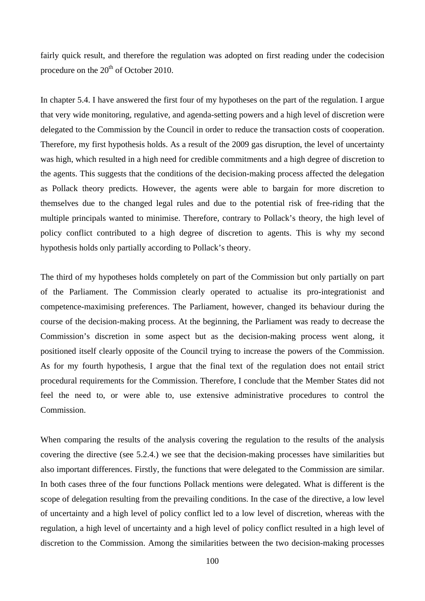fairly quick result, and therefore the regulation was adopted on first reading under the codecision procedure on the  $20<sup>th</sup>$  of October 2010.

In chapter 5.4. I have answered the first four of my hypotheses on the part of the regulation. I argue that very wide monitoring, regulative, and agenda-setting powers and a high level of discretion were delegated to the Commission by the Council in order to reduce the transaction costs of cooperation. Therefore, my first hypothesis holds. As a result of the 2009 gas disruption, the level of uncertainty was high, which resulted in a high need for credible commitments and a high degree of discretion to the agents. This suggests that the conditions of the decision-making process affected the delegation as Pollack theory predicts. However, the agents were able to bargain for more discretion to themselves due to the changed legal rules and due to the potential risk of free-riding that the multiple principals wanted to minimise. Therefore, contrary to Pollack's theory, the high level of policy conflict contributed to a high degree of discretion to agents. This is why my second hypothesis holds only partially according to Pollack's theory.

The third of my hypotheses holds completely on part of the Commission but only partially on part of the Parliament. The Commission clearly operated to actualise its pro-integrationist and competence-maximising preferences. The Parliament, however, changed its behaviour during the course of the decision-making process. At the beginning, the Parliament was ready to decrease the Commission's discretion in some aspect but as the decision-making process went along, it positioned itself clearly opposite of the Council trying to increase the powers of the Commission. As for my fourth hypothesis, I argue that the final text of the regulation does not entail strict procedural requirements for the Commission. Therefore, I conclude that the Member States did not feel the need to, or were able to, use extensive administrative procedures to control the Commission.

When comparing the results of the analysis covering the regulation to the results of the analysis covering the directive (see 5.2.4.) we see that the decision-making processes have similarities but also important differences. Firstly, the functions that were delegated to the Commission are similar. In both cases three of the four functions Pollack mentions were delegated. What is different is the scope of delegation resulting from the prevailing conditions. In the case of the directive, a low level of uncertainty and a high level of policy conflict led to a low level of discretion, whereas with the regulation, a high level of uncertainty and a high level of policy conflict resulted in a high level of discretion to the Commission. Among the similarities between the two decision-making processes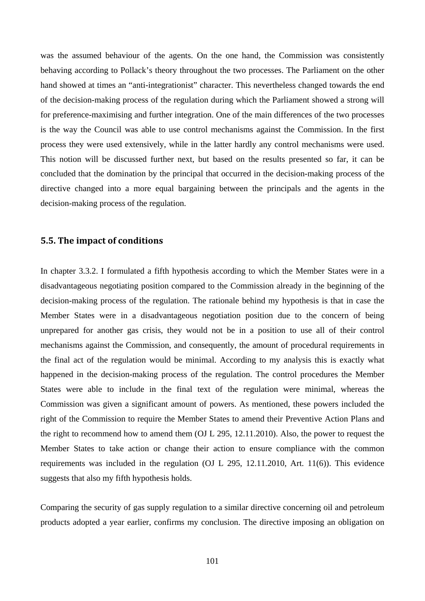was the assumed behaviour of the agents. On the one hand, the Commission was consistently behaving according to Pollack's theory throughout the two processes. The Parliament on the other hand showed at times an "anti-integrationist" character. This nevertheless changed towards the end of the decision-making process of the regulation during which the Parliament showed a strong will for preference-maximising and further integration. One of the main differences of the two processes is the way the Council was able to use control mechanisms against the Commission. In the first process they were used extensively, while in the latter hardly any control mechanisms were used. This notion will be discussed further next, but based on the results presented so far, it can be concluded that the domination by the principal that occurred in the decision-making process of the directive changed into a more equal bargaining between the principals and the agents in the decision-making process of the regulation.

## **5.5. The impact of conditions**

In chapter 3.3.2. I formulated a fifth hypothesis according to which the Member States were in a disadvantageous negotiating position compared to the Commission already in the beginning of the decision-making process of the regulation. The rationale behind my hypothesis is that in case the Member States were in a disadvantageous negotiation position due to the concern of being unprepared for another gas crisis, they would not be in a position to use all of their control mechanisms against the Commission, and consequently, the amount of procedural requirements in the final act of the regulation would be minimal. According to my analysis this is exactly what happened in the decision-making process of the regulation. The control procedures the Member States were able to include in the final text of the regulation were minimal, whereas the Commission was given a significant amount of powers. As mentioned, these powers included the right of the Commission to require the Member States to amend their Preventive Action Plans and the right to recommend how to amend them (OJ L 295, 12.11.2010). Also, the power to request the Member States to take action or change their action to ensure compliance with the common requirements was included in the regulation (OJ L 295, 12.11.2010, Art. 11(6)). This evidence suggests that also my fifth hypothesis holds.

Comparing the security of gas supply regulation to a similar directive concerning oil and petroleum products adopted a year earlier, confirms my conclusion. The directive imposing an obligation on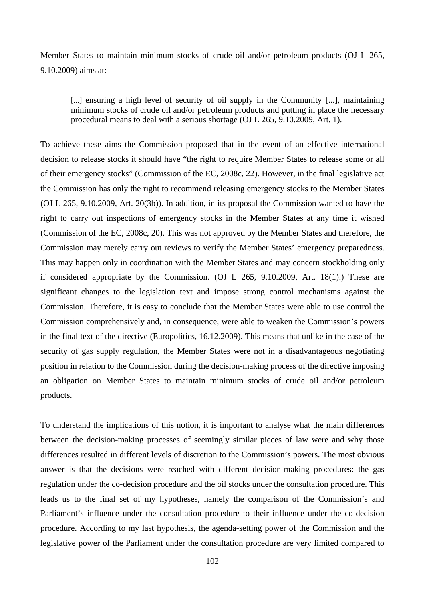Member States to maintain minimum stocks of crude oil and/or petroleum products (OJ L 265, 9.10.2009) aims at:

[...] ensuring a high level of security of oil supply in the Community [...], maintaining minimum stocks of crude oil and/or petroleum products and putting in place the necessary procedural means to deal with a serious shortage (OJ L 265, 9.10.2009, Art. 1).

To achieve these aims the Commission proposed that in the event of an effective international decision to release stocks it should have "the right to require Member States to release some or all of their emergency stocks" (Commission of the EC, 2008c, 22). However, in the final legislative act the Commission has only the right to recommend releasing emergency stocks to the Member States (OJ L 265, 9.10.2009, Art. 20(3b)). In addition, in its proposal the Commission wanted to have the right to carry out inspections of emergency stocks in the Member States at any time it wished (Commission of the EC, 2008c, 20). This was not approved by the Member States and therefore, the Commission may merely carry out reviews to verify the Member States' emergency preparedness. This may happen only in coordination with the Member States and may concern stockholding only if considered appropriate by the Commission. (OJ L 265, 9.10.2009, Art. 18(1).) These are significant changes to the legislation text and impose strong control mechanisms against the Commission. Therefore, it is easy to conclude that the Member States were able to use control the Commission comprehensively and, in consequence, were able to weaken the Commission's powers in the final text of the directive (Europolitics, 16.12.2009). This means that unlike in the case of the security of gas supply regulation, the Member States were not in a disadvantageous negotiating position in relation to the Commission during the decision-making process of the directive imposing an obligation on Member States to maintain minimum stocks of crude oil and/or petroleum products.

To understand the implications of this notion, it is important to analyse what the main differences between the decision-making processes of seemingly similar pieces of law were and why those differences resulted in different levels of discretion to the Commission's powers. The most obvious answer is that the decisions were reached with different decision-making procedures: the gas regulation under the co-decision procedure and the oil stocks under the consultation procedure. This leads us to the final set of my hypotheses, namely the comparison of the Commission's and Parliament's influence under the consultation procedure to their influence under the co-decision procedure. According to my last hypothesis, the agenda-setting power of the Commission and the legislative power of the Parliament under the consultation procedure are very limited compared to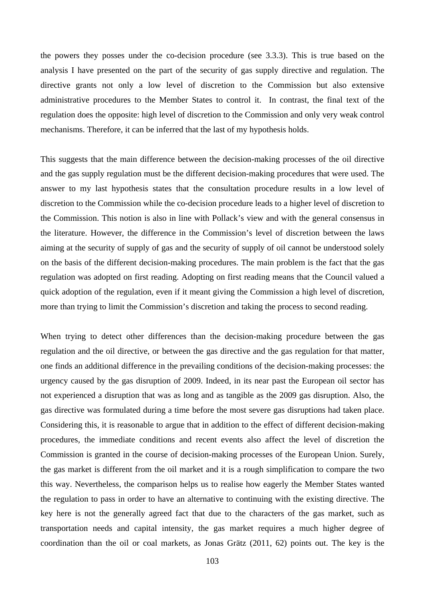the powers they posses under the co-decision procedure (see 3.3.3). This is true based on the analysis I have presented on the part of the security of gas supply directive and regulation. The directive grants not only a low level of discretion to the Commission but also extensive administrative procedures to the Member States to control it. In contrast, the final text of the regulation does the opposite: high level of discretion to the Commission and only very weak control mechanisms. Therefore, it can be inferred that the last of my hypothesis holds.

This suggests that the main difference between the decision-making processes of the oil directive and the gas supply regulation must be the different decision-making procedures that were used. The answer to my last hypothesis states that the consultation procedure results in a low level of discretion to the Commission while the co-decision procedure leads to a higher level of discretion to the Commission. This notion is also in line with Pollack's view and with the general consensus in the literature. However, the difference in the Commission's level of discretion between the laws aiming at the security of supply of gas and the security of supply of oil cannot be understood solely on the basis of the different decision-making procedures. The main problem is the fact that the gas regulation was adopted on first reading. Adopting on first reading means that the Council valued a quick adoption of the regulation, even if it meant giving the Commission a high level of discretion, more than trying to limit the Commission's discretion and taking the process to second reading.

When trying to detect other differences than the decision-making procedure between the gas regulation and the oil directive, or between the gas directive and the gas regulation for that matter, one finds an additional difference in the prevailing conditions of the decision-making processes: the urgency caused by the gas disruption of 2009. Indeed, in its near past the European oil sector has not experienced a disruption that was as long and as tangible as the 2009 gas disruption. Also, the gas directive was formulated during a time before the most severe gas disruptions had taken place. Considering this, it is reasonable to argue that in addition to the effect of different decision-making procedures, the immediate conditions and recent events also affect the level of discretion the Commission is granted in the course of decision-making processes of the European Union. Surely, the gas market is different from the oil market and it is a rough simplification to compare the two this way. Nevertheless, the comparison helps us to realise how eagerly the Member States wanted the regulation to pass in order to have an alternative to continuing with the existing directive. The key here is not the generally agreed fact that due to the characters of the gas market, such as transportation needs and capital intensity, the gas market requires a much higher degree of coordination than the oil or coal markets, as Jonas Grätz (2011, 62) points out. The key is the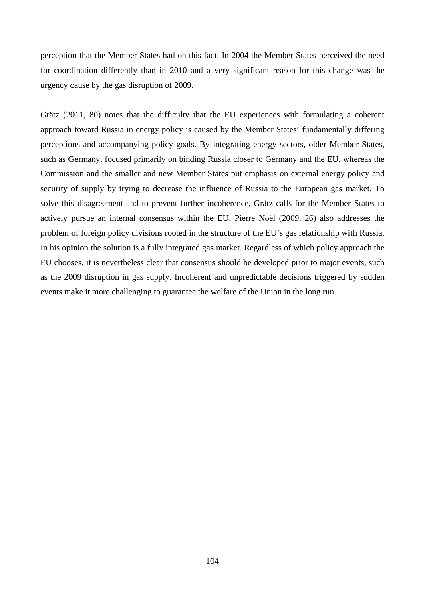perception that the Member States had on this fact. In 2004 the Member States perceived the need for coordination differently than in 2010 and a very significant reason for this change was the urgency cause by the gas disruption of 2009.

Grätz (2011, 80) notes that the difficulty that the EU experiences with formulating a coherent approach toward Russia in energy policy is caused by the Member States' fundamentally differing perceptions and accompanying policy goals. By integrating energy sectors, older Member States, such as Germany, focused primarily on binding Russia closer to Germany and the EU, whereas the Commission and the smaller and new Member States put emphasis on external energy policy and security of supply by trying to decrease the influence of Russia to the European gas market. To solve this disagreement and to prevent further incoherence, Grätz calls for the Member States to actively pursue an internal consensus within the EU. Pierre Noël (2009, 26) also addresses the problem of foreign policy divisions rooted in the structure of the EU's gas relationship with Russia. In his opinion the solution is a fully integrated gas market. Regardless of which policy approach the EU chooses, it is nevertheless clear that consensus should be developed prior to major events, such as the 2009 disruption in gas supply. Incoherent and unpredictable decisions triggered by sudden events make it more challenging to guarantee the welfare of the Union in the long run.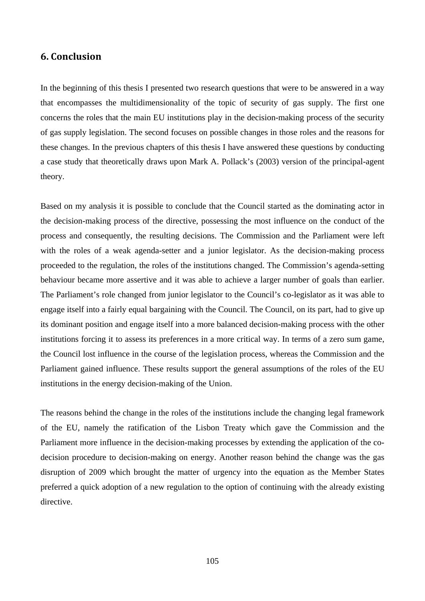## **6. Conclusion**

In the beginning of this thesis I presented two research questions that were to be answered in a way that encompasses the multidimensionality of the topic of security of gas supply. The first one concerns the roles that the main EU institutions play in the decision-making process of the security of gas supply legislation. The second focuses on possible changes in those roles and the reasons for these changes. In the previous chapters of this thesis I have answered these questions by conducting a case study that theoretically draws upon Mark A. Pollack's (2003) version of the principal-agent theory.

Based on my analysis it is possible to conclude that the Council started as the dominating actor in the decision-making process of the directive, possessing the most influence on the conduct of the process and consequently, the resulting decisions. The Commission and the Parliament were left with the roles of a weak agenda-setter and a junior legislator. As the decision-making process proceeded to the regulation, the roles of the institutions changed. The Commission's agenda-setting behaviour became more assertive and it was able to achieve a larger number of goals than earlier. The Parliament's role changed from junior legislator to the Council's co-legislator as it was able to engage itself into a fairly equal bargaining with the Council. The Council, on its part, had to give up its dominant position and engage itself into a more balanced decision-making process with the other institutions forcing it to assess its preferences in a more critical way. In terms of a zero sum game, the Council lost influence in the course of the legislation process, whereas the Commission and the Parliament gained influence. These results support the general assumptions of the roles of the EU institutions in the energy decision-making of the Union.

The reasons behind the change in the roles of the institutions include the changing legal framework of the EU, namely the ratification of the Lisbon Treaty which gave the Commission and the Parliament more influence in the decision-making processes by extending the application of the codecision procedure to decision-making on energy. Another reason behind the change was the gas disruption of 2009 which brought the matter of urgency into the equation as the Member States preferred a quick adoption of a new regulation to the option of continuing with the already existing directive.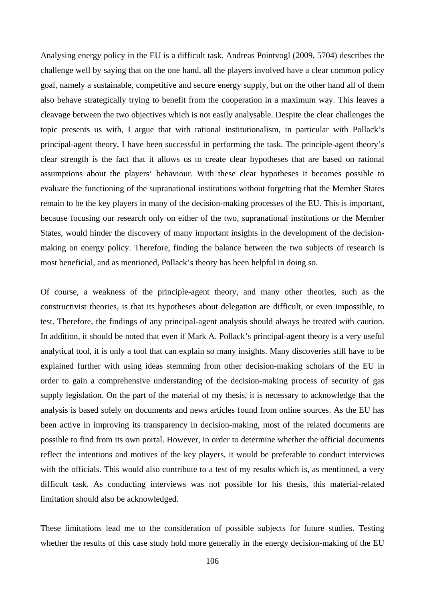Analysing energy policy in the EU is a difficult task. Andreas Pointvogl (2009, 5704) describes the challenge well by saying that on the one hand, all the players involved have a clear common policy goal, namely a sustainable, competitive and secure energy supply, but on the other hand all of them also behave strategically trying to benefit from the cooperation in a maximum way. This leaves a cleavage between the two objectives which is not easily analysable. Despite the clear challenges the topic presents us with, I argue that with rational institutionalism, in particular with Pollack's principal-agent theory, I have been successful in performing the task. The principle-agent theory's clear strength is the fact that it allows us to create clear hypotheses that are based on rational assumptions about the players' behaviour. With these clear hypotheses it becomes possible to evaluate the functioning of the supranational institutions without forgetting that the Member States remain to be the key players in many of the decision-making processes of the EU. This is important, because focusing our research only on either of the two, supranational institutions or the Member States, would hinder the discovery of many important insights in the development of the decisionmaking on energy policy. Therefore, finding the balance between the two subjects of research is most beneficial, and as mentioned, Pollack's theory has been helpful in doing so.

Of course, a weakness of the principle-agent theory, and many other theories, such as the constructivist theories, is that its hypotheses about delegation are difficult, or even impossible, to test. Therefore, the findings of any principal-agent analysis should always be treated with caution. In addition, it should be noted that even if Mark A. Pollack's principal-agent theory is a very useful analytical tool, it is only a tool that can explain so many insights. Many discoveries still have to be explained further with using ideas stemming from other decision-making scholars of the EU in order to gain a comprehensive understanding of the decision-making process of security of gas supply legislation. On the part of the material of my thesis, it is necessary to acknowledge that the analysis is based solely on documents and news articles found from online sources. As the EU has been active in improving its transparency in decision-making, most of the related documents are possible to find from its own portal. However, in order to determine whether the official documents reflect the intentions and motives of the key players, it would be preferable to conduct interviews with the officials. This would also contribute to a test of my results which is, as mentioned, a very difficult task. As conducting interviews was not possible for his thesis, this material-related limitation should also be acknowledged.

These limitations lead me to the consideration of possible subjects for future studies. Testing whether the results of this case study hold more generally in the energy decision-making of the EU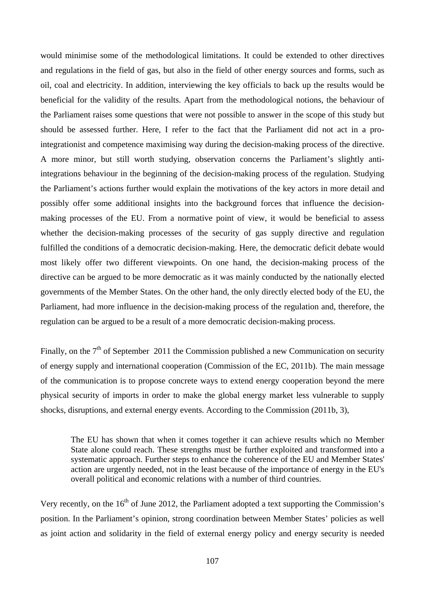would minimise some of the methodological limitations. It could be extended to other directives and regulations in the field of gas, but also in the field of other energy sources and forms, such as oil, coal and electricity. In addition, interviewing the key officials to back up the results would be beneficial for the validity of the results. Apart from the methodological notions, the behaviour of the Parliament raises some questions that were not possible to answer in the scope of this study but should be assessed further. Here, I refer to the fact that the Parliament did not act in a prointegrationist and competence maximising way during the decision-making process of the directive. A more minor, but still worth studying, observation concerns the Parliament's slightly antiintegrations behaviour in the beginning of the decision-making process of the regulation. Studying the Parliament's actions further would explain the motivations of the key actors in more detail and possibly offer some additional insights into the background forces that influence the decisionmaking processes of the EU. From a normative point of view, it would be beneficial to assess whether the decision-making processes of the security of gas supply directive and regulation fulfilled the conditions of a democratic decision-making. Here, the democratic deficit debate would most likely offer two different viewpoints. On one hand, the decision-making process of the directive can be argued to be more democratic as it was mainly conducted by the nationally elected governments of the Member States. On the other hand, the only directly elected body of the EU, the Parliament, had more influence in the decision-making process of the regulation and, therefore, the regulation can be argued to be a result of a more democratic decision-making process.

Finally, on the  $7<sup>th</sup>$  of September 2011 the Commission published a new Communication on security of energy supply and international cooperation (Commission of the EC, 2011b). The main message of the communication is to propose concrete ways to extend energy cooperation beyond the mere physical security of imports in order to make the global energy market less vulnerable to supply shocks, disruptions, and external energy events. According to the Commission (2011b, 3),

The EU has shown that when it comes together it can achieve results which no Member State alone could reach. These strengths must be further exploited and transformed into a systematic approach. Further steps to enhance the coherence of the EU and Member States' action are urgently needed, not in the least because of the importance of energy in the EU's overall political and economic relations with a number of third countries.

Very recently, on the  $16<sup>th</sup>$  of June 2012, the Parliament adopted a text supporting the Commission's position. In the Parliament's opinion, strong coordination between Member States' policies as well as joint action and solidarity in the field of external energy policy and energy security is needed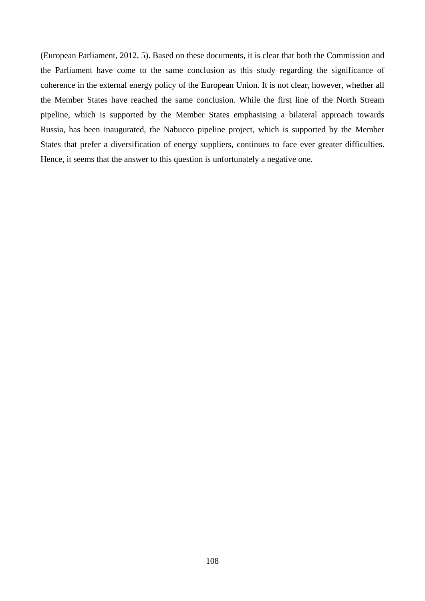(European Parliament, 2012, 5). Based on these documents, it is clear that both the Commission and the Parliament have come to the same conclusion as this study regarding the significance of coherence in the external energy policy of the European Union. It is not clear, however, whether all the Member States have reached the same conclusion. While the first line of the North Stream pipeline, which is supported by the Member States emphasising a bilateral approach towards Russia, has been inaugurated, the Nabucco pipeline project, which is supported by the Member States that prefer a diversification of energy suppliers, continues to face ever greater difficulties. Hence, it seems that the answer to this question is unfortunately a negative one.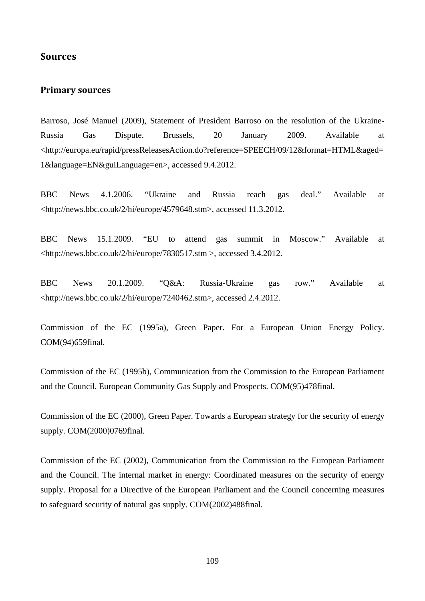## **Sources**

## **Primary sources**

Barroso, José Manuel (2009), Statement of President Barroso on the resolution of the Ukraine-Russia Gas Dispute. Brussels, 20 January 2009. Available at <http://europa.eu/rapid/pressReleasesAction.do?reference=SPEECH/09/12&format=HTML&aged= 1&language=EN&guiLanguage=en>, accessed 9.4.2012.

BBC News 4.1.2006. "Ukraine and Russia reach gas deal." Available at <http://news.bbc.co.uk/2/hi/europe/4579648.stm>, accessed 11.3.2012.

BBC News 15.1.2009. "EU to attend gas summit in Moscow." Available at <http://news.bbc.co.uk/2/hi/europe/7830517.stm >, accessed 3.4.2012.

BBC News 20.1.2009. "Q&A: Russia-Ukraine gas row." Available at <http://news.bbc.co.uk/2/hi/europe/7240462.stm>, accessed 2.4.2012.

Commission of the EC (1995a), Green Paper. For a European Union Energy Policy. COM(94)659final.

Commission of the EC (1995b), Communication from the Commission to the European Parliament and the Council. European Community Gas Supply and Prospects. COM(95)478final.

Commission of the EC (2000), Green Paper. Towards a European strategy for the security of energy supply. COM(2000)0769final.

Commission of the EC (2002), Communication from the Commission to the European Parliament and the Council. The internal market in energy: Coordinated measures on the security of energy supply. Proposal for a Directive of the European Parliament and the Council concerning measures to safeguard security of natural gas supply. COM(2002)488final.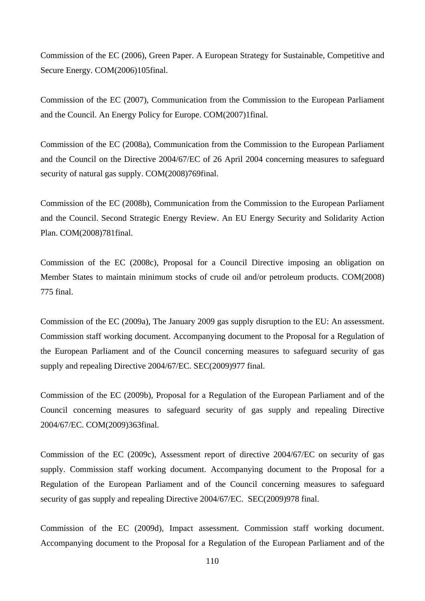Commission of the EC (2006), Green Paper. A European Strategy for Sustainable, Competitive and Secure Energy. COM(2006)105final.

Commission of the EC (2007), Communication from the Commission to the European Parliament and the Council. An Energy Policy for Europe. COM(2007)1final.

Commission of the EC (2008a), Communication from the Commission to the European Parliament and the Council on the Directive 2004/67/EC of 26 April 2004 concerning measures to safeguard security of natural gas supply. COM(2008)769final.

Commission of the EC (2008b), Communication from the Commission to the European Parliament and the Council. Second Strategic Energy Review. An EU Energy Security and Solidarity Action Plan. COM(2008)781final.

Commission of the EC (2008c), Proposal for a Council Directive imposing an obligation on Member States to maintain minimum stocks of crude oil and/or petroleum products. COM(2008) 775 final.

Commission of the EC (2009a), The January 2009 gas supply disruption to the EU: An assessment. Commission staff working document. Accompanying document to the Proposal for a Regulation of the European Parliament and of the Council concerning measures to safeguard security of gas supply and repealing Directive 2004/67/EC. SEC(2009)977 final.

Commission of the EC (2009b), Proposal for a Regulation of the European Parliament and of the Council concerning measures to safeguard security of gas supply and repealing Directive 2004/67/EC. COM(2009)363final.

Commission of the EC (2009c), Assessment report of directive 2004/67/EC on security of gas supply. Commission staff working document. Accompanying document to the Proposal for a Regulation of the European Parliament and of the Council concerning measures to safeguard security of gas supply and repealing Directive 2004/67/EC. SEC(2009)978 final.

Commission of the EC (2009d), Impact assessment. Commission staff working document. Accompanying document to the Proposal for a Regulation of the European Parliament and of the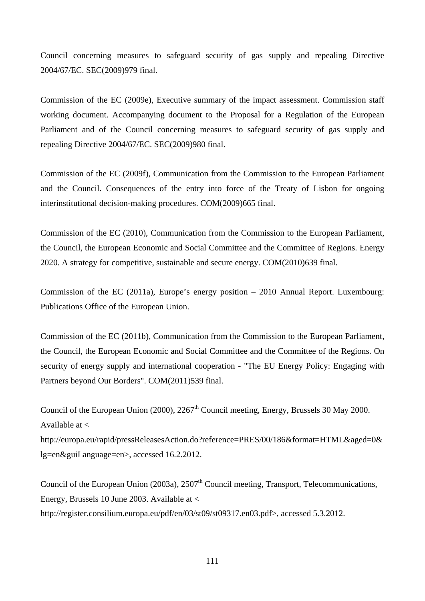Council concerning measures to safeguard security of gas supply and repealing Directive 2004/67/EC. SEC(2009)979 final.

Commission of the EC (2009e), Executive summary of the impact assessment. Commission staff working document. Accompanying document to the Proposal for a Regulation of the European Parliament and of the Council concerning measures to safeguard security of gas supply and repealing Directive 2004/67/EC. SEC(2009)980 final.

Commission of the EC (2009f), Communication from the Commission to the European Parliament and the Council. Consequences of the entry into force of the Treaty of Lisbon for ongoing interinstitutional decision-making procedures. COM(2009)665 final.

Commission of the EC (2010), Communication from the Commission to the European Parliament, the Council, the European Economic and Social Committee and the Committee of Regions. Energy 2020. A strategy for competitive, sustainable and secure energy. COM(2010)639 final.

Commission of the EC (2011a), Europe's energy position – 2010 Annual Report. Luxembourg: Publications Office of the European Union.

Commission of the EC (2011b), Communication from the Commission to the European Parliament, the Council, the European Economic and Social Committee and the Committee of the Regions. On security of energy supply and international cooperation - "The EU Energy Policy: Engaging with Partners beyond Our Borders". COM(2011)539 final.

Council of the European Union (2000), 2267<sup>th</sup> Council meeting, Energy, Brussels 30 May 2000. Available at < http://europa.eu/rapid/pressReleasesAction.do?reference=PRES/00/186&format=HTML&aged=0& lg=en&guiLanguage=en>, accessed 16.2.2012.

Council of the European Union (2003a),  $2507<sup>th</sup>$  Council meeting, Transport, Telecommunications, Energy, Brussels 10 June 2003. Available at < http://register.consilium.europa.eu/pdf/en/03/st09/st09317.en03.pdf>, accessed 5.3.2012.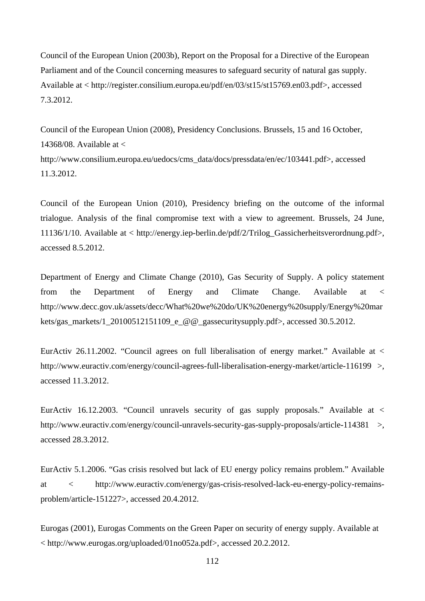Council of the European Union (2003b), Report on the Proposal for a Directive of the European Parliament and of the Council concerning measures to safeguard security of natural gas supply. Available at < http://register.consilium.europa.eu/pdf/en/03/st15/st15769.en03.pdf>, accessed 7.3.2012.

Council of the European Union (2008), Presidency Conclusions. Brussels, 15 and 16 October, 14368/08. Available at  $\lt$ http://www.consilium.europa.eu/uedocs/cms\_data/docs/pressdata/en/ec/103441.pdf>, accessed 11.3.2012.

Council of the European Union (2010), Presidency briefing on the outcome of the informal trialogue. Analysis of the final compromise text with a view to agreement. Brussels, 24 June, 11136/1/10. Available at < http://energy.iep-berlin.de/pdf/2/Trilog\_Gassicherheitsverordnung.pdf>, accessed 8.5.2012.

Department of Energy and Climate Change (2010), Gas Security of Supply. A policy statement from the Department of Energy and Climate Change. Available at < http://www.decc.gov.uk/assets/decc/What%20we%20do/UK%20energy%20supply/Energy%20mar kets/gas\_markets/1\_20100512151109\_e\_@@\_gassecuritysupply.pdf>, accessed 30.5.2012.

EurActiv 26.11.2002. "Council agrees on full liberalisation of energy market." Available at  $\lt$ http://www.euractiv.com/energy/council-agrees-full-liberalisation-energy-market/article-116199 >, accessed 11.3.2012.

EurActiv 16.12.2003. "Council unravels security of gas supply proposals." Available at < http://www.euractiv.com/energy/council-unravels-security-gas-supply-proposals/article-114381 >, accessed 28.3.2012.

EurActiv 5.1.2006. "Gas crisis resolved but lack of EU energy policy remains problem." Available at < http://www.euractiv.com/energy/gas-crisis-resolved-lack-eu-energy-policy-remainsproblem/article-151227>, accessed 20.4.2012.

Eurogas (2001), Eurogas Comments on the Green Paper on security of energy supply. Available at < http://www.eurogas.org/uploaded/01no052a.pdf>, accessed 20.2.2012.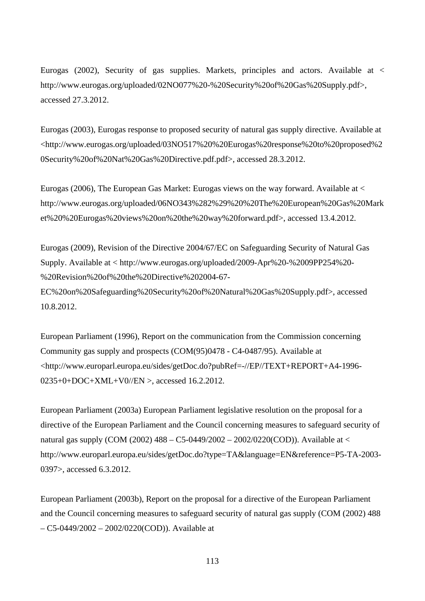Eurogas (2002), Security of gas supplies. Markets, principles and actors. Available at < http://www.eurogas.org/uploaded/02NO077%20-%20Security%20of%20Gas%20Supply.pdf>, accessed 27.3.2012.

Eurogas (2003), Eurogas response to proposed security of natural gas supply directive. Available at <http://www.eurogas.org/uploaded/03NO517%20%20Eurogas%20response%20to%20proposed%2 0Security%20of%20Nat%20Gas%20Directive.pdf.pdf>, accessed 28.3.2012.

Eurogas (2006), The European Gas Market: Eurogas views on the way forward. Available at < http://www.eurogas.org/uploaded/06NO343%282%29%20%20The%20European%20Gas%20Mark et%20%20Eurogas%20views%20on%20the%20way%20forward.pdf>, accessed 13.4.2012.

Eurogas (2009), Revision of the Directive 2004/67/EC on Safeguarding Security of Natural Gas Supply. Available at < http://www.eurogas.org/uploaded/2009-Apr%20-%2009PP254%20- %20Revision%20of%20the%20Directive%202004-67-

EC%20on%20Safeguarding%20Security%20of%20Natural%20Gas%20Supply.pdf>, accessed 10.8.2012.

European Parliament (1996), Report on the communication from the Commission concerning Community gas supply and prospects (COM(95)0478 - C4-0487/95). Available at <http://www.europarl.europa.eu/sides/getDoc.do?pubRef=-//EP//TEXT+REPORT+A4-1996-  $0235+0+DOC+XML+V0/EN$  >, accessed 16.2.2012.

European Parliament (2003a) European Parliament legislative resolution on the proposal for a directive of the European Parliament and the Council concerning measures to safeguard security of natural gas supply (COM (2002) 488 – C5-0449/2002 – 2002/0220(COD)). Available at < http://www.europarl.europa.eu/sides/getDoc.do?type=TA&language=EN&reference=P5-TA-2003- 0397>, accessed 6.3.2012.

European Parliament (2003b), Report on the proposal for a directive of the European Parliament and the Council concerning measures to safeguard security of natural gas supply (COM (2002) 488 – C5-0449/2002 – 2002/0220(COD)). Available at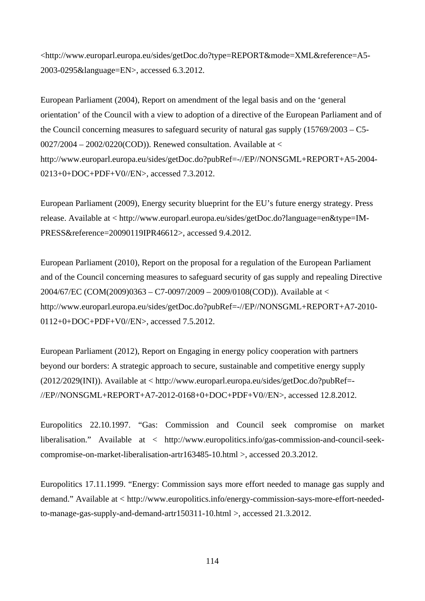<http://www.europarl.europa.eu/sides/getDoc.do?type=REPORT&mode=XML&reference=A5- 2003-0295&language=EN>, accessed 6.3.2012.

European Parliament (2004), Report on amendment of the legal basis and on the 'general orientation' of the Council with a view to adoption of a directive of the European Parliament and of the Council concerning measures to safeguard security of natural gas supply  $(15769/2003 - C5$ - $0027/2004 - 2002/0220$ (COD)). Renewed consultation. Available at < http://www.europarl.europa.eu/sides/getDoc.do?pubRef=-//EP//NONSGML+REPORT+A5-2004- 0213+0+DOC+PDF+V0//EN>, accessed 7.3.2012.

European Parliament (2009), Energy security blueprint for the EU's future energy strategy. Press release. Available at < http://www.europarl.europa.eu/sides/getDoc.do?language=en&type=IM-PRESS&reference=20090119IPR46612>, accessed 9.4.2012.

European Parliament (2010), Report on the proposal for a regulation of the European Parliament and of the Council concerning measures to safeguard security of gas supply and repealing Directive 2004/67/EC (COM(2009)0363 – C7-0097/2009 – 2009/0108(COD)). Available at < http://www.europarl.europa.eu/sides/getDoc.do?pubRef=-//EP//NONSGML+REPORT+A7-2010- 0112+0+DOC+PDF+V0//EN>, accessed 7.5.2012.

European Parliament (2012), Report on Engaging in energy policy cooperation with partners beyond our borders: A strategic approach to secure, sustainable and competitive energy supply (2012/2029(INI)). Available at < http://www.europarl.europa.eu/sides/getDoc.do?pubRef=- //EP//NONSGML+REPORT+A7-2012-0168+0+DOC+PDF+V0//EN>, accessed 12.8.2012.

Europolitics 22.10.1997. "Gas: Commission and Council seek compromise on market liberalisation." Available at < http://www.europolitics.info/gas-commission-and-council-seekcompromise-on-market-liberalisation-artr163485-10.html >, accessed 20.3.2012.

Europolitics 17.11.1999. "Energy: Commission says more effort needed to manage gas supply and demand." Available at < http://www.europolitics.info/energy-commission-says-more-effort-neededto-manage-gas-supply-and-demand-artr150311-10.html >, accessed 21.3.2012.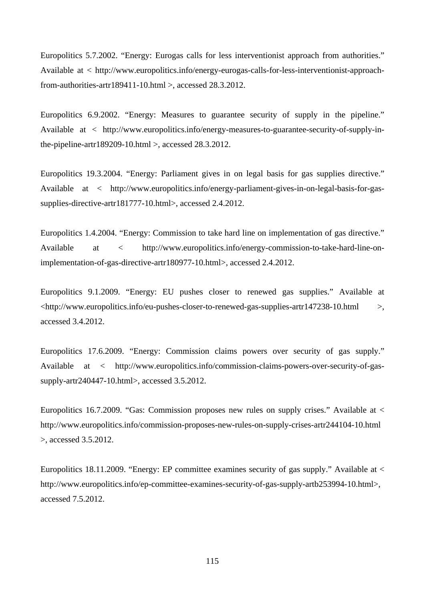Europolitics 5.7.2002. "Energy: Eurogas calls for less interventionist approach from authorities." Available at < http://www.europolitics.info/energy-eurogas-calls-for-less-interventionist-approachfrom-authorities-artr189411-10.html >, accessed 28.3.2012.

Europolitics 6.9.2002. "Energy: Measures to guarantee security of supply in the pipeline." Available at < http://www.europolitics.info/energy-measures-to-guarantee-security-of-supply-inthe-pipeline-artr189209-10.html >, accessed  $28.3.2012$ .

Europolitics 19.3.2004. "Energy: Parliament gives in on legal basis for gas supplies directive." Available at < http://www.europolitics.info/energy-parliament-gives-in-on-legal-basis-for-gassupplies-directive-artr181777-10.html>, accessed 2.4.2012.

Europolitics 1.4.2004. "Energy: Commission to take hard line on implementation of gas directive." Available at < http://www.europolitics.info/energy-commission-to-take-hard-line-onimplementation-of-gas-directive-artr180977-10.html>, accessed 2.4.2012.

Europolitics 9.1.2009. "Energy: EU pushes closer to renewed gas supplies." Available at  $\lt$ http://www.europolitics.info/eu-pushes-closer-to-renewed-gas-supplies-artr147238-10.html  $\gt$ , accessed 3.4.2012.

Europolitics 17.6.2009. "Energy: Commission claims powers over security of gas supply." Available at < http://www.europolitics.info/commission-claims-powers-over-security-of-gassupply-artr240447-10.html>, accessed 3.5.2012.

Europolitics 16.7.2009. "Gas: Commission proposes new rules on supply crises." Available at < http://www.europolitics.info/commission-proposes-new-rules-on-supply-crises-artr244104-10.html >, accessed 3.5.2012.

Europolitics 18.11.2009. "Energy: EP committee examines security of gas supply." Available at < http://www.europolitics.info/ep-committee-examines-security-of-gas-supply-artb253994-10.html>, accessed 7.5.2012.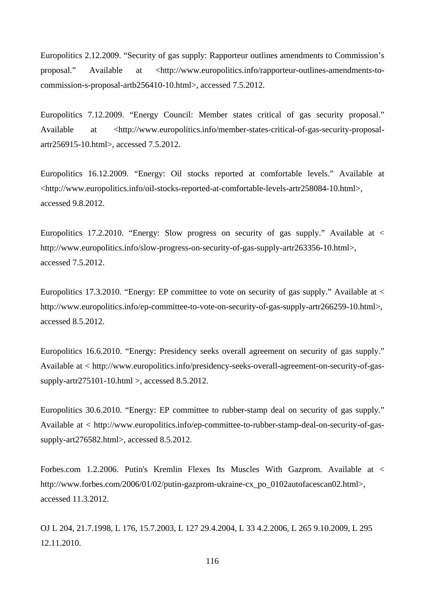Europolitics 2.12.2009. "Security of gas supply: Rapporteur outlines amendments to Commission's proposal." Available at <http://www.europolitics.info/rapporteur-outlines-amendments-tocommission-s-proposal-artb256410-10.html>, accessed 7.5.2012.

Europolitics 7.12.2009. "Energy Council: Member states critical of gas security proposal." Available at <http://www.europolitics.info/member-states-critical-of-gas-security-proposalartr256915-10.html>, accessed 7.5.2012.

Europolitics 16.12.2009. "Energy: Oil stocks reported at comfortable levels." Available at <http://www.europolitics.info/oil-stocks-reported-at-comfortable-levels-artr258084-10.html>, accessed 9.8.2012.

Europolitics 17.2.2010. "Energy: Slow progress on security of gas supply." Available at  $\lt$ http://www.europolitics.info/slow-progress-on-security-of-gas-supply-artr263356-10.html>, accessed 7.5.2012.

Europolitics 17.3.2010. "Energy: EP committee to vote on security of gas supply." Available at < http://www.europolitics.info/ep-committee-to-vote-on-security-of-gas-supply-artr266259-10.html>, accessed 8.5.2012.

Europolitics 16.6.2010. "Energy: Presidency seeks overall agreement on security of gas supply." Available at < http://www.europolitics.info/presidency-seeks-overall-agreement-on-security-of-gassupply-artr275101-10.html >, accessed 8.5.2012.

Europolitics 30.6.2010. "Energy: EP committee to rubber-stamp deal on security of gas supply." Available at < http://www.europolitics.info/ep-committee-to-rubber-stamp-deal-on-security-of-gassupply-art276582.html>, accessed 8.5.2012.

Forbes.com 1.2.2006. Putin's Kremlin Flexes Its Muscles With Gazprom. Available at < http://www.forbes.com/2006/01/02/putin-gazprom-ukraine-cx\_po\_0102autofacescan02.html>, accessed 11.3.2012.

OJ L 204, 21.7.1998, L 176, 15.7.2003, L 127 29.4.2004, L 33 4.2.2006, L 265 9.10.2009, L 295 12.11.2010.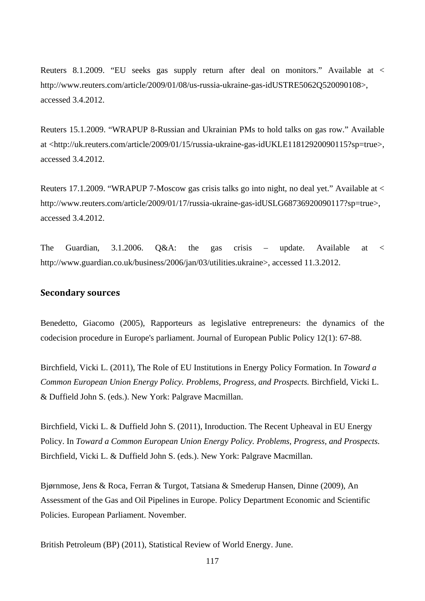Reuters 8.1.2009. "EU seeks gas supply return after deal on monitors." Available at < http://www.reuters.com/article/2009/01/08/us-russia-ukraine-gas-idUSTRE5062Q520090108>, accessed 3.4.2012.

Reuters 15.1.2009. "WRAPUP 8-Russian and Ukrainian PMs to hold talks on gas row." Available at <http://uk.reuters.com/article/2009/01/15/russia-ukraine-gas-idUKLE11812920090115?sp=true>, accessed 3.4.2012.

Reuters 17.1.2009. "WRAPUP 7-Moscow gas crisis talks go into night, no deal yet." Available at < http://www.reuters.com/article/2009/01/17/russia-ukraine-gas-idUSLG68736920090117?sp=true>, accessed 3.4.2012.

The Guardian, 3.1.2006. Q&A: the gas crisis – update. Available at < http://www.guardian.co.uk/business/2006/jan/03/utilities.ukraine>, accessed 11.3.2012.

## **Secondary sources**

Benedetto, Giacomo (2005), Rapporteurs as legislative entrepreneurs: the dynamics of the codecision procedure in Europe's parliament. Journal of European Public Policy 12(1): 67-88.

Birchfield, Vicki L. (2011), The Role of EU Institutions in Energy Policy Formation. In *Toward a Common European Union Energy Policy. Problems, Progress, and Prospects.* Birchfield, Vicki L. & Duffield John S. (eds.). New York: Palgrave Macmillan.

Birchfield, Vicki L. & Duffield John S. (2011), Inroduction. The Recent Upheaval in EU Energy Policy. In *Toward a Common European Union Energy Policy. Problems, Progress, and Prospects.* Birchfield, Vicki L. & Duffield John S. (eds.). New York: Palgrave Macmillan.

Bjørnmose, Jens & Roca, Ferran & Turgot, Tatsiana & Smederup Hansen, Dinne (2009), An Assessment of the Gas and Oil Pipelines in Europe. Policy Department Economic and Scientific Policies. European Parliament. November.

British Petroleum (BP) (2011), Statistical Review of World Energy. June.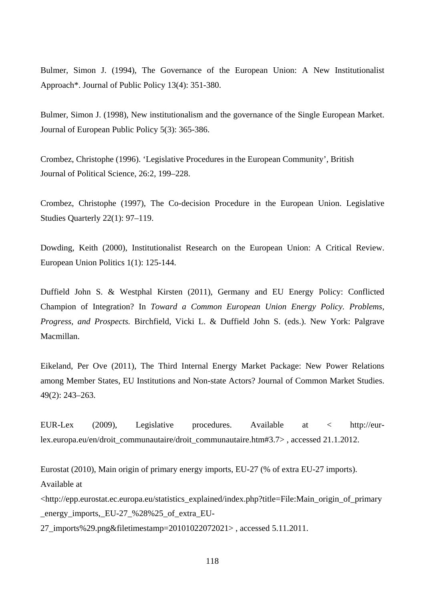Bulmer, Simon J. (1994), The Governance of the European Union: A New Institutionalist Approach\*. Journal of Public Policy 13(4): 351-380.

Bulmer, Simon J. (1998), New institutionalism and the governance of the Single European Market. Journal of European Public Policy 5(3): 365-386.

Crombez, Christophe (1996). 'Legislative Procedures in the European Community', British Journal of Political Science, 26:2, 199–228.

Crombez, Christophe (1997), The Co-decision Procedure in the European Union. Legislative Studies Quarterly 22(1): 97–119.

Dowding, Keith (2000), Institutionalist Research on the European Union: A Critical Review. European Union Politics 1(1): 125-144.

Duffield John S. & Westphal Kirsten (2011), Germany and EU Energy Policy: Conflicted Champion of Integration? In *Toward a Common European Union Energy Policy. Problems, Progress, and Prospects.* Birchfield, Vicki L. & Duffield John S. (eds.). New York: Palgrave Macmillan.

Eikeland, Per Ove (2011), The Third Internal Energy Market Package: New Power Relations among Member States, EU Institutions and Non-state Actors? Journal of Common Market Studies. 49(2): 243–263.

EUR-Lex (2009), Legislative procedures. Available at < http://eurlex.europa.eu/en/droit\_communautaire/droit\_communautaire.htm#3.7> , accessed 21.1.2012.

Eurostat (2010), Main origin of primary energy imports, EU-27 (% of extra EU-27 imports).

Available at

<http://epp.eurostat.ec.europa.eu/statistics\_explained/index.php?title=File:Main\_origin\_of\_primary \_energy\_imports,\_EU-27\_%28%25\_of\_extra\_EU-

27\_imports%29.png&filetimestamp=20101022072021> , accessed 5.11.2011.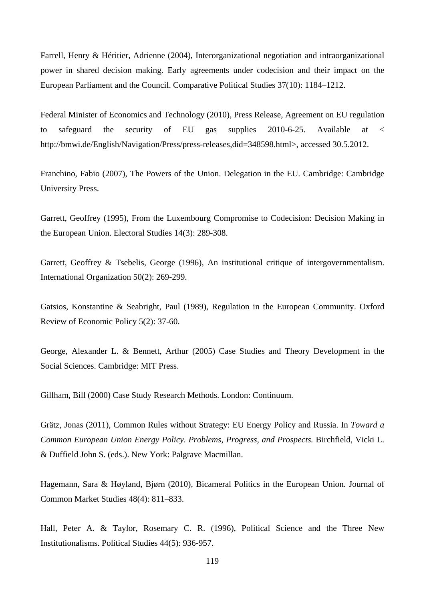Farrell, Henry & Héritier, Adrienne (2004), Interorganizational negotiation and intraorganizational power in shared decision making. Early agreements under codecision and their impact on the European Parliament and the Council. Comparative Political Studies 37(10): 1184–1212.

Federal Minister of Economics and Technology (2010), Press Release, Agreement on EU regulation to safeguard the security of EU gas supplies 2010-6-25. Available at < http://bmwi.de/English/Navigation/Press/press-releases,did=348598.html>, accessed 30.5.2012.

Franchino, Fabio (2007), The Powers of the Union. Delegation in the EU. Cambridge: Cambridge University Press.

Garrett, Geoffrey (1995), From the Luxembourg Compromise to Codecision: Decision Making in the European Union. Electoral Studies 14(3): 289-308.

Garrett, Geoffrey & Tsebelis, George (1996), An institutional critique of intergovernmentalism. International Organization 50(2): 269-299.

Gatsios, Konstantine & Seabright, Paul (1989), Regulation in the European Community. Oxford Review of Economic Policy 5(2): 37-60.

George, Alexander L. & Bennett, Arthur (2005) Case Studies and Theory Development in the Social Sciences. Cambridge: MIT Press.

Gillham, Bill (2000) Case Study Research Methods. London: Continuum.

Grätz, Jonas (2011), Common Rules without Strategy: EU Energy Policy and Russia. In *Toward a Common European Union Energy Policy. Problems, Progress, and Prospects.* Birchfield, Vicki L. & Duffield John S. (eds.). New York: Palgrave Macmillan.

Hagemann, Sara & Høyland, Bjørn (2010), Bicameral Politics in the European Union. Journal of Common Market Studies 48(4): 811–833.

Hall, Peter A. & Taylor, Rosemary C. R. (1996), Political Science and the Three New Institutionalisms. Political Studies 44(5): 936-957.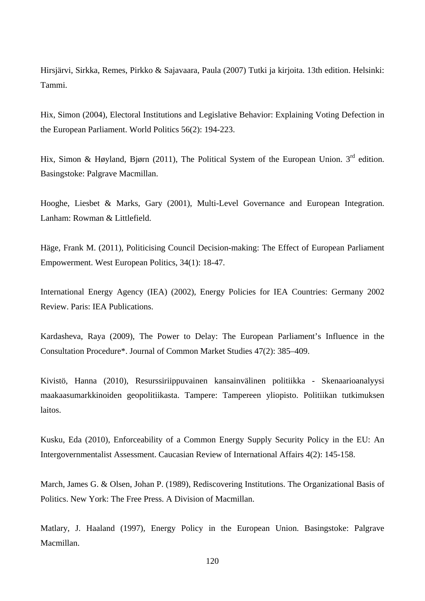Hirsjärvi, Sirkka, Remes, Pirkko & Sajavaara, Paula (2007) Tutki ja kirjoita. 13th edition. Helsinki: Tammi.

Hix, Simon (2004), Electoral Institutions and Legislative Behavior: Explaining Voting Defection in the European Parliament. World Politics 56(2): 194-223.

Hix, Simon & Høyland, Bjørn (2011), The Political System of the European Union. 3<sup>rd</sup> edition. Basingstoke: Palgrave Macmillan.

Hooghe, Liesbet & Marks, Gary (2001), Multi-Level Governance and European Integration. Lanham: Rowman & Littlefield.

Häge, Frank M. (2011), Politicising Council Decision-making: The Effect of European Parliament Empowerment. West European Politics, 34(1): 18-47.

International Energy Agency (IEA) (2002), Energy Policies for IEA Countries: Germany 2002 Review. Paris: IEA Publications.

Kardasheva, Raya (2009), The Power to Delay: The European Parliament's Influence in the Consultation Procedure\*. Journal of Common Market Studies 47(2): 385–409.

Kivistö, Hanna (2010), Resurssiriippuvainen kansainvälinen politiikka - Skenaarioanalyysi maakaasumarkkinoiden geopolitiikasta. Tampere: Tampereen yliopisto. Politiikan tutkimuksen laitos.

Kusku, Eda (2010), Enforceability of a Common Energy Supply Security Policy in the EU: An Intergovernmentalist Assessment. Caucasian Review of International Affairs 4(2): 145-158.

March, James G. & Olsen, Johan P. (1989), Rediscovering Institutions. The Organizational Basis of Politics. New York: The Free Press. A Division of Macmillan.

Matlary, J. Haaland (1997), Energy Policy in the European Union. Basingstoke: Palgrave Macmillan.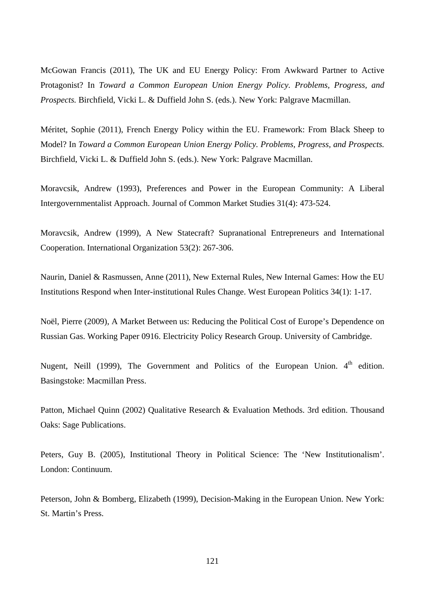McGowan Francis (2011), The UK and EU Energy Policy: From Awkward Partner to Active Protagonist? In *Toward a Common European Union Energy Policy. Problems, Progress, and Prospects.* Birchfield, Vicki L. & Duffield John S. (eds.). New York: Palgrave Macmillan.

Méritet, Sophie (2011), French Energy Policy within the EU. Framework: From Black Sheep to Model? In *Toward a Common European Union Energy Policy. Problems, Progress, and Prospects.* Birchfield, Vicki L. & Duffield John S. (eds.). New York: Palgrave Macmillan.

Moravcsik, Andrew (1993), Preferences and Power in the European Community: A Liberal Intergovernmentalist Approach. Journal of Common Market Studies 31(4): 473-524.

Moravcsik, Andrew (1999), A New Statecraft? Supranational Entrepreneurs and International Cooperation. International Organization 53(2): 267-306.

Naurin, Daniel & Rasmussen, Anne (2011), New External Rules, New Internal Games: How the EU Institutions Respond when Inter-institutional Rules Change. West European Politics 34(1): 1-17.

Noël, Pierre (2009), A Market Between us: Reducing the Political Cost of Europe's Dependence on Russian Gas. Working Paper 0916. Electricity Policy Research Group. University of Cambridge.

Nugent, Neill (1999), The Government and Politics of the European Union. 4<sup>th</sup> edition. Basingstoke: Macmillan Press.

Patton, Michael Quinn (2002) Qualitative Research & Evaluation Methods. 3rd edition. Thousand Oaks: Sage Publications.

Peters, Guy B. (2005), Institutional Theory in Political Science: The 'New Institutionalism'. London: Continuum.

Peterson, John & Bomberg, Elizabeth (1999), Decision-Making in the European Union. New York: St. Martin's Press.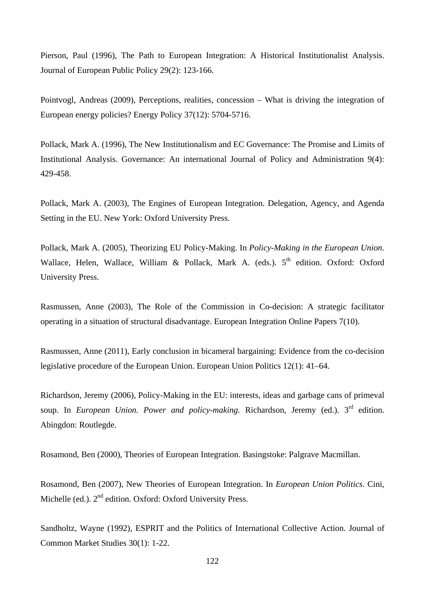Pierson, Paul (1996), The Path to European Integration: A Historical Institutionalist Analysis. Journal of European Public Policy 29(2): 123-166.

Pointvogl, Andreas (2009), Perceptions, realities, concession – What is driving the integration of European energy policies? Energy Policy 37(12): 5704-5716.

Pollack, Mark A. (1996), The New Institutionalism and EC Governance: The Promise and Limits of Institutional Analysis. Governance: An international Journal of Policy and Administration 9(4): 429-458.

Pollack, Mark A. (2003), The Engines of European Integration. Delegation, Agency, and Agenda Setting in the EU. New York: Oxford University Press.

Pollack, Mark A. (2005), Theorizing EU Policy-Making. In *Policy-Making in the European Union*. Wallace, Helen, Wallace, William & Pollack, Mark A. (eds.).  $5<sup>th</sup>$  edition. Oxford: Oxford University Press.

Rasmussen, Anne (2003), The Role of the Commission in Co-decision: A strategic facilitator operating in a situation of structural disadvantage. European Integration Online Papers 7(10).

Rasmussen, Anne (2011), Early conclusion in bicameral bargaining: Evidence from the co-decision legislative procedure of the European Union. European Union Politics 12(1): 41–64.

Richardson, Jeremy (2006), Policy-Making in the EU: interests, ideas and garbage cans of primeval soup. In *European Union. Power and policy-making*. Richardson, Jeremy (ed.). 3<sup>rd</sup> edition. Abingdon: Routlegde.

Rosamond, Ben (2000), Theories of European Integration. Basingstoke: Palgrave Macmillan.

Rosamond, Ben (2007), New Theories of European Integration. In *European Union Politics*. Cini, Michelle (ed.). 2<sup>nd</sup> edition. Oxford: Oxford University Press.

Sandholtz, Wayne (1992), ESPRIT and the Politics of International Collective Action. Journal of Common Market Studies 30(1): 1-22.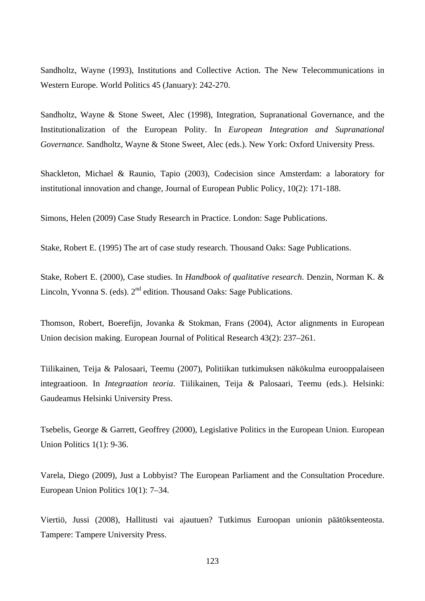Sandholtz, Wayne (1993), Institutions and Collective Action. The New Telecommunications in Western Europe. World Politics 45 (January): 242-270.

Sandholtz, Wayne & Stone Sweet, Alec (1998), Integration, Supranational Governance, and the Institutionalization of the European Polity. In *European Integration and Supranational Governance.* Sandholtz, Wayne & Stone Sweet, Alec (eds.). New York: Oxford University Press.

Shackleton, Michael & Raunio, Tapio (2003), Codecision since Amsterdam: a laboratory for institutional innovation and change, Journal of European Public Policy, 10(2): 171-188.

Simons, Helen (2009) Case Study Research in Practice. London: Sage Publications.

Stake, Robert E. (1995) The art of case study research. Thousand Oaks: Sage Publications.

Stake, Robert E. (2000), Case studies. In *Handbook of qualitative research*. Denzin, Norman K. & Lincoln, Yvonna S. (eds).  $2<sup>nd</sup>$  edition. Thousand Oaks: Sage Publications.

Thomson, Robert, Boerefijn, Jovanka & Stokman, Frans (2004), Actor alignments in European Union decision making. European Journal of Political Research 43(2): 237–261.

Tiilikainen, Teija & Palosaari, Teemu (2007), Politiikan tutkimuksen näkökulma eurooppalaiseen integraatioon. In *Integraation teoria*. Tiilikainen, Teija & Palosaari, Teemu (eds.). Helsinki: Gaudeamus Helsinki University Press.

Tsebelis, George & Garrett, Geoffrey (2000), Legislative Politics in the European Union. European Union Politics 1(1): 9-36.

Varela, Diego (2009), Just a Lobbyist? The European Parliament and the Consultation Procedure. European Union Politics 10(1): 7–34.

Viertiö, Jussi (2008), Hallitusti vai ajautuen? Tutkimus Euroopan unionin päätöksenteosta. Tampere: Tampere University Press.